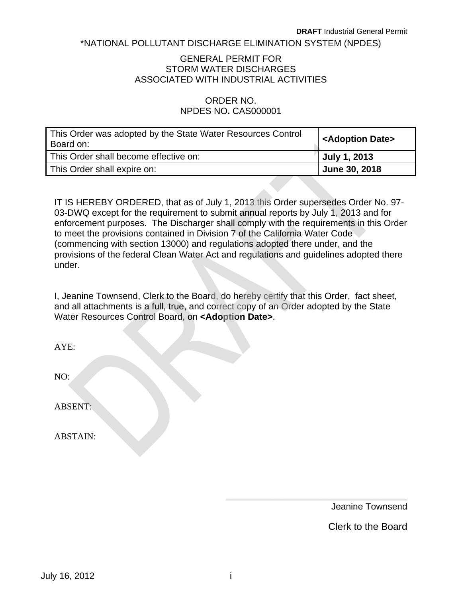#### \*NATIONAL POLLUTANT DISCHARGE ELIMINATION SYSTEM (NPDES)

#### STORM WATER DISCHARGES GENERAL PERMIT FOR ASSOCIATED WITH INDUSTRIAL ACTIVITIES

#### ORDER NO. NPDES NO**.** CAS000001

| This Order was adopted by the State Water Resources Control<br>Board on: | <adoption date=""></adoption> |
|--------------------------------------------------------------------------|-------------------------------|
| This Order shall become effective on:                                    | July 1, 2013                  |
| This Order shall expire on:                                              | June 30, 2018                 |

IT IS HEREBY ORDERED, that as of July 1, 2013 this Order supersedes Order No. 97 03-DWQ except for the requirement to submit annual reports by July 1, 2013 and for enforcement purposes. The Discharger shall comply with the requirements in this Order to meet the provisions contained in Division 7 of the California Water Code (commencing with section 13000) and regulations adopted there under, and the provisions of the federal Clean Water Act and regulations and guidelines adopted there under.

I, Jeanine Townsend, Clerk to the Board, do hereby certify that this Order, fact sheet, and all attachments is a full, true, and correct copy of an Order adopted by the State Water Resources Control Board, on **<Adoption Date>**.

| AYE:            |  |
|-----------------|--|
| NO:             |  |
| <b>ABSENT:</b>  |  |
| <b>ABSTAIN:</b> |  |

Jeanine Townsend

\_\_\_\_\_\_\_\_\_\_\_\_\_\_\_\_\_\_\_\_\_\_\_\_\_\_\_\_\_\_\_\_\_\_\_\_\_\_\_\_

Clerk to the Board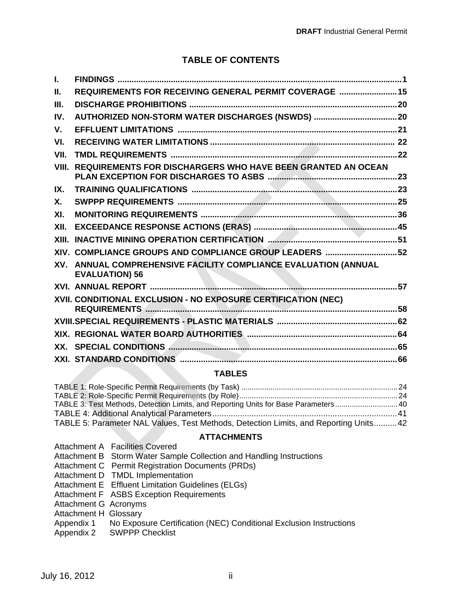# **TABLE OF CONTENTS**

| L.            |                                                                                          |  |
|---------------|------------------------------------------------------------------------------------------|--|
| Ш.            | REQUIREMENTS FOR RECEIVING GENERAL PERMIT COVERAGE  15                                   |  |
| III.          |                                                                                          |  |
| IV.           |                                                                                          |  |
| $V_{\cdot}$   |                                                                                          |  |
| VI.           |                                                                                          |  |
| VII.          |                                                                                          |  |
| VIII.         | <b>REQUIREMENTS FOR DISCHARGERS WHO HAVE BEEN GRANTED AN OCEAN</b>                       |  |
| IX.           |                                                                                          |  |
| $X_{\cdot}$   |                                                                                          |  |
| XI.           |                                                                                          |  |
| XII.          |                                                                                          |  |
| XIII.         |                                                                                          |  |
|               | XIV. COMPLIANCE GROUPS AND COMPLIANCE GROUP LEADERS  52                                  |  |
|               | XV. ANNUAL COMPREHENSIVE FACILITY COMPLIANCE EVALUATION (ANNUAL<br><b>EVALUATION) 56</b> |  |
|               |                                                                                          |  |
|               | XVII. CONDITIONAL EXCLUSION - NO EXPOSURE CERTIFICATION (NEC)                            |  |
|               |                                                                                          |  |
|               |                                                                                          |  |
|               |                                                                                          |  |
|               |                                                                                          |  |
| <b>TABLES</b> |                                                                                          |  |
|               | $\mathbf{a}$ and $\mathbf{a}$ and $\mathbf{a}$ and $\mathbf{a}$                          |  |

| TABLE 3: Test Methods, Detection Limits, and Reporting Units for Base Parameters40   |  |
|--------------------------------------------------------------------------------------|--|
|                                                                                      |  |
| TABLE 5: Parameter NAL Values, Test Methods, Detection Limits, and Reporting Units42 |  |

#### **ATTACHMENTS**

Attachment A Facilities Covered

- Attachment B Storm Water Sample Collection and Handling Instructions
- Attachment C Permit Registration Documents (PRDs)
- Attachment D TMDL Implementation
- Attachment E Effluent Limitation Guidelines (ELGs)
- Attachment F ASBS Exception Requirements
- Attachment G Acronyms
- Attachment H Glossary
- Appendix 1 No Exposure Certification (NEC) Conditional Exclusion Instructions
- Appendix 2 **SWPPP Checklist**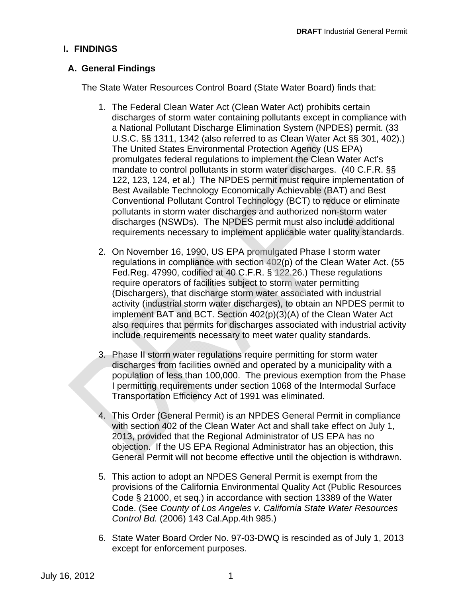## <span id="page-2-0"></span>**I. FINDINGS**

## **A. General Findings**

The State Water Resources Control Board (State Water Board) finds that:

- 1. The Federal Clean Water Act (Clean Water Act) prohibits certain discharges of storm water containing pollutants except in compliance with a National Pollutant Discharge Elimination System (NPDES) permit. (33 U.S.C. §§ 1311, 1342 (also referred to as Clean Water Act §§ 301, 402).) The United States Environmental Protection Agency (US EPA) promulgates federal regulations to implement the Clean Water Act's mandate to control pollutants in storm water discharges. (40 C.F.R. §§ 122, 123, 124, et al.) The NPDES permit must require implementation of Best Available Technology Economically Achievable (BAT) and Best Conventional Pollutant Control Technology (BCT) to reduce or eliminate pollutants in storm water discharges and authorized non-storm water discharges (NSWDs). The NPDES permit must also include additional requirements necessary to implement applicable water quality standards.
- 2. On November 16, 1990, US EPA promulgated Phase I storm water require operators of facilities subject to storm water permitting (Dischargers), that discharge storm water associated with industrial activity (industrial storm water discharges), to obtain an NPDES permit to implement BAT and BCT. Section 402(p)(3)(A) of the Clean Water Act also requires that permits for discharges associated with industrial activity include requirements necessary to meet water quality standards. regulations in compliance with section 402(p) of the Clean Water Act. (55 Fed.Reg. 47990, codified at 40 C.F.R. § 122.26.) These regulations
- Transportation Efficiency Act of 1991 was eliminated. 3. Phase II storm water regulations require permitting for storm water discharges from facilities owned and operated by a municipality with a population of less than 100,000. The previous exemption from the Phase I permitting requirements under section 1068 of the Intermodal Surface
- 4. This Order (General Permit) is an NPDES General Permit in compliance with section 402 of the Clean Water Act and shall take effect on July 1, 2013, provided that the Regional Administrator of US EPA has no objection. If the US EPA Regional Administrator has an objection, this General Permit will not become effective until the objection is withdrawn.
- 5. This action to adopt an NPDES General Permit is exempt from the provisions of the California Environmental Quality Act (Public Resources Code § 21000, et seq.) in accordance with section 13389 of the Water Code. (See *County of Los Angeles v. California State Water Resources Control Bd.* (2006) 143 Cal.App.4th 985.)
- 6. State Water Board Order No. 97-03-DWQ is rescinded as of July 1, 2013 except for enforcement purposes.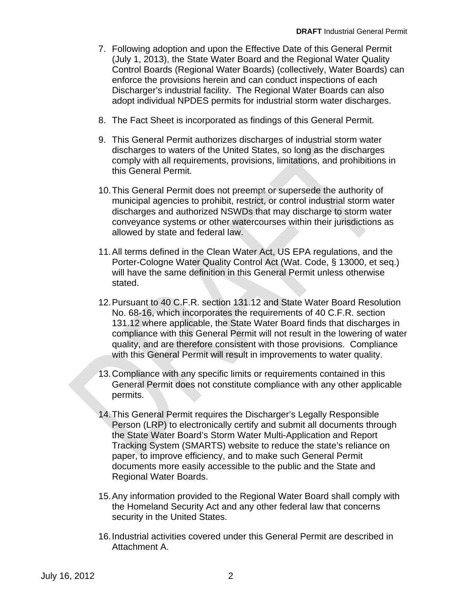- <span id="page-3-0"></span>7. Following adoption and upon the Effective Date of this General Permit (July 1, 2013), the State Water Board and the Regional Water Quality Control Boards (Regional Water Boards) (collectively, Water Boards) can enforce the provisions herein and can conduct inspections of each Discharger's industrial facility. The Regional Water Boards can also adopt individual NPDES permits for industrial storm water discharges.
- 8. The Fact Sheet is incorporated as findings of this General Permit.
- 9. This General Permit authorizes discharges of industrial storm water discharges to waters of the United States, so long as the discharges comply with all requirements, provisions, limitations, and prohibitions in this General Permit.
- 10. This General Permit does not preempt or supersede the authority of municipal agencies to prohibit, restrict, or control industrial storm water discharges and authorized NSWDs that may discharge to storm water conveyance systems or other watercourses within their jurisdictions as allowed by state and federal law.
- will have the same definition in this General Permit unless otherwise 11.All terms defined in the Clean Water Act, US EPA regulations, and the Porter-Cologne Water Quality Control Act (Wat. Code, § 13000, et seq.) stated.
- 12. Pursuant to 40 C.F.R. section 131.12 and State Water Board Resolution No. 68-16, which incorporates the requirements of 40 C.F.R. section 131.12 where applicable, the State Water Board finds that discharges in compliance with this General Permit will not result in the lowering of water quality, and are therefore consistent with those provisions. Compliance with this General Permit will result in improvements to water quality.
- 13. Compliance with any specific limits or requirements contained in this General Permit does not constitute compliance with any other applicable permits.
- documents more easily accessible to the public and the State and Regional Water Boards. 14. This General Permit requires the Discharger's Legally Responsible Person (LRP) to electronically certify and submit all documents through the State Water Board's Storm Water Multi-Application and Report Tracking System (SMARTS) website to reduce the state's reliance on paper, to improve efficiency, and to make such General Permit
- 15.Any information provided to the Regional Water Board shall comply with the Homeland Security Act and any other federal law that concerns security in the United States.
- 16.Industrial activities covered under this General Permit are described in Attachment A.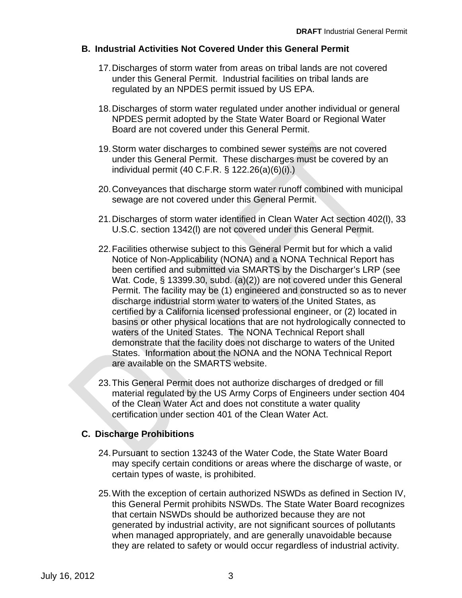## **B. Industrial Activities Not Covered Under this General Permit**

- 17.Discharges of storm water from areas on tribal lands are not covered under this General Permit. Industrial facilities on tribal lands are regulated by an NPDES permit issued by US EPA.
- 18.Discharges of storm water regulated under another individual or general NPDES permit adopted by the State Water Board or Regional Water Board are not covered under this General Permit.
- 19. Storm water discharges to combined sewer systems are not covered under this General Permit. These discharges must be covered by an individual permit (40 C.F.R. § 122.26(a)(6)(i).)
- 20.Conveyances that discharge storm water runoff combined with municipal sewage are not covered under this General Permit.
- U.S.C. section 1342(l) are not covered under this General Permit. 21.Discharges of storm water identified in Clean Water Act section 402(l), 33
- 22. Facilities otherwise subject to this General Permit but for which a valid Wat. Code, § 13399.30, subd. (a)(2)) are not covered under this General Permit. The facility may be (1) engineered and constructed so as to never discharge industrial storm water to waters of the United States, as certified by a California licensed professional engineer, or (2) located in basins or other physical locations that are not hydrologically connected to waters of the United States. The NONA Technical Report shall demonstrate that the facility does not discharge to waters of the United States. Information about the NONA and the NONA Technical Report are available on the SMARTS website. Notice of Non-Applicability (NONA) and a NONA Technical Report has been certified and submitted via SMARTS by the Discharger's LRP (see
- 23. This General Permit does not authorize discharges of dredged or fill certification under section 401 of the Clean Water Act. material regulated by the US Army Corps of Engineers under section 404 of the Clean Water Act and does not constitute a water quality

# **C. Discharge Prohibitions**

- 24.Pursuant to section 13243 of the Water Code, the State Water Board may specify certain conditions or areas where the discharge of waste, or certain types of waste, is prohibited.
- 25.With the exception of certain authorized NSWDs as defined in Section IV, this General Permit prohibits NSWDs. The State Water Board recognizes that certain NSWDs should be authorized because they are not generated by industrial activity, are not significant sources of pollutants when managed appropriately, and are generally unavoidable because they are related to safety or would occur regardless of industrial activity.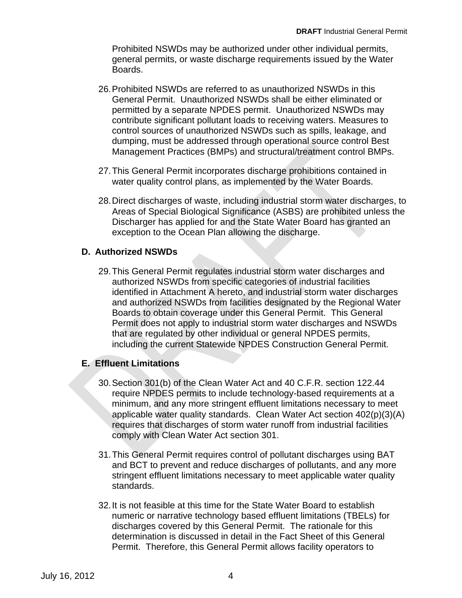Prohibited NSWDs may be authorized under other individual permits, general permits, or waste discharge requirements issued by the Water Boards.

- 26.Prohibited NSWDs are referred to as unauthorized NSWDs in this General Permit. Unauthorized NSWDs shall be either eliminated or permitted by a separate NPDES permit. Unauthorized NSWDs may contribute significant pollutant loads to receiving waters. Measures to control sources of unauthorized NSWDs such as spills, leakage, and dumping, must be addressed through operational source control Best Management Practices (BMPs) and structural/treatment control BMPs.
- 27.This General Permit incorporates discharge prohibitions contained in water quality control plans, as implemented by the Water Boards.
- 28.Direct discharges of waste, including industrial storm water discharges, to Areas of Special Biological Significance (ASBS) are prohibited unless the Discharger has applied for and the State Water Board has granted an exception to the Ocean Plan allowing the discharge.

### **D. Authorized NSWDs**

authorized NSWDs from specific categories of industrial facilities identified in Attachment A hereto, and industrial storm water discharges and authorized NSWDs from facilities designated by the Regional Water Boards to obtain coverage under this General Permit. This General Permit does not apply to industrial storm water discharges and NSWDs that are regulated by other individual or general NPDES permits, including the current Statewide NPDES Construction General Permit. 29. This General Permit regulates industrial storm water discharges and

### **E. Effluent Limitations**

- comply with Clean Water Act section 301. 30.Section 301(b) of the Clean Water Act and 40 C.F.R. section 122.44 require NPDES permits to include technology-based requirements at a minimum, and any more stringent effluent limitations necessary to meet applicable water quality standards. Clean Water Act section 402(p)(3)(A) requires that discharges of storm water runoff from industrial facilities
- 31.This General Permit requires control of pollutant discharges using BAT and BCT to prevent and reduce discharges of pollutants, and any more stringent effluent limitations necessary to meet applicable water quality standards.
- 32.It is not feasible at this time for the State Water Board to establish numeric or narrative technology based effluent limitations (TBELs) for discharges covered by this General Permit. The rationale for this determination is discussed in detail in the Fact Sheet of this General Permit. Therefore, this General Permit allows facility operators to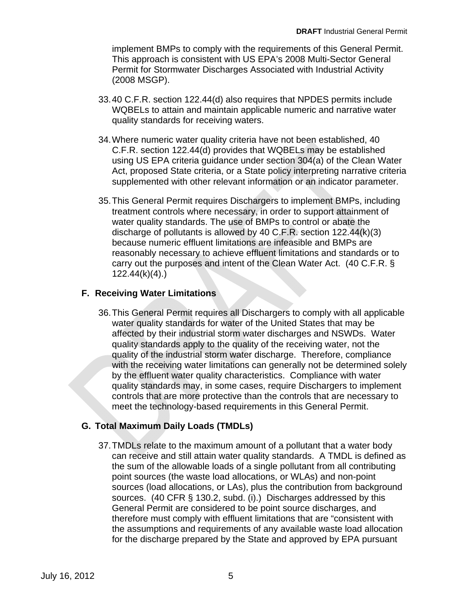<span id="page-6-0"></span>implement BMPs to comply with the requirements of this General Permit. This approach is consistent with US EPA's 2008 Multi-Sector General Permit for Stormwater Discharges Associated with Industrial Activity (2008 MSGP).

- 33.40 C.F.R. section 122.44(d) also requires that NPDES permits include WQBELs to attain and maintain applicable numeric and narrative water quality standards for receiving waters.
- 34. Where numeric water quality criteria have not been established, 40 C.F.R. section 122.44(d) provides that WQBELs may be established using US EPA criteria guidance under section 304(a) of the Clean Water Act, proposed State criteria, or a State policy interpreting narrative criteria supplemented with other relevant information or an indicator parameter.
- 35.This General Permit requires Dischargers to implement BMPs, including treatment controls where necessary, in order to support attainment of water quality standards. The use of BMPs to control or abate the discharge of pollutants is allowed by 40 C.F.R. section 122.44(k)(3) because numeric effluent limitations are infeasible and BMPs are reasonably necessary to achieve effluent limitations and standards or to carry out the purposes and intent of the Clean Water Act. (40 C.F.R. § 122.44(k)(4).)

### **F. Receiving Water Limitations**

36. This General Permit requires all Dischargers to comply with all applicable water quality standards for water of the United States that may be affected by their industrial storm water discharges and NSWDs. Water quality standards apply to the quality of the receiving water, not the quality of the industrial storm water discharge. Therefore, compliance with the receiving water limitations can generally not be determined solely by the effluent water quality characteristics. Compliance with water quality standards may, in some cases, require Dischargers to implement controls that are more protective than the controls that are necessary to meet the technology-based requirements in this General Permit.

# **G. Total Maximum Daily Loads (TMDLs)**

37.TMDLs relate to the maximum amount of a pollutant that a water body can receive and still attain water quality standards. A TMDL is defined as the sum of the allowable loads of a single pollutant from all contributing point sources (the waste load allocations, or WLAs) and non-point sources (load allocations, or LAs), plus the contribution from background sources. (40 CFR § 130.2, subd. (i).) Discharges addressed by this General Permit are considered to be point source discharges, and therefore must comply with effluent limitations that are "consistent with the assumptions and requirements of any available waste load allocation for the discharge prepared by the State and approved by EPA pursuant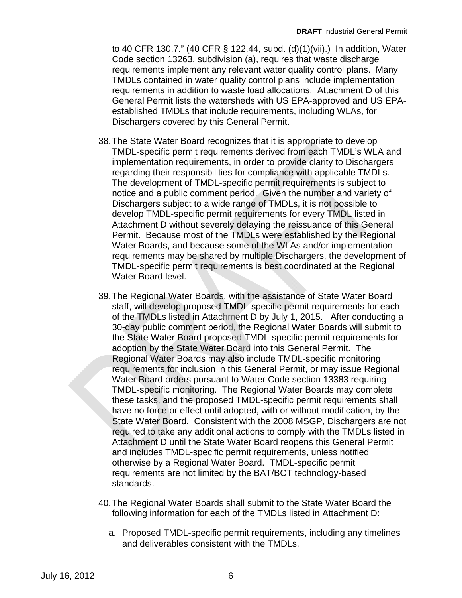to 40 CFR 130.7." (40 CFR § 122.44, subd. (d)(1)(vii).) In addition, Water Code section 13263, subdivision (a), requires that waste discharge requirements implement any relevant water quality control plans. Many TMDLs contained in water quality control plans include implementation requirements in addition to waste load allocations. Attachment D of this General Permit lists the watersheds with US EPA-approved and US EPAestablished TMDLs that include requirements, including WLAs, for Dischargers covered by this General Permit.

- 38. The State Water Board recognizes that it is appropriate to develop TMDL-specific permit requirements derived from each TMDL's WLA and implementation requirements, in order to provide clarity to Dischargers regarding their responsibilities for compliance with applicable TMDLs. The development of TMDL-specific permit requirements is subject to TMDL-specific permit requirements is best coordinated at the Regional Water Board level. notice and a public comment period. Given the number and variety of Dischargers subject to a wide range of TMDLs, it is not possible to develop TMDL-specific permit requirements for every TMDL listed in Attachment D without severely delaying the reissuance of this General Permit. Because most of the TMDLs were established by the Regional Water Boards, and because some of the WLAs and/or implementation requirements may be shared by multiple Dischargers, the development of
- of the TMDLs listed in Attachment D by July 1, 2015. After conducting a 30-day public comment period, the Regional Water Boards will submit to the State Water Board proposed TMDL-specific permit requirements for adoption by the State Water Board into this General Permit. The Regional Water Boards may also include TMDL-specific monitoring requirements for inclusion in this General Permit, or may issue Regional Water Board orders pursuant to Water Code section 13383 requiring TMDL-specific monitoring. The Regional Water Boards may complete these tasks, and the proposed TMDL-specific permit requirements shall have no force or effect until adopted, with or without modification, by the 39. The Regional Water Boards, with the assistance of State Water Board staff, will develop proposed TMDL-specific permit requirements for each State Water Board. Consistent with the 2008 MSGP, Dischargers are not required to take any additional actions to comply with the TMDLs listed in Attachment D until the State Water Board reopens this General Permit and includes TMDL-specific permit requirements, unless notified otherwise by a Regional Water Board. TMDL-specific permit requirements are not limited by the BAT/BCT technology-based standards.
- 40.The Regional Water Boards shall submit to the State Water Board the following information for each of the TMDLs listed in Attachment D:
	- a. Proposed TMDL-specific permit requirements, including any timelines and deliverables consistent with the TMDLs,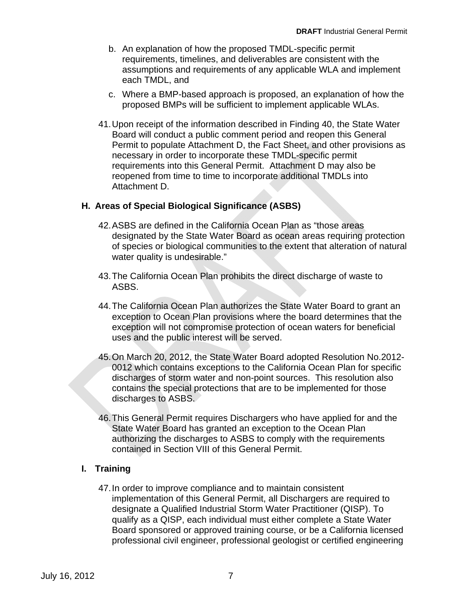- b. An explanation of how the proposed TMDL-specific permit requirements, timelines, and deliverables are consistent with the assumptions and requirements of any applicable WLA and implement each TMDL, and
- c. Where a BMP-based approach is proposed, an explanation of how the proposed BMPs will be sufficient to implement applicable WLAs.
- 41.Upon receipt of the information described in Finding 40, the State Water Board will conduct a public comment period and reopen this General Permit to populate Attachment D, the Fact Sheet, and other provisions as necessary in order to incorporate these TMDL-specific permit requirements into this General Permit. Attachment D may also be reopened from time to time to incorporate additional TMDLs into Attachment D.

#### **H. Areas of Special Biological Significance (ASBS)**

- 42.ASBS are defined in the California Ocean Plan as "those areas designated by the State Water Board as ocean areas requiring protection of species or biological communities to the extent that alteration of natural water quality is undesirable."
- 43. The California Ocean Plan prohibits the direct discharge of waste to ASBS.
- 44. The California Ocean Plan authorizes the State Water Board to grant an exception to Ocean Plan provisions where the board determines that the exception will not compromise protection of ocean waters for beneficial uses and the public interest will be served.
- discharges to ASBS. 45.On March 20, 2012, the State Water Board adopted Resolution No.2012 0012 which contains exceptions to the California Ocean Plan for specific discharges of storm water and non-point sources. This resolution also contains the special protections that are to be implemented for those
- 46.This General Permit requires Dischargers who have applied for and the State Water Board has granted an exception to the Ocean Plan authorizing the discharges to ASBS to comply with the requirements contained in Section VIII of this General Permit.

### **I. Training**

47.In order to improve compliance and to maintain consistent implementation of this General Permit, all Dischargers are required to designate a Qualified Industrial Storm Water Practitioner (QISP). To qualify as a QISP, each individual must either complete a State Water Board sponsored or approved training course, or be a California licensed professional civil engineer, professional geologist or certified engineering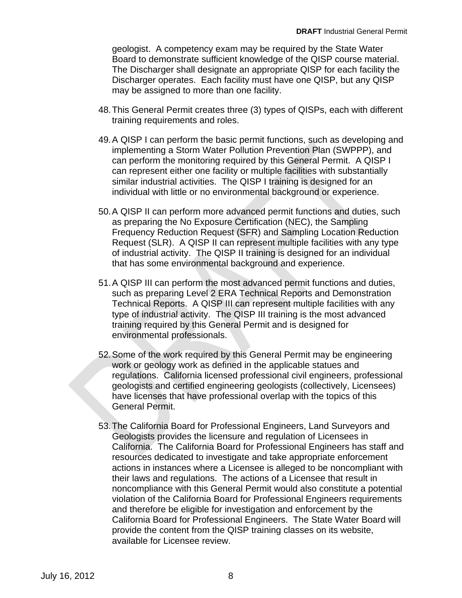geologist. A competency exam may be required by the State Water Board to demonstrate sufficient knowledge of the QISP course material. The Discharger shall designate an appropriate QISP for each facility the Discharger operates. Each facility must have one QISP, but any QISP may be assigned to more than one facility.

- 48.This General Permit creates three (3) types of QISPs, each with different training requirements and roles.
- 49.A QISP I can perform the basic permit functions, such as developing and implementing a Storm Water Pollution Prevention Plan (SWPPP), and can perform the monitoring required by this General Permit. A QISP I can represent either one facility or multiple facilities with substantially similar industrial activities. The QISP I training is designed for an individual with little or no environmental background or experience.
- that has some environmental background and experience. 50.A QISP II can perform more advanced permit functions and duties, such as preparing the No Exposure Certification (NEC), the Sampling Frequency Reduction Request (SFR) and Sampling Location Reduction Request (SLR). A QISP II can represent multiple facilities with any type of industrial activity. The QISP II training is designed for an individual
- environmental professionals. Technical Reports. A QISP III can represent multiple facilities with any type of industrial activity. The QISP III training is the most advanced training required by this General Permit and is designed for 51. A QISP III can perform the most advanced permit functions and duties, such as preparing Level 2 ERA Technical Reports and Demonstration
- 52. Some of the work required by this General Permit may be engineering work or geology work as defined in the applicable statues and regulations. California licensed professional civil engineers, professional geologists and certified engineering geologists (collectively, Licensees) have licenses that have professional overlap with the topics of this General Permit.
- 53. The California Board for Professional Engineers, Land Surveyors and Geologists provides the licensure and regulation of Licensees in California. The California Board for Professional Engineers has staff and resources dedicated to investigate and take appropriate enforcement actions in instances where a Licensee is alleged to be noncompliant with their laws and regulations. The actions of a Licensee that result in noncompliance with this General Permit would also constitute a potential violation of the California Board for Professional Engineers requirements and therefore be eligible for investigation and enforcement by the California Board for Professional Engineers. The State Water Board will provide the content from the QISP training classes on its website, available for Licensee review.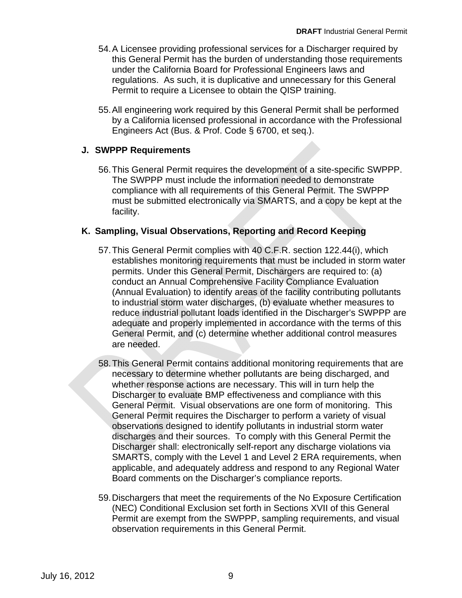- 54.A Licensee providing professional services for a Discharger required by this General Permit has the burden of understanding those requirements under the California Board for Professional Engineers laws and regulations. As such, it is duplicative and unnecessary for this General Permit to require a Licensee to obtain the QISP training.
- 55.All engineering work required by this General Permit shall be performed by a California licensed professional in accordance with the Professional Engineers Act (Bus. & Prof. Code § 6700, et seq.).

## **J. SWPPP Requirements**

56.This General Permit requires the development of a site-specific SWPPP. The SWPPP must include the information needed to demonstrate compliance with all requirements of this General Permit. The SWPPP must be submitted electronically via SMARTS, and a copy be kept at the facility.

## **K. Sampling, Visual Observations, Reporting and Record Keeping**

- 57. This General Permit complies with 40 C.F.R. section 122.44(i), which conduct an Annual Comprehensive Facility Compliance Evaluation (Annual Evaluation) to identify areas of the facility contributing pollutants to industrial storm water discharges, (b) evaluate whether measures to reduce industrial pollutant loads identified in the Discharger's SWPPP are adequate and properly implemented in accordance with the terms of this General Permit, and (c) determine whether additional control measures are needed. establishes monitoring requirements that must be included in storm water permits. Under this General Permit, Dischargers are required to: (a)
- 58.This General Permit contains additional monitoring requirements that are necessary to determine whether pollutants are being discharged, and whether response actions are necessary. This will in turn help the Discharger to evaluate BMP effectiveness and compliance with this General Permit. Visual observations are one form of monitoring. This General Permit requires the Discharger to perform a variety of visual observations designed to identify pollutants in industrial storm water discharges and their sources. To comply with this General Permit the Discharger shall: electronically self-report any discharge violations via SMARTS, comply with the Level 1 and Level 2 ERA requirements, when applicable, and adequately address and respond to any Regional Water Board comments on the Discharger's compliance reports.
- 59. Dischargers that meet the requirements of the No Exposure Certification (NEC) Conditional Exclusion set forth in Sections XVII of this General Permit are exempt from the SWPPP, sampling requirements, and visual observation requirements in this General Permit.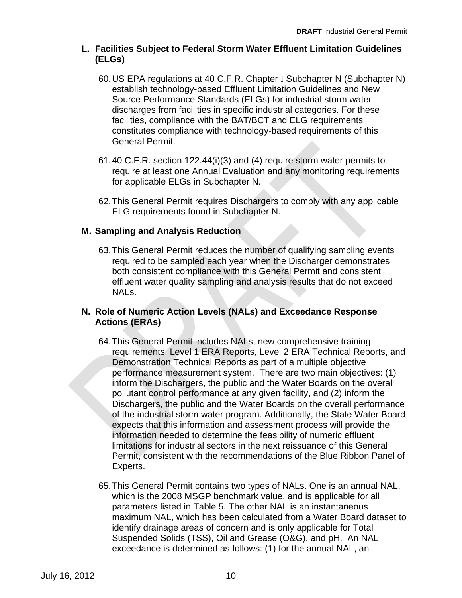#### **L. Facilities Subject to Federal Storm Water Effluent Limitation Guidelines (ELGs)**

- 60.US EPA regulations at 40 C.F.R. Chapter I Subchapter N (Subchapter N) establish technology-based Effluent Limitation Guidelines and New Source Performance Standards (ELGs) for industrial storm water discharges from facilities in specific industrial categories. For these facilities, compliance with the BAT/BCT and ELG requirements constitutes compliance with technology-based requirements of this General Permit.
- 61. 40 C.F.R. section 122.44(i)(3) and (4) require storm water permits to require at least one Annual Evaluation and any monitoring requirements for applicable ELGs in Subchapter N.
- 62.This General Permit requires Dischargers to comply with any applicable ELG requirements found in Subchapter N.

## **M. Sampling and Analysis Reduction**

effluent water quality sampling and analysis results that do not exceed NAL<sub>S</sub> 63. This General Permit reduces the number of qualifying sampling events required to be sampled each year when the Discharger demonstrates both consistent compliance with this General Permit and consistent

#### **N. Role of Numeric Action Levels (NALs) and Exceedance Response Actions (ERAs)**

- 64. This General Permit includes NALs, new comprehensive training requirements, Level 1 ERA Reports, Level 2 ERA Technical Reports, and Demonstration Technical Reports as part of a multiple objective performance measurement system. There are two main objectives: (1) inform the Dischargers, the public and the Water Boards on the overall pollutant control performance at any given facility, and (2) inform the Dischargers, the public and the Water Boards on the overall performance of the industrial storm water program. Additionally, the State Water Board expects that this information and assessment process will provide the information needed to determine the feasibility of numeric effluent limitations for industrial sectors in the next reissuance of this General Permit, consistent with the recommendations of the Blue Ribbon Panel of Experts.
- 65.This General Permit contains two types of NALs. One is an annual NAL, which is the 2008 MSGP benchmark value, and is applicable for all parameters listed in Table 5. The other NAL is an instantaneous maximum NAL, which has been calculated from a Water Board dataset to identify drainage areas of concern and is only applicable for Total Suspended Solids (TSS), Oil and Grease (O&G), and pH. An NAL exceedance is determined as follows: (1) for the annual NAL, an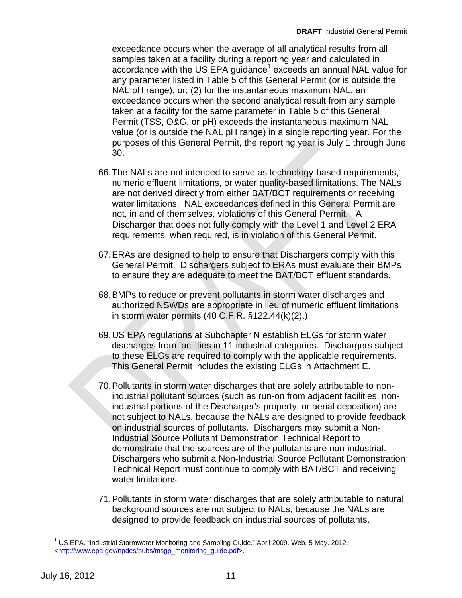exceedance occurs when the average of all analytical results from all samples taken at a facility during a reporting year and calculated in accordance with the US EPA guidance<sup>1</sup> exceeds an annual NAL value for any parameter listed in Table 5 of this General Permit (or is outside the NAL pH range), or; (2) for the instantaneous maximum NAL, an exceedance occurs when the second analytical result from any sample taken at a facility for the same parameter in Table 5 of this General Permit (TSS, O&G, or pH) exceeds the instantaneous maximum NAL value (or is outside the NAL pH range) in a single reporting year. For the purposes of this General Permit, the reporting year is July 1 through June 30.

- 66.The NALs are not intended to serve as technology-based requirements, numeric effluent limitations, or water quality-based limitations. The NALs are not derived directly from either BAT/BCT requirements or receiving water limitations. NAL exceedances defined in this General Permit are not, in and of themselves, violations of this General Permit. A Discharger that does not fully comply with the Level 1 and Level 2 ERA requirements, when required, is in violation of this General Permit.
- 67. ERAs are designed to help to ensure that Dischargers comply with this General Permit. Dischargers subject to ERAs must evaluate their BMPs to ensure they are adequate to meet the BAT/BCT effluent standards.
- 68. BMPs to reduce or prevent pollutants in storm water discharges and authorized NSWDs are appropriate in lieu of numeric effluent limitations in storm water permits (40 C.F.R. §122.44(k)(2).)
- 69. US EPA regulations at Subchapter N establish ELGs for storm water discharges from facilities in 11 industrial categories. Dischargers subject to these ELGs are required to comply with the applicable requirements. This General Permit includes the existing ELGs in Attachment E.
- 70. Pollutants in storm water discharges that are solely attributable to nonindustrial pollutant sources (such as run-on from adjacent facilities, nonindustrial portions of the Discharger's property, or aerial deposition) are not subject to NALs, because the NALs are designed to provide feedback on industrial sources of pollutants. Dischargers may submit a Non-Industrial Source Pollutant Demonstration Technical Report to demonstrate that the sources are of the pollutants are non-industrial. Dischargers who submit a Non-Industrial Source Pollutant Demonstration Technical Report must continue to comply with BAT/BCT and receiving water limitations.
- 71.Pollutants in storm water discharges that are solely attributable to natural background sources are not subject to NALs, because the NALs are designed to provide feedback on industrial sources of pollutants.

 $\overline{1}$  <http://www.epa.gov/npdes/pubs/msgp\_monitoring\_guide.pdf>. July 16, 2012 11 <sup>1</sup> US EPA. "Industrial Stormwater Monitoring and Sampling Guide." April 2009. Web. 5 May. 2012.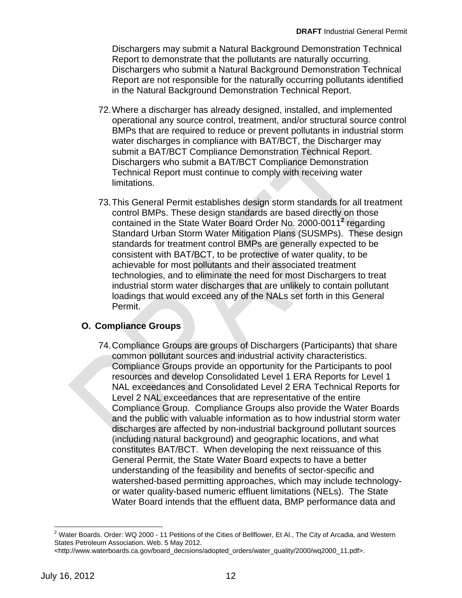Dischargers may submit a Natural Background Demonstration Technical Report to demonstrate that the pollutants are naturally occurring. Dischargers who submit a Natural Background Demonstration Technical Report are not responsible for the naturally occurring pollutants identified in the Natural Background Demonstration Technical Report.

- 72.Where a discharger has already designed, installed, and implemented operational any source control, treatment, and/or structural source control BMPs that are required to reduce or prevent pollutants in industrial storm water discharges in compliance with BAT/BCT, the Discharger may submit a BAT/BCT Compliance Demonstration Technical Report. Dischargers who submit a BAT/BCT Compliance Demonstration Technical Report must continue to comply with receiving water limitations.
- 73. This General Permit establishes design storm standards for all treatment control BMPs. These design standards are based directly on those contained in the State Water Board Order No. 2000-0011<sup>2</sup> regarding Standard Urban Storm Water Mitigation Plans (SUSMPs). These design standards for treatment control BMPs are generally expected to be industrial storm water discharges that are unlikely to contain pollutant loadings that would exceed any of the NALs set forth in this General Permit. consistent with BAT/BCT, to be protective of water quality, to be achievable for most pollutants and their associated treatment technologies, and to eliminate the need for most Dischargers to treat

### **O. Compliance Groups**

74. Compliance Groups are groups of Dischargers (Participants) that share common pollutant sources and industrial activity characteristics. Compliance Groups provide an opportunity for the Participants to pool resources and develop Consolidated Level 1 ERA Reports for Level 1 NAL exceedances and Consolidated Level 2 ERA Technical Reports for Level 2 NAL exceedances that are representative of the entire Compliance Group. Compliance Groups also provide the Water Boards and the public with valuable information as to how industrial storm water discharges are affected by non-industrial background pollutant sources (including natural background) and geographic locations, and what constitutes BAT/BCT. When developing the next reissuance of this General Permit, the State Water Board expects to have a better understanding of the feasibility and benefits of sector-specific and watershed-based permitting approaches, which may include technologyor water quality-based numeric effluent limitations (NELs). The State Water Board intends that the effluent data, BMP performance data and

 $\overline{a}$  $^2$  Water Boards. Order: WQ 2000 - 11 Petitions of the Cities of Bellflower, Et Al., The City of Arcadia, and Western States Petroleum Association. Web. 5 May 2012.

<sup>&</sup>lt;http://www.waterboards.ca.gov/board\_decisions/adopted\_orders/water\_quality/2000/wq2000\_11.pdf>.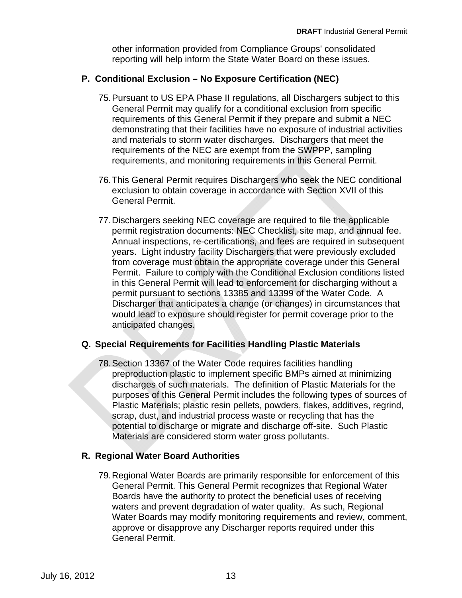other information provided from Compliance Groups' consolidated reporting will help inform the State Water Board on these issues.

#### **P. Conditional Exclusion – No Exposure Certification (NEC)**

- 75.Pursuant to US EPA Phase II regulations, all Dischargers subject to this General Permit may qualify for a conditional exclusion from specific requirements of this General Permit if they prepare and submit a NEC demonstrating that their facilities have no exposure of industrial activities and materials to storm water discharges. Dischargers that meet the requirements of the NEC are exempt from the SWPPP, sampling requirements, and monitoring requirements in this General Permit.
- 76.This General Permit requires Dischargers who seek the NEC conditional exclusion to obtain coverage in accordance with Section XVII of this General Permit.
- 77.Dischargers seeking NEC coverage are required to file the applicable permit registration documents: NEC Checklist, site map, and annual fee. Annual inspections, re-certifications, and fees are required in subsequent in this General Permit will lead to enforcement for discharging without a permit pursuant to sections 13385 and 13399 of the Water Code. A Discharger that anticipates a change (or changes) in circumstances that would lead to exposure should register for permit coverage prior to the anticipated changes. years. Light industry facility Dischargers that were previously excluded from coverage must obtain the appropriate coverage under this General Permit. Failure to comply with the Conditional Exclusion conditions listed

#### **Q. Special Requirements for Facilities Handling Plastic Materials**

Materials are considered storm water gross pollutants. 78.Section 13367 of the Water Code requires facilities handling preproduction plastic to implement specific BMPs aimed at minimizing discharges of such materials. The definition of Plastic Materials for the purposes of this General Permit includes the following types of sources of Plastic Materials; plastic resin pellets, powders, flakes, additives, regrind, scrap, dust, and industrial process waste or recycling that has the potential to discharge or migrate and discharge off-site. Such Plastic

#### **R. Regional Water Board Authorities**

79.Regional Water Boards are primarily responsible for enforcement of this General Permit. This General Permit recognizes that Regional Water Boards have the authority to protect the beneficial uses of receiving waters and prevent degradation of water quality. As such, Regional Water Boards may modify monitoring requirements and review, comment, approve or disapprove any Discharger reports required under this General Permit.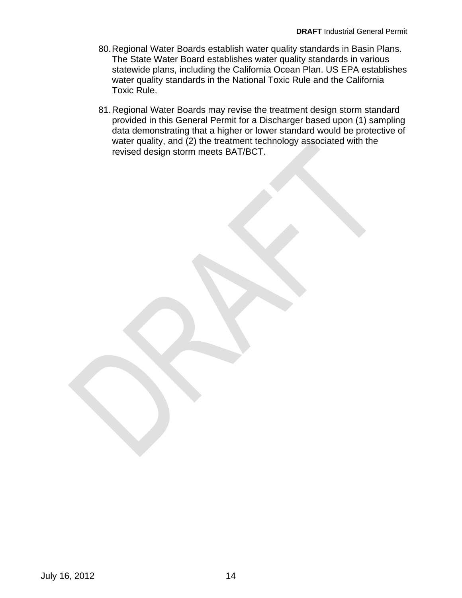- 80.Regional Water Boards establish water quality standards in Basin Plans. The State Water Board establishes water quality standards in various statewide plans, including the California Ocean Plan. US EPA establishes water quality standards in the National Toxic Rule and the California Toxic Rule.
- 81.Regional Water Boards may revise the treatment design storm standard provided in this General Permit for a Discharger based upon (1) sampling data demonstrating that a higher or lower standard would be protective of water quality, and (2) the treatment technology associated with the revised design storm meets BAT/BCT.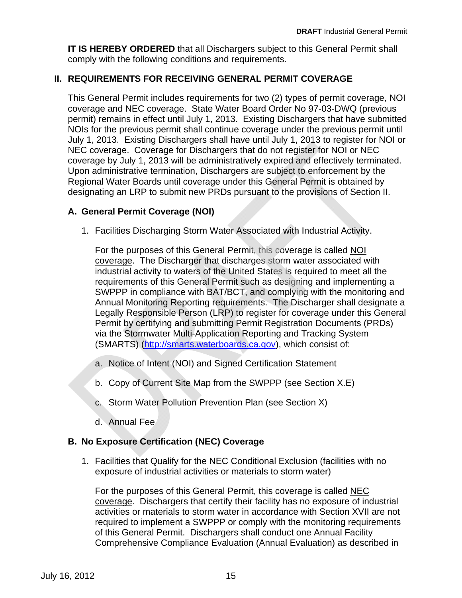<span id="page-16-0"></span>**IT IS HEREBY ORDERED** that all Dischargers subject to this General Permit shall comply with the following conditions and requirements.

### **II. REQUIREMENTS FOR RECEIVING GENERAL PERMIT COVERAGE**

This General Permit includes requirements for two (2) types of permit coverage, NOI coverage and NEC coverage. State Water Board Order No 97-03-DWQ (previous permit) remains in effect until July 1, 2013. Existing Dischargers that have submitted NOIs for the previous permit shall continue coverage under the previous permit until July 1, 2013. Existing Dischargers shall have until July 1, 2013 to register for NOI or NEC coverage. Coverage for Dischargers that do not register for NOI or NEC coverage by July 1, 2013 will be administratively expired and effectively terminated. Upon administrative termination, Dischargers are subject to enforcement by the Regional Water Boards until coverage under this General Permit is obtained by designating an LRP to submit new PRDs pursuant to the provisions of Section II.

#### **A. General Permit Coverage (NOI)**

1. Facilities Discharging Storm Water Associated with Industrial Activity.

For the purposes of this General Permit, this coverage is called NOI requirements of this General Permit such as designing and implementing a SWPPP in compliance with BAT/BCT, and complying with the monitoring and Annual Monitoring Reporting requirements. The Discharger shall designate a Legally Responsible Person (LRP) to register for coverage under this General Permit by certifying and submitting Permit Registration Documents (PRDs) via the Stormwater Multi-Application Reporting and Tracking System (SMARTS) (http://smarts.waterboards.ca.gov), which consist of: coverage. The Discharger that discharges storm water associated with industrial activity to waters of the United States is required to meet all the

- a. Notice of Intent (NOI) and Signed Certification Statement
- b. Copy of Current Site Map from the SWPPP (see Section X.E)
- c. Storm Water Pollution Prevention Plan (see Section X)
- d. Annual Fee

### **B. No Exposure Certification (NEC) Coverage**

1. Facilities that Qualify for the NEC Conditional Exclusion (facilities with no exposure of industrial activities or materials to storm water)

For the purposes of this General Permit, this coverage is called NEC coverage. Dischargers that certify their facility has no exposure of industrial activities or materials to storm water in accordance with Section XVII are not required to implement a SWPPP or comply with the monitoring requirements of this General Permit. Dischargers shall conduct one Annual Facility Comprehensive Compliance Evaluation (Annual Evaluation) as described in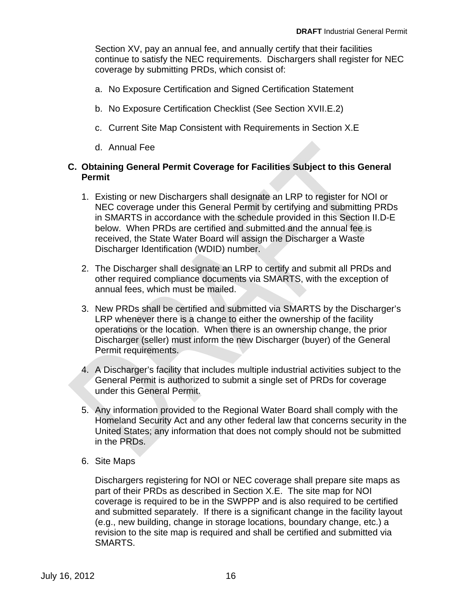Section XV, pay an annual fee, and annually certify that their facilities continue to satisfy the NEC requirements. Dischargers shall register for NEC coverage by submitting PRDs, which consist of:

- a. No Exposure Certification and Signed Certification Statement
- b. No Exposure Certification Checklist (See Section XVII.E.2)
- c. Current Site Map Consistent with Requirements in Section X.E
- d. Annual Fee

#### **C. Obtaining General Permit Coverage for Facilities Subject to this General Permit**

- 1. Existing or new Dischargers shall designate an LRP to register for NOI or NEC coverage under this General Permit by certifying and submitting PRDs in SMARTS in accordance with the schedule provided in this Section II.D-E below. When PRDs are certified and submitted and the annual fee is received, the State Water Board will assign the Discharger a Waste Discharger Identification (WDID) number.
- annual fees, which must be mailed. 2. The Discharger shall designate an LRP to certify and submit all PRDs and other required compliance documents via SMARTS, with the exception of
- 3. New PRDs shall be certified and submitted via SMARTS by the Discharger's LRP whenever there is a change to either the ownership of the facility operations or the location. When there is an ownership change, the prior Discharger (seller) must inform the new Discharger (buyer) of the General Permit requirements.
- 4. A Discharger's facility that includes multiple industrial activities subject to the General Permit is authorized to submit a single set of PRDs for coverage under this General Permit.
- 5. Any information provided to the Regional Water Board shall comply with the Homeland Security Act and any other federal law that concerns security in the United States; any information that does not comply should not be submitted in the PRDs.
- 6. Site Maps

Dischargers registering for NOI or NEC coverage shall prepare site maps as part of their PRDs as described in Section X.E. The site map for NOI coverage is required to be in the SWPPP and is also required to be certified and submitted separately. If there is a significant change in the facility layout (e.g., new building, change in storage locations, boundary change, etc.) a revision to the site map is required and shall be certified and submitted via SMARTS.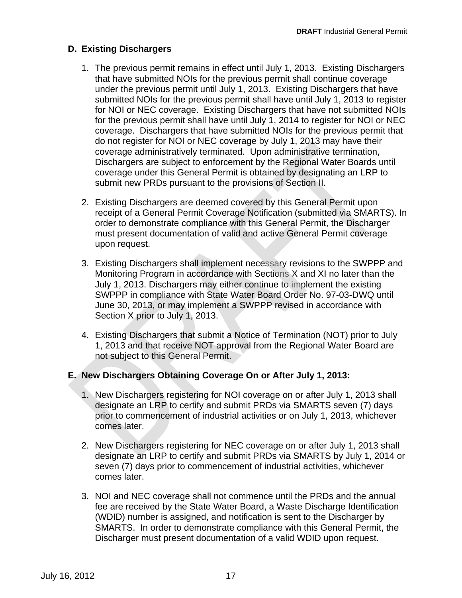## **D. Existing Dischargers**

- 1. The previous permit remains in effect until July 1, 2013. Existing Dischargers that have submitted NOIs for the previous permit shall continue coverage under the previous permit until July 1, 2013. Existing Dischargers that have submitted NOIs for the previous permit shall have until July 1, 2013 to register for NOI or NEC coverage. Existing Dischargers that have not submitted NOIs for the previous permit shall have until July 1, 2014 to register for NOI or NEC coverage. Dischargers that have submitted NOIs for the previous permit that do not register for NOI or NEC coverage by July 1, 2013 may have their coverage administratively terminated. Upon administrative termination, Dischargers are subject to enforcement by the Regional Water Boards until coverage under this General Permit is obtained by designating an LRP to submit new PRDs pursuant to the provisions of Section II.
- 2. Existing Dischargers are deemed covered by this General Permit upon receipt of a General Permit Coverage Notification (submitted via SMARTS). In order to demonstrate compliance with this General Permit, the Discharger must present documentation of valid and active General Permit coverage upon request.
- 3. Existing Dischargers shall implement necessary revisions to the SWPPP and July 1, 2013. Dischargers may either continue to implement the existing SWPPP in compliance with State Water Board Order No. 97-03-DWQ until June 30, 2013, or may implement a SWPPP revised in accordance with Section X prior to July 1, 2013. Monitoring Program in accordance with Sections X and XI no later than the
- 4. Existing Dischargers that submit a Notice of Termination (NOT) prior to July 1, 2013 and that receive NOT approval from the Regional Water Board are not subject to this General Permit.

### **E. New Dischargers Obtaining Coverage On or After July 1, 2013:**

- 1. New Dischargers registering for NOI coverage on or after July 1, 2013 shall designate an LRP to certify and submit PRDs via SMARTS seven (7) days prior to commencement of industrial activities or on July 1, 2013, whichever comes later.
- 2. New Dischargers registering for NEC coverage on or after July 1, 2013 shall designate an LRP to certify and submit PRDs via SMARTS by July 1, 2014 or seven (7) days prior to commencement of industrial activities, whichever comes later.
- 3. NOI and NEC coverage shall not commence until the PRDs and the annual fee are received by the State Water Board, a Waste Discharge Identification (WDID) number is assigned, and notification is sent to the Discharger by SMARTS. In order to demonstrate compliance with this General Permit, the Discharger must present documentation of a valid WDID upon request.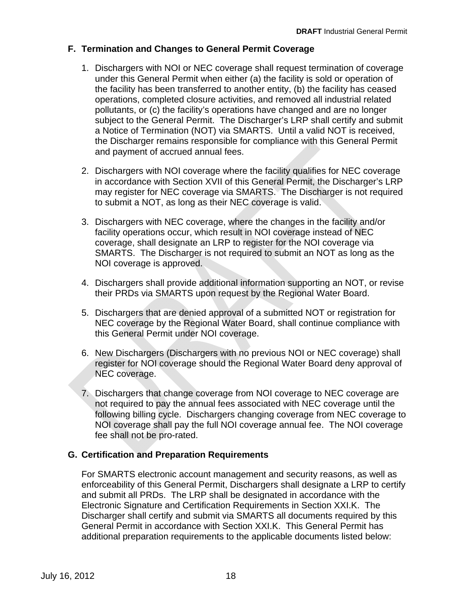### **F. Termination and Changes to General Permit Coverage**

- 1. Dischargers with NOI or NEC coverage shall request termination of coverage under this General Permit when either (a) the facility is sold or operation of the facility has been transferred to another entity, (b) the facility has ceased operations, completed closure activities, and removed all industrial related pollutants, or (c) the facility's operations have changed and are no longer subject to the General Permit. The Discharger's LRP shall certify and submit a Notice of Termination (NOT) via SMARTS. Until a valid NOT is received, the Discharger remains responsible for compliance with this General Permit and payment of accrued annual fees.
- 2. Dischargers with NOI coverage where the facility qualifies for NEC coverage in accordance with Section XVII of this General Permit, the Discharger's LRP may register for NEC coverage via SMARTS. The Discharger is not required to submit a NOT, as long as their NEC coverage is valid.
- 3. Dischargers with NEC coverage, where the changes in the facility and/or facility operations occur, which result in NOI coverage instead of NEC coverage, shall designate an LRP to register for the NOI coverage via SMARTS. The Discharger is not required to submit an NOT as long as the NOI coverage is approved.
- their PRDs via SMARTS upon request by the Regional Water Board. 4. Dischargers shall provide additional information supporting an NOT, or revise
- 5. Dischargers that are denied approval of a submitted NOT or registration for NEC coverage by the Regional Water Board, shall continue compliance with this General Permit under NOI coverage.
- NEC coverage. 6. New Dischargers (Dischargers with no previous NOI or NEC coverage) shall register for NOI coverage should the Regional Water Board deny approval of
- 7. Dischargers that change coverage from NOI coverage to NEC coverage are not required to pay the annual fees associated with NEC coverage until the following billing cycle. Dischargers changing coverage from NEC coverage to NOI coverage shall pay the full NOI coverage annual fee. The NOI coverage fee shall not be pro-rated.

### **G. Certification and Preparation Requirements**

For SMARTS electronic account management and security reasons, as well as enforceability of this General Permit, Dischargers shall designate a LRP to certify and submit all PRDs. The LRP shall be designated in accordance with the Electronic Signature and Certification Requirements in Section XXI.K. The Discharger shall certify and submit via SMARTS all documents required by this General Permit in accordance with Section XXI.K. This General Permit has additional preparation requirements to the applicable documents listed below: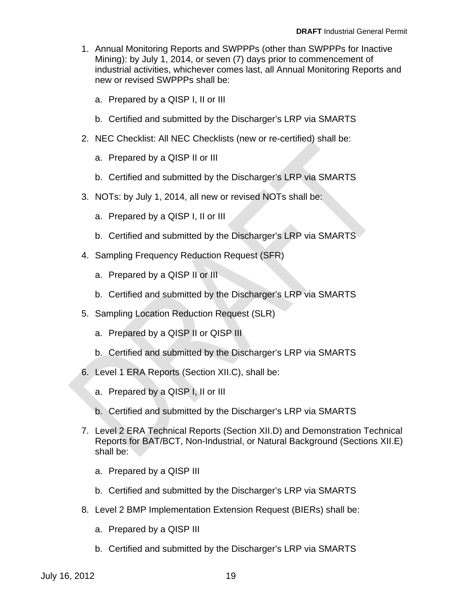- 1. Annual Monitoring Reports and SWPPPs (other than SWPPPs for Inactive Mining): by July 1, 2014, or seven (7) days prior to commencement of industrial activities, whichever comes last, all Annual Monitoring Reports and new or revised SWPPPs shall be:
	- a. Prepared by a QISP I, II or III
	- b. Certified and submitted by the Discharger's LRP via SMARTS
- 2. NEC Checklist: All NEC Checklists (new or re-certified) shall be:
	- a. Prepared by a QISP II or III
	- b. Certified and submitted by the Discharger's LRP via SMARTS
- 3. NOTs: by July 1, 2014, all new or revised NOTs shall be:
	- a. Prepared by a QISP I, II or III
	- b. Certified and submitted by the Discharger's LRP via SMARTS
- 4. Sampling Frequency Reduction Request (SFR)
	- a. Prepared by a QISP II or III
	- b. Certified and submitted by the Discharger's LRP via SMARTS
- 5. Sampling Location Reduction Request (SLR)
	- a. Prepared by a QISP II or QISP III
	- b. Certified and submitted by the Discharger's LRP via SMARTS
- 6. Level 1 ERA Reports (Section XII.C), shall be:
	- a. Prepared by a QISP I, II or III
	- b. Certified and submitted by the Discharger's LRP via SMARTS
- 7. Level 2 ERA Technical Reports (Section XII.D) and Demonstration Technical Reports for BAT/BCT, Non-Industrial, or Natural Background (Sections XII.E) shall be:
	- a. Prepared by a QISP III
	- b. Certified and submitted by the Discharger's LRP via SMARTS
- 8. Level 2 BMP Implementation Extension Request (BIERs) shall be:
	- a. Prepared by a QISP III
	- b. Certified and submitted by the Discharger's LRP via SMARTS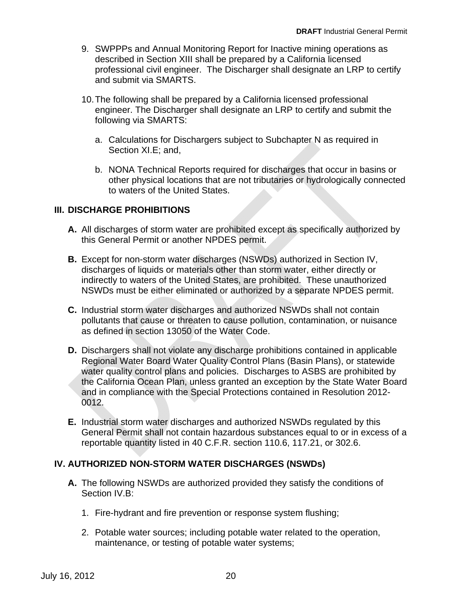- <span id="page-21-0"></span>9. SWPPPs and Annual Monitoring Report for Inactive mining operations as described in Section XIII shall be prepared by a California licensed professional civil engineer. The Discharger shall designate an LRP to certify and submit via SMARTS.
- 10.The following shall be prepared by a California licensed professional engineer. The Discharger shall designate an LRP to certify and submit the following via SMARTS:
	- a. Calculations for Dischargers subject to Subchapter N as required in Section XI.E; and,
	- b. NONA Technical Reports required for discharges that occur in basins or other physical locations that are not tributaries or hydrologically connected to waters of the United States.

## **III. DISCHARGE PROHIBITIONS**

- **A.** All discharges of storm water are prohibited except as specifically authorized by this General Permit or another NPDES permit.
- **B.**  Except for non-storm water discharges (NSWDs) authorized in Section IV, NSWDs must be either eliminated or authorized by a separate NPDES permit. discharges of liquids or materials other than storm water, either directly or indirectly to waters of the United States, are prohibited. These unauthorized
- **C.** Industrial storm water discharges and authorized NSWDs shall not contain pollutants that cause or threaten to cause pollution, contamination, or nuisance as defined in section 13050 of the Water Code.
- water quality control plans and policies. Discharges to ASBS are prohibited by the California Ocean Plan, unless granted an exception by the State Water Board and in compliance with the Special Protections contained in Resolution 2012 0012. **D.** Dischargers shall not violate any discharge prohibitions contained in applicable Regional Water Board Water Quality Control Plans (Basin Plans), or statewide
- **E.** Industrial storm water discharges and authorized NSWDs regulated by this General Permit shall not contain hazardous substances equal to or in excess of a reportable quantity listed in 40 C.F.R. section 110.6, 117.21, or 302.6.

### **IV. AUTHORIZED NON-STORM WATER DISCHARGES (NSWDs)**

- **A.** The following NSWDs are authorized provided they satisfy the conditions of Section IV.B:
	- 1. Fire-hydrant and fire prevention or response system flushing;
	- 2. Potable water sources; including potable water related to the operation, maintenance, or testing of potable water systems;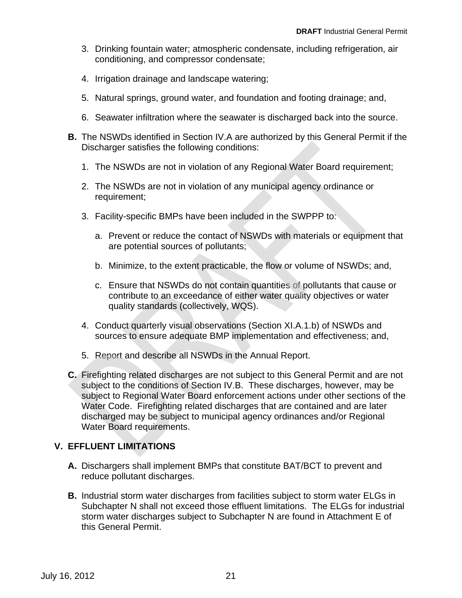- <span id="page-22-0"></span>3. Drinking fountain water; atmospheric condensate, including refrigeration, air conditioning, and compressor condensate;
- 4. Irrigation drainage and landscape watering;
- 5. Natural springs, ground water, and foundation and footing drainage; and,
- 6. Seawater infiltration where the seawater is discharged back into the source.
- **B.** The NSWDs identified in Section IV.A are authorized by this General Permit if the Discharger satisfies the following conditions:
	- 1. The NSWDs are not in violation of any Regional Water Board requirement;
	- 2. The NSWDs are not in violation of any municipal agency ordinance or requirement;
	- 3. Facility-specific BMPs have been included in the SWPPP to:
		- a. Prevent or reduce the contact of NSWDs with materials or equipment that are potential sources of pollutants;
		- b. Minimize, to the extent practicable, the flow or volume of NSWDs; and,
		- c. Ensure that NSWDs do not contain quantities of pollutants that cause or contribute to an exceedance of either water quality objectives or water quality standards (collectively, WQS).
	- 4. Conduct quarterly visual observations (Section XI.A.1.b) of NSWDs and sources to ensure adequate BMP implementation and effectiveness; and,
	- 5. Report and describe all NSWDs in the Annual Report.
- **C.** Firefighting related discharges are not subject to this General Permit and are not subject to the conditions of Section IV.B. These discharges, however, may be subject to Regional Water Board enforcement actions under other sections of the Water Code. Firefighting related discharges that are contained and are later discharged may be subject to municipal agency ordinances and/or Regional Water Board requirements.

### **V. EFFLUENT LIMITATIONS**

- **A.** Dischargers shall implement BMPs that constitute BAT/BCT to prevent and reduce pollutant discharges.
- **B.** Industrial storm water discharges from facilities subject to storm water ELGs in Subchapter N shall not exceed those effluent limitations. The ELGs for industrial storm water discharges subject to Subchapter N are found in Attachment E of this General Permit.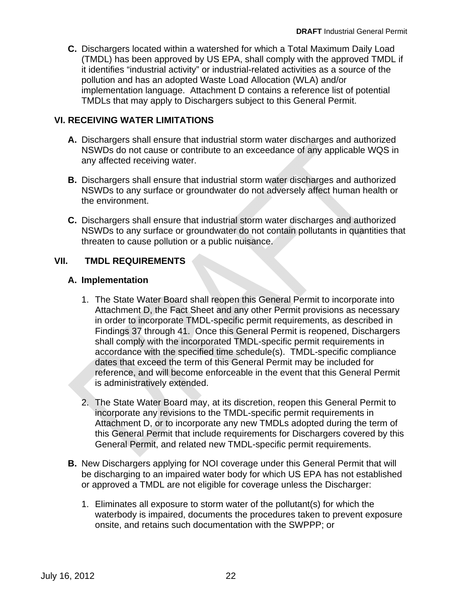<span id="page-23-0"></span>**C.** Dischargers located within a watershed for which a Total Maximum Daily Load (TMDL) has been approved by US EPA, shall comply with the approved TMDL if it identifies "industrial activity" or industrial-related activities as a source of the pollution and has an adopted Waste Load Allocation (WLA) and/or implementation language. Attachment D contains a reference list of potential TMDLs that may apply to Dischargers subject to this General Permit.

## **VI. RECEIVING WATER LIMITATIONS**

- **A.** Dischargers shall ensure that industrial storm water discharges and authorized NSWDs do not cause or contribute to an exceedance of any applicable WQS in any affected receiving water.
- **B.** Dischargers shall ensure that industrial storm water discharges and authorized NSWDs to any surface or groundwater do not adversely affect human health or the environment.
- **C.** Dischargers shall ensure that industrial storm water discharges and authorized NSWDs to any surface or groundwater do not contain pollutants in quantities that threaten to cause pollution or a public nuisance.

## **VII. TMDL REQUIREMENTS**

### **A. Implementation**

- is administratively extended. 1. The State Water Board shall reopen this General Permit to incorporate into Attachment D, the Fact Sheet and any other Permit provisions as necessary in order to incorporate TMDL-specific permit requirements, as described in Findings 37 through 41. Once this General Permit is reopened, Dischargers shall comply with the incorporated TMDL-specific permit requirements in accordance with the specified time schedule(s). TMDL-specific compliance dates that exceed the term of this General Permit may be included for reference, and will become enforceable in the event that this General Permit
- 2. The State Water Board may, at its discretion, reopen this General Permit to incorporate any revisions to the TMDL-specific permit requirements in Attachment D, or to incorporate any new TMDLs adopted during the term of this General Permit that include requirements for Dischargers covered by this General Permit, and related new TMDL-specific permit requirements.
- **B.** New Dischargers applying for NOI coverage under this General Permit that will be discharging to an impaired water body for which US EPA has not established or approved a TMDL are not eligible for coverage unless the Discharger:
	- 1. Eliminates all exposure to storm water of the pollutant(s) for which the waterbody is impaired, documents the procedures taken to prevent exposure onsite, and retains such documentation with the SWPPP; or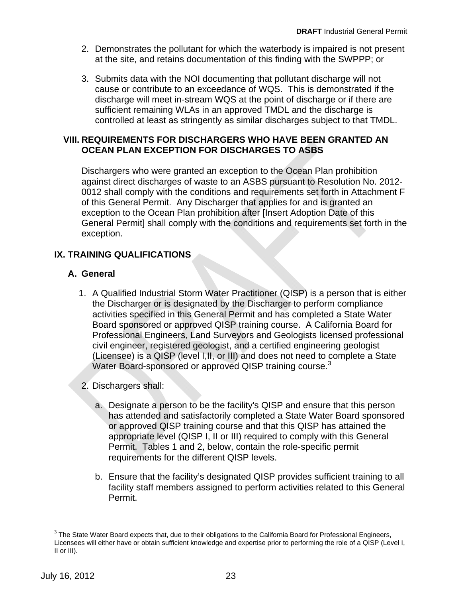- <span id="page-24-0"></span>2. Demonstrates the pollutant for which the waterbody is impaired is not present at the site, and retains documentation of this finding with the SWPPP; or
- 3. Submits data with the NOI documenting that pollutant discharge will not cause or contribute to an exceedance of WQS. This is demonstrated if the discharge will meet in-stream WQS at the point of discharge or if there are sufficient remaining WLAs in an approved TMDL and the discharge is controlled at least as stringently as similar discharges subject to that TMDL.

#### **VIII. REQUIREMENTS FOR DISCHARGERS WHO HAVE BEEN GRANTED AN OCEAN PLAN EXCEPTION FOR DISCHARGES TO ASBS**

Dischargers who were granted an exception to the Ocean Plan prohibition against direct discharges of waste to an ASBS pursuant to Resolution No. 2012 0012 shall comply with the conditions and requirements set forth in Attachment F of this General Permit. Any Discharger that applies for and is granted an exception to the Ocean Plan prohibition after [Insert Adoption Date of this General Permit] shall comply with the conditions and requirements set forth in the exception.

## **IX. TRAINING QUALIFICATIONS**

## **A. General**

- Water Board-sponsored or approved QISP training course. $3$ 1. A Qualified Industrial Storm Water Practitioner (QISP) is a person that is either the Discharger or is designated by the Discharger to perform compliance activities specified in this General Permit and has completed a State Water Board sponsored or approved QISP training course. A California Board for Professional Engineers, Land Surveyors and Geologists licensed professional civil engineer, registered geologist, and a certified engineering geologist (Licensee) is a QISP (level I,II, or III) and does not need to complete a State
- 2. Dischargers shall:
	- a. Designate a person to be the facility's QISP and ensure that this person has attended and satisfactorily completed a State Water Board sponsored or approved QISP training course and that this QISP has attained the appropriate level (QISP I, II or III) required to comply with this General Permit. Tables 1 and 2, below, contain the role-specific permit requirements for the different QISP levels.
	- b. Ensure that the facility's designated QISP provides sufficient training to all facility staff members assigned to perform activities related to this General Permit.

1

 $3$  The State Water Board expects that, due to their obligations to the California Board for Professional Engineers, Licensees will either have or obtain sufficient knowledge and expertise prior to performing the role of a QISP (Level I, II or III).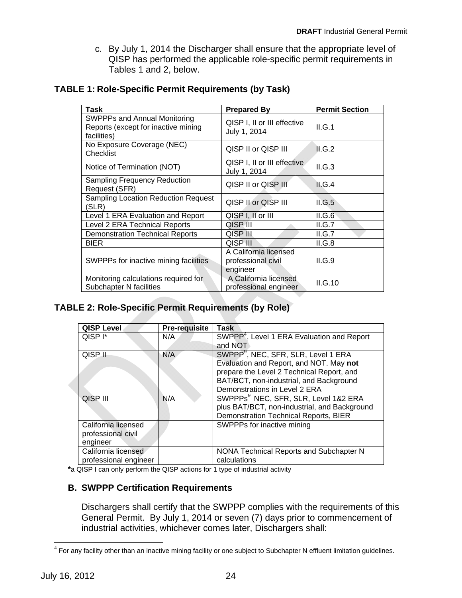c. By July 1, 2014 the Discharger shall ensure that the appropriate level of QISP has performed the applicable role-specific permit requirements in Tables 1 and 2, below.

| Task                                                                                      | <b>Prepared By</b>                                      | <b>Permit Section</b> |
|-------------------------------------------------------------------------------------------|---------------------------------------------------------|-----------------------|
| <b>SWPPPs and Annual Monitoring</b><br>Reports (except for inactive mining<br>facilities) | QISP I, II or III effective<br>July 1, 2014             | II.G.1                |
| No Exposure Coverage (NEC)<br>Checklist                                                   | QISP II or QISP III                                     | II.G.2                |
| Notice of Termination (NOT)                                                               | QISP I, II or III effective<br>July 1, 2014             | II.G.3                |
| <b>Sampling Frequency Reduction</b><br>Request (SFR)                                      | QISP II or QISP III                                     | II.G.4                |
| Sampling Location Reduction Request<br>(SLR)                                              | QISP II or QISP III                                     | II.G.5                |
| Level 1 ERA Evaluation and Report                                                         | QISP I, II or III                                       | II.G.6                |
| Level 2 ERA Technical Reports                                                             | QISP III                                                | II.G.7                |
| <b>Demonstration Technical Reports</b>                                                    | QISP III                                                | II.G.7                |
| <b>BIER</b>                                                                               | <b>QISP III</b>                                         | II.G.8                |
| SWPPPs for inactive mining facilities                                                     | A California licensed<br>professional civil<br>engineer | II.G.9                |
| Monitoring calculations required for<br><b>Subchapter N facilities</b>                    | A California licensed<br>professional engineer          | II.G.10               |

### <span id="page-25-0"></span>**TABLE 1: Role-Specific Permit Requirements (by Task)**

### **TABLE 2: Role-Specific Permit Requirements (by Role)**

| <b>QISP Level</b>     | <b>Pre-requisite</b> | <b>Task</b>                                            |
|-----------------------|----------------------|--------------------------------------------------------|
| QISP <sup>I*</sup>    | N/A                  | SWPPP <sup>4</sup> , Level 1 ERA Evaluation and Report |
|                       |                      | and NOT                                                |
| QISP II               | N/A                  | SWPPP <sup>9</sup> , NEC, SFR, SLR, Level 1 ERA        |
|                       |                      | Evaluation and Report, and NOT. May not                |
|                       |                      | prepare the Level 2 Technical Report, and              |
|                       |                      | BAT/BCT, non-industrial, and Background                |
|                       |                      | Demonstrations in Level 2 ERA                          |
| QISP III              | N/A                  | SWPPPs <sup>9</sup> NEC, SFR, SLR, Level 1&2 ERA       |
|                       |                      | plus BAT/BCT, non-industrial, and Background           |
|                       |                      | Demonstration Technical Reports, BIER                  |
| California licensed   |                      | SWPPPs for inactive mining                             |
| professional civil    |                      |                                                        |
| engineer              |                      |                                                        |
| California licensed   |                      | NONA Technical Reports and Subchapter N                |
| professional engineer |                      | calculations                                           |

**\***a QISP I can only perform the QISP actions for 1 type of industrial activity

### **B. SWPPP Certification Requirements**

Dischargers shall certify that the SWPPP complies with the requirements of this General Permit. By July 1, 2014 or seven (7) days prior to commencement of industrial activities, whichever comes later, Dischargers shall:

 $\overline{a}$ <sup>4</sup> For any facility other than an inactive mining facility or one subject to Subchapter N effluent limitation guidelines.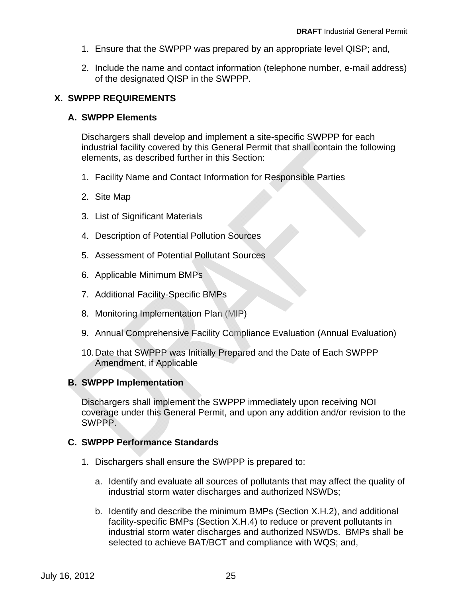- <span id="page-26-0"></span>1. Ensure that the SWPPP was prepared by an appropriate level QISP; and,
- 2. Include the name and contact information (telephone number, e-mail address) of the designated QISP in the SWPPP.

### **X. SWPPP REQUIREMENTS**

#### **A. SWPPP Elements**

Dischargers shall develop and implement a site-specific SWPPP for each industrial facility covered by this General Permit that shall contain the following elements, as described further in this Section:

- 1. Facility Name and Contact Information for Responsible Parties
- 2. Site Map
- 3. List of Significant Materials
- 4. Description of Potential Pollution Sources
- 5. Assessment of Potential Pollutant Sources
- 6. Applicable Minimum BMPs
- 7. Additional Facility-Specific BMPs
- 8. Monitoring Implementation Plan (MIP)
- 9. Annual Comprehensive Facility Compliance Evaluation (Annual Evaluation)
- 10. Date that SWPPP was Initially Prepared and the Date of Each SWPPP Amendment, if Applicable

### **B. SWPPP Implementation**

Dischargers shall implement the SWPPP immediately upon receiving NOI coverage under this General Permit, and upon any addition and/or revision to the SWPPP.

### **C. SWPPP Performance Standards**

- 1. Dischargers shall ensure the SWPPP is prepared to:
	- a. Identify and evaluate all sources of pollutants that may affect the quality of industrial storm water discharges and authorized NSWDs;
	- b. Identify and describe the minimum BMPs (Section X.H.2), and additional facility-specific BMPs (Section X.H.4) to reduce or prevent pollutants in industrial storm water discharges and authorized NSWDs. BMPs shall be selected to achieve BAT/BCT and compliance with WQS; and,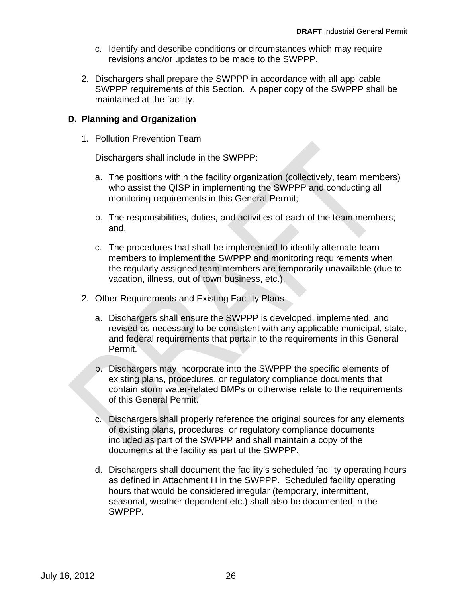- c. Identify and describe conditions or circumstances which may require revisions and/or updates to be made to the SWPPP.
- 2. Dischargers shall prepare the SWPPP in accordance with all applicable SWPPP requirements of this Section. A paper copy of the SWPPP shall be maintained at the facility.

### **D. Planning and Organization**

1. Pollution Prevention Team

Dischargers shall include in the SWPPP:

- a. The positions within the facility organization (collectively, team members) who assist the QISP in implementing the SWPPP and conducting all monitoring requirements in this General Permit;
- b. The responsibilities, duties, and activities of each of the team members; and,
- c. The procedures that shall be implemented to identify alternate team vacation, illness, out of town business, etc.). members to implement the SWPPP and monitoring requirements when the regularly assigned team members are temporarily unavailable (due to
- 2. Other Requirements and Existing Facility Plans
	- a. Dischargers shall ensure the SWPPP is developed, implemented, and revised as necessary to be consistent with any applicable municipal, state, and federal requirements that pertain to the requirements in this General Permit.
	- b. Dischargers may incorporate into the SWPPP the specific elements of existing plans, procedures, or regulatory compliance documents that contain storm water-related BMPs or otherwise relate to the requirements of this General Permit.
	- c. Dischargers shall properly reference the original sources for any elements of existing plans, procedures, or regulatory compliance documents included as part of the SWPPP and shall maintain a copy of the documents at the facility as part of the SWPPP.
	- d. Dischargers shall document the facility's scheduled facility operating hours as defined in Attachment H in the SWPPP. Scheduled facility operating hours that would be considered irregular (temporary, intermittent, seasonal, weather dependent etc.) shall also be documented in the SWPPP.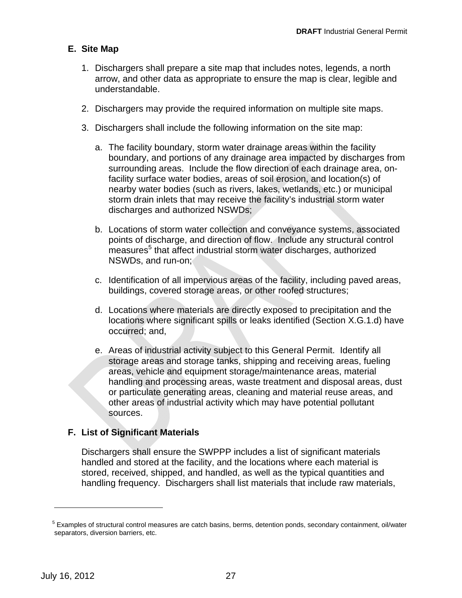## **E. Site Map**

- 1. Dischargers shall prepare a site map that includes notes, legends, a north arrow, and other data as appropriate to ensure the map is clear, legible and understandable.
- 2. Dischargers may provide the required information on multiple site maps.
- 3. Dischargers shall include the following information on the site map:
	- a. The facility boundary, storm water drainage areas within the facility boundary, and portions of any drainage area impacted by discharges from surrounding areas. Include the flow direction of each drainage area, onfacility surface water bodies, areas of soil erosion, and location(s) of nearby water bodies (such as rivers, lakes, wetlands, etc.) or municipal storm drain inlets that may receive the facility's industrial storm water discharges and authorized NSWDs;
	- b. Locations of storm water collection and conveyance systems, associated points of discharge, and direction of flow. Include any structural control measures<sup>5</sup> that affect industrial storm water discharges, authorized NSWDs, and run-on;
	- buildings, covered storage areas, or other roofed structures; c. Identification of all impervious areas of the facility, including paved areas,
	- d. Locations where materials are directly exposed to precipitation and the locations where significant spills or leaks identified (Section X.G.1.d) have occurred; and,
	- sources. e. Areas of industrial activity subject to this General Permit. Identify all storage areas and storage tanks, shipping and receiving areas, fueling areas, vehicle and equipment storage/maintenance areas, material handling and processing areas, waste treatment and disposal areas, dust or particulate generating areas, cleaning and material reuse areas, and other areas of industrial activity which may have potential pollutant

# **F. List of Significant Materials**

Dischargers shall ensure the SWPPP includes a list of significant materials handled and stored at the facility, and the locations where each material is stored, received, shipped, and handled, as well as the typical quantities and handling frequency. Dischargers shall list materials that include raw materials,

 $\overline{a}$ 

<sup>&</sup>lt;sup>5</sup> Examples of structural control measures are catch basins, berms, detention ponds, secondary containment, oil/water separators, diversion barriers, etc.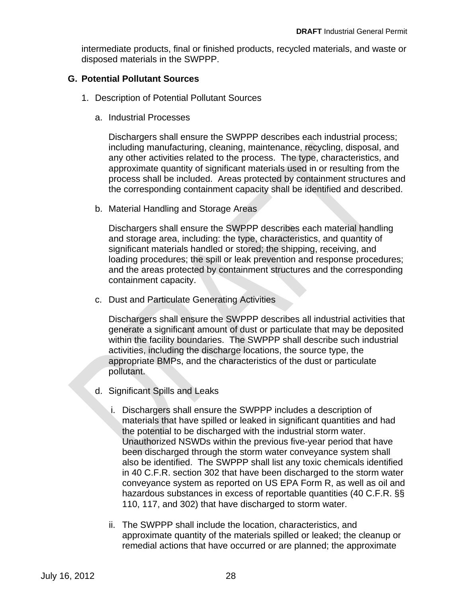intermediate products, final or finished products, recycled materials, and waste or disposed materials in the SWPPP.

#### **G. Potential Pollutant Sources**

- 1. Description of Potential Pollutant Sources
	- a. Industrial Processes

Dischargers shall ensure the SWPPP describes each industrial process; including manufacturing, cleaning, maintenance, recycling, disposal, and any other activities related to the process. The type, characteristics, and approximate quantity of significant materials used in or resulting from the process shall be included. Areas protected by containment structures and the corresponding containment capacity shall be identified and described.

b. Material Handling and Storage Areas

Dischargers shall ensure the SWPPP describes each material handling and storage area, including: the type, characteristics, and quantity of significant materials handled or stored; the shipping, receiving, and loading procedures; the spill or leak prevention and response procedures; and the areas protected by containment structures and the corresponding containment capacity.

c. Dust and Particulate Generating Activities

pollutant. Dischargers shall ensure the SWPPP describes all industrial activities that generate a significant amount of dust or particulate that may be deposited within the facility boundaries. The SWPPP shall describe such industrial activities, including the discharge locations, the source type, the appropriate BMPs, and the characteristics of the dust or particulate

- d. Significant Spills and Leaks
	- i. Dischargers shall ensure the SWPPP includes a description of materials that have spilled or leaked in significant quantities and had the potential to be discharged with the industrial storm water. Unauthorized NSWDs within the previous five-year period that have been discharged through the storm water conveyance system shall also be identified. The SWPPP shall list any toxic chemicals identified in 40 C.F.R. section 302 that have been discharged to the storm water conveyance system as reported on US EPA Form R, as well as oil and hazardous substances in excess of reportable quantities (40 C.F.R. §§ 110, 117, and 302) that have discharged to storm water.
	- ii. The SWPPP shall include the location, characteristics, and approximate quantity of the materials spilled or leaked; the cleanup or remedial actions that have occurred or are planned; the approximate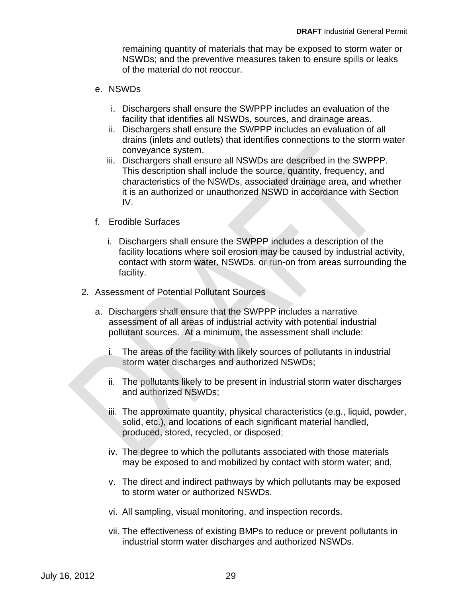remaining quantity of materials that may be exposed to storm water or NSWDs; and the preventive measures taken to ensure spills or leaks of the material do not reoccur.

- e. NSWDs
	- i. Dischargers shall ensure the SWPPP includes an evaluation of the facility that identifies all NSWDs, sources, and drainage areas.
	- ii. Dischargers shall ensure the SWPPP includes an evaluation of all drains (inlets and outlets) that identifies connections to the storm water conveyance system.
	- iii. Dischargers shall ensure all NSWDs are described in the SWPPP. This description shall include the source, quantity, frequency, and characteristics of the NSWDs, associated drainage area, and whether it is an authorized or unauthorized NSWD in accordance with Section IV.
- f. Erodible Surfaces
	- contact with storm water, NSWDs, or run-on from areas surrounding the facility. i. Dischargers shall ensure the SWPPP includes a description of the facility locations where soil erosion may be caused by industrial activity,
- 2. Assessment of Potential Pollutant Sources
	- a. Dischargers shall ensure that the SWPPP includes a narrative assessment of all areas of industrial activity with potential industrial pollutant sources. At a minimum, the assessment shall include:
		- i. The areas of the facility with likely sources of pollutants in industrial storm water discharges and authorized NSWDs;
		- ii. The pollutants likely to be present in industrial storm water discharges and authorized NSWDs;
		- produced, stored, recycled, or disposed; iii. The approximate quantity, physical characteristics (e.g., liquid, powder, solid, etc.), and locations of each significant material handled,
		- iv. The degree to which the pollutants associated with those materials may be exposed to and mobilized by contact with storm water; and,
		- v. The direct and indirect pathways by which pollutants may be exposed to storm water or authorized NSWDs.
		- vi. All sampling, visual monitoring, and inspection records.
		- vii. The effectiveness of existing BMPs to reduce or prevent pollutants in industrial storm water discharges and authorized NSWDs.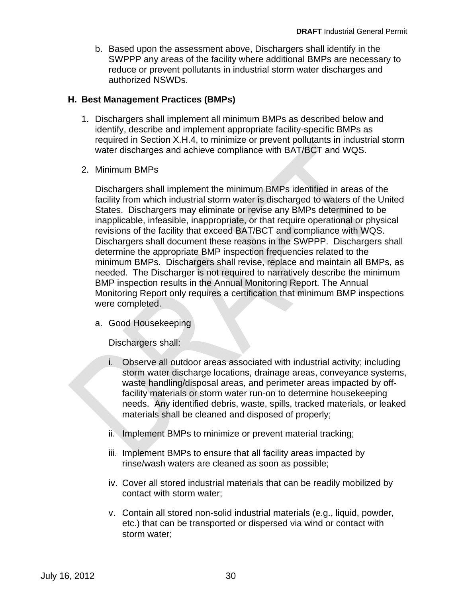b. Based upon the assessment above, Dischargers shall identify in the SWPPP any areas of the facility where additional BMPs are necessary to reduce or prevent pollutants in industrial storm water discharges and authorized NSWDs.

#### **H. Best Management Practices (BMPs)**

- 1. Dischargers shall implement all minimum BMPs as described below and identify, describe and implement appropriate facility-specific BMPs as required in Section X.H.4, to minimize or prevent pollutants in industrial storm water discharges and achieve compliance with BAT/BCT and WQS.
- 2. Minimum BMPs

Dischargers shall implement the minimum BMPs identified in areas of the facility from which industrial storm water is discharged to waters of the United States. Dischargers may eliminate or revise any BMPs determined to be inapplicable, infeasible, inappropriate, or that require operational or physical revisions of the facility that exceed BAT/BCT and compliance with WQS. Dischargers shall document these reasons in the SWPPP. Dischargers shall determine the appropriate BMP inspection frequencies related to the BMP inspection results in the Annual Monitoring Report. The Annual Monitoring Report only requires a certification that minimum BMP inspections were completed. minimum BMPs. Dischargers shall revise, replace and maintain all BMPs, as needed. The Discharger is not required to narratively describe the minimum

a. Good Housekeeping

Dischargers shall:

- i. Observe all outdoor areas associated with industrial activity; including storm water discharge locations, drainage areas, conveyance systems, waste handling/disposal areas, and perimeter areas impacted by offfacility materials or storm water run-on to determine housekeeping needs. Any identified debris, waste, spills, tracked materials, or leaked materials shall be cleaned and disposed of properly;
- ii. Implement BMPs to minimize or prevent material tracking;
- iii. Implement BMPs to ensure that all facility areas impacted by rinse/wash waters are cleaned as soon as possible;
- iv. Cover all stored industrial materials that can be readily mobilized by contact with storm water;
- v. Contain all stored non-solid industrial materials (e.g., liquid, powder, etc.) that can be transported or dispersed via wind or contact with storm water;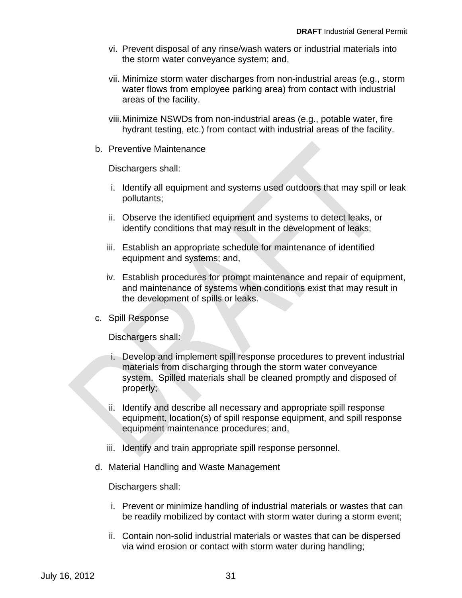- vi. Prevent disposal of any rinse/wash waters or industrial materials into the storm water conveyance system; and,
- vii. Minimize storm water discharges from non-industrial areas (e.g., storm water flows from employee parking area) from contact with industrial areas of the facility.
- viii.Minimize NSWDs from non-industrial areas (e.g., potable water, fire hydrant testing, etc.) from contact with industrial areas of the facility.
- b. Preventive Maintenance

Dischargers shall:

- i. Identify all equipment and systems used outdoors that may spill or leak pollutants;
- ii. Observe the identified equipment and systems to detect leaks, or identify conditions that may result in the development of leaks;
- iii. Establish an appropriate schedule for maintenance of identified equipment and systems; and,
- Establish procedures for prompt maintenance and repair of equipment, iv. and maintenance of systems when conditions exist that may result in the development of spills or leaks.
- c. Spill Response

Dischargers shall:

- i. Develop and implement spill response procedures to prevent industrial materials from discharging through the storm water conveyance system. Spilled materials shall be cleaned promptly and disposed of properly;
- ii. Identify and describe all necessary and appropriate spill response equipment, location(s) of spill response equipment, and spill response equipment maintenance procedures; and,
- iii. Identify and train appropriate spill response personnel.
- d. Material Handling and Waste Management

Dischargers shall:

- i. Prevent or minimize handling of industrial materials or wastes that can be readily mobilized by contact with storm water during a storm event;
- ii. Contain non-solid industrial materials or wastes that can be dispersed via wind erosion or contact with storm water during handling;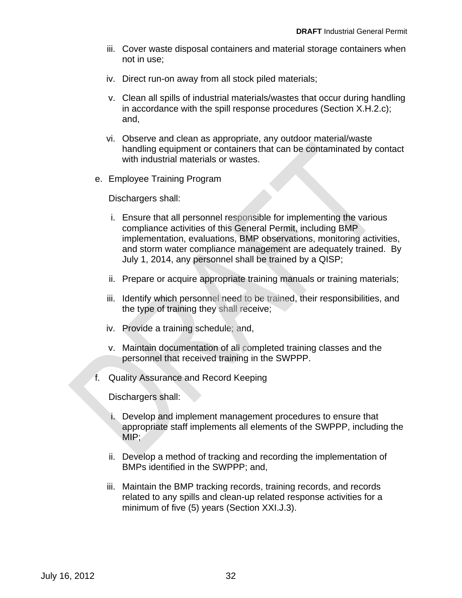- iii. Cover waste disposal containers and material storage containers when not in use;
- iv. Direct run-on away from all stock piled materials;
- v. Clean all spills of industrial materials/wastes that occur during handling in accordance with the spill response procedures (Section X.H.2.c); and,
- vi. Observe and clean as appropriate, any outdoor material/waste handling equipment or containers that can be contaminated by contact with industrial materials or wastes.
- e. Employee Training Program

Dischargers shall:

- i. Ensure that all personnel responsible for implementing the various July 1, 2014, any personnel shall be trained by a QISP; compliance activities of this General Permit, including BMP implementation, evaluations, BMP observations, monitoring activities, and storm water compliance management are adequately trained. By
- ii. Prepare or acquire appropriate training manuals or training materials;
- iii. Identify which personnel need to be trained, their responsibilities, and the type of training they shall receive;
- iv. Provide a training schedule; and,
- v. Maintain documentation of all completed training classes and the personnel that received training in the SWPPP.
- f. Quality Assurance and Record Keeping

Dischargers shall:

- i. Develop and implement management procedures to ensure that MIP; appropriate staff implements all elements of the SWPPP, including the
- ii. Develop a method of tracking and recording the implementation of BMPs identified in the SWPPP; and,
- iii. Maintain the BMP tracking records, training records, and records related to any spills and clean-up related response activities for a minimum of five (5) years (Section XXI.J.3).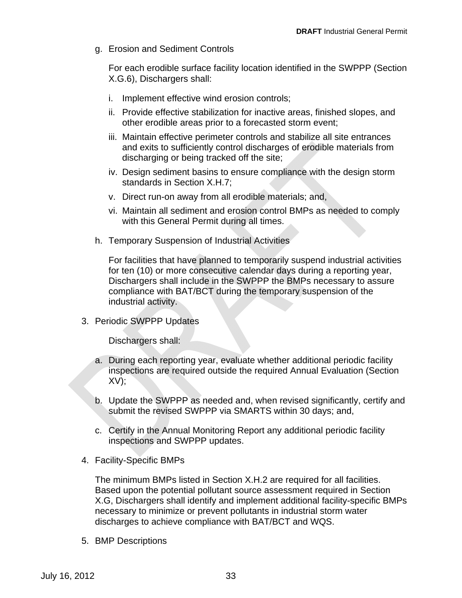g. Erosion and Sediment Controls

For each erodible surface facility location identified in the SWPPP (Section X.G.6), Dischargers shall:

- i. Implement effective wind erosion controls;
- ii. Provide effective stabilization for inactive areas, finished slopes, and other erodible areas prior to a forecasted storm event;
- iii. Maintain effective perimeter controls and stabilize all site entrances and exits to sufficiently control discharges of erodible materials from discharging or being tracked off the site;
- iv. Design sediment basins to ensure compliance with the design storm standards in Section X.H.7;
- v. Direct run-on away from all erodible materials; and,
- vi. Maintain all sediment and erosion control BMPs as needed to comply with this General Permit during all times.
- h. Temporary Suspension of Industrial Activities

For facilities that have planned to temporarily suspend industrial activities for ten (10) or more consecutive calendar days during a reporting year, Dischargers shall include in the SWPPP the BMPs necessary to assure compliance with BAT/BCT during the temporary suspension of the industrial activity.

3. Periodic SWPPP Updates

Dischargers shall:

- a. During each reporting year, evaluate whether additional periodic facility inspections are required outside the required Annual Evaluation (Section  $XV$ ;
- b. Update the SWPPP as needed and, when revised significantly, certify and submit the revised SWPPP via SMARTS within 30 days; and,
- c. Certify in the Annual Monitoring Report any additional periodic facility inspections and SWPPP updates.
- 4. Facility-Specific BMPs

The minimum BMPs listed in Section X.H.2 are required for all facilities. Based upon the potential pollutant source assessment required in Section X.G, Dischargers shall identify and implement additional facility-specific BMPs necessary to minimize or prevent pollutants in industrial storm water discharges to achieve compliance with BAT/BCT and WQS.

5. BMP Descriptions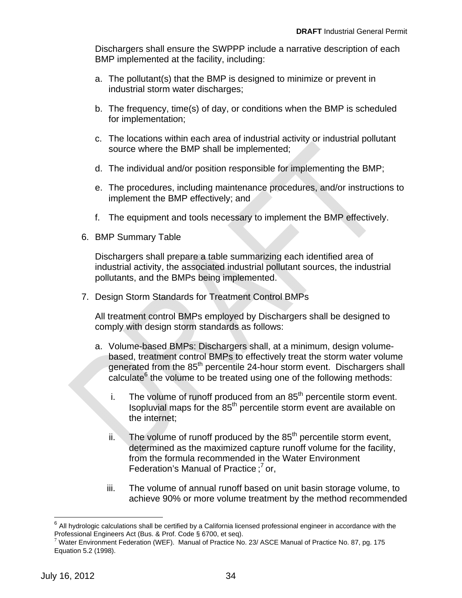Dischargers shall ensure the SWPPP include a narrative description of each BMP implemented at the facility, including:

- a. The pollutant(s) that the BMP is designed to minimize or prevent in industrial storm water discharges;
- b. The frequency, time(s) of day, or conditions when the BMP is scheduled for implementation;
- c. The locations within each area of industrial activity or industrial pollutant source where the BMP shall be implemented;
- d. The individual and/or position responsible for implementing the BMP;
- e. The procedures, including maintenance procedures, and/or instructions to implement the BMP effectively; and
- f. The equipment and tools necessary to implement the BMP effectively.
- 6. BMP Summary Table

Dischargers shall prepare a table summarizing each identified area of industrial activity, the associated industrial pollutant sources, the industrial pollutants, and the BMPs being implemented.

7. Design Storm Standards for Treatment Control BMPs

All treatment control BMPs employed by Dischargers shall be designed to comply with design storm standards as follows:

- a. Volume-based BMPs: Dischargers shall, at a minimum, design volumebased, treatment control BMPs to effectively treat the storm water volume generated from the 85<sup>th</sup> percentile 24-hour storm event. Dischargers shall  $c$ alculate $<sup>6</sup>$  the volume to be treated using one of the following methods:</sup>
	- i. the internet; The volume of runoff produced from an 85<sup>th</sup> percentile storm event. Isopluvial maps for the 85th percentile storm event are available on
	- ii. The volume of runoff produced by the 85<sup>th</sup> percentile storm event, determined as the maximized capture runoff volume for the facility, from the formula recommended in the Water Environment Federation's Manual of Practice;<sup>7</sup> or,
	- iii. The volume of annual runoff based on unit basin storage volume, to achieve 90% or more volume treatment by the method recommended

 $\overline{a}$ 

 $<sup>6</sup>$  All hydrologic calculations shall be certified by a California licensed professional engineer in accordance with the</sup> Professional Engineers Act (Bus. & Prof. Code § 6700, et seq).

 $^7$  Water Environment Federation (WEF). Manual of Practice No. 23/ ASCE Manual of Practice No. 87, pg. 175 Equation 5.2 (1998).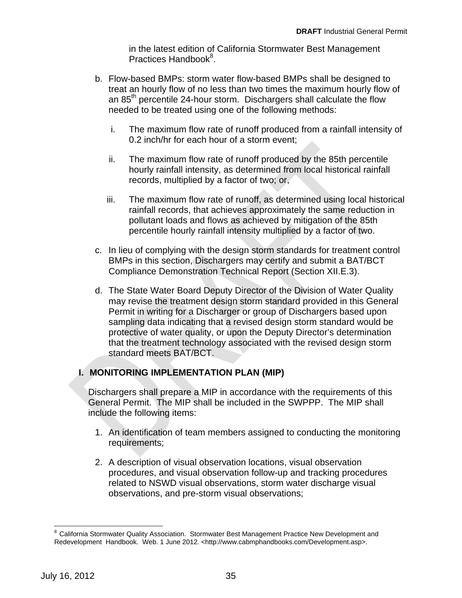in the latest edition of California Stormwater Best Management Practices Handbook<sup>8</sup>.

- b. Flow-based BMPs: storm water flow-based BMPs shall be designed to treat an hourly flow of no less than two times the maximum hourly flow of an 85<sup>th</sup> percentile 24-hour storm. Dischargers shall calculate the flow needed to be treated using one of the following methods:
	- i. The maximum flow rate of runoff produced from a rainfall intensity of 0.2 inch/hr for each hour of a storm event;
	- ii. The maximum flow rate of runoff produced by the 85th percentile hourly rainfall intensity, as determined from local historical rainfall records, multiplied by a factor of two; or,
	- iii. The maximum flow rate of runoff, as determined using local historical rainfall records, that achieves approximately the same reduction in pollutant loads and flows as achieved by mitigation of the 85th percentile hourly rainfall intensity multiplied by a factor of two.
- BMPs in this section, Dischargers may certify and submit a BAT/BCT Compliance Demonstration Technical Report (Section XII.E.3). c. In lieu of complying with the design storm standards for treatment control
- d. The State Water Board Deputy Director of the Division of Water Quality may revise the treatment design storm standard provided in this General Permit in writing for a Discharger or group of Dischargers based upon sampling data indicating that a revised design storm standard would be protective of water quality, or upon the Deputy Director's determination that the treatment technology associated with the revised design storm standard meets BAT/BCT.

# **I. MONITORING IMPLEMENTATION PLAN (MIP)**

Dischargers shall prepare a MIP in accordance with the requirements of this General Permit. The MIP shall be included in the SWPPP. The MIP shall include the following items:

- requirements; 1. An identification of team members assigned to conducting the monitoring
- 2. A description of visual observation locations, visual observation procedures, and visual observation follow-up and tracking procedures related to NSWD visual observations, storm water discharge visual observations, and pre-storm visual observations;

 $\overline{a}$ <sup>8</sup> California Stormwater Quality Association. Stormwater Best Management Practice New Development and Redevelopment Handbook. Web. 1 June 2012. <http://www.cabmphandbooks.com/Development.asp>.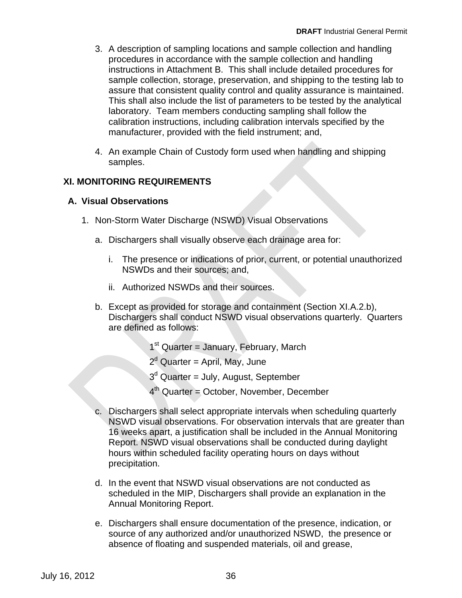- 3. A description of sampling locations and sample collection and handling procedures in accordance with the sample collection and handling instructions in Attachment B. This shall include detailed procedures for sample collection, storage, preservation, and shipping to the testing lab to assure that consistent quality control and quality assurance is maintained. This shall also include the list of parameters to be tested by the analytical laboratory. Team members conducting sampling shall follow the calibration instructions, including calibration intervals specified by the manufacturer, provided with the field instrument; and,
- 4. An example Chain of Custody form used when handling and shipping samples.

## **XI. MONITORING REQUIREMENTS**

#### **A. Visual Observations**

- 1. Non-Storm Water Discharge (NSWD) Visual Observations
	- a. Dischargers shall visually observe each drainage area for:
		- i. The presence or indications of prior, current, or potential unauthorized NSWDs and their sources; and,
		- ii. Authorized NSWDs and their sources.
	- b. Except as provided for storage and containment (Section XI.A.2.b), Dischargers shall conduct NSWD visual observations quarterly. Quarters are defined as follows:
		- $1<sup>st</sup>$  Quarter = January, February, March
		- 2<sup>d</sup> Quarter = April, May, June
		- 3<sup>d</sup> Quarter = July, August, September
		- 4th Quarter = October, November, December
	- c. Dischargers shall select appropriate intervals when scheduling quarterly NSWD visual observations. For observation intervals that are greater than 16 weeks apart, a justification shall be included in the Annual Monitoring Report. NSWD visual observations shall be conducted during daylight hours within scheduled facility operating hours on days without precipitation.
	- d. In the event that NSWD visual observations are not conducted as scheduled in the MIP, Dischargers shall provide an explanation in the Annual Monitoring Report.
	- e. Dischargers shall ensure documentation of the presence, indication, or source of any authorized and/or unauthorized NSWD, the presence or absence of floating and suspended materials, oil and grease,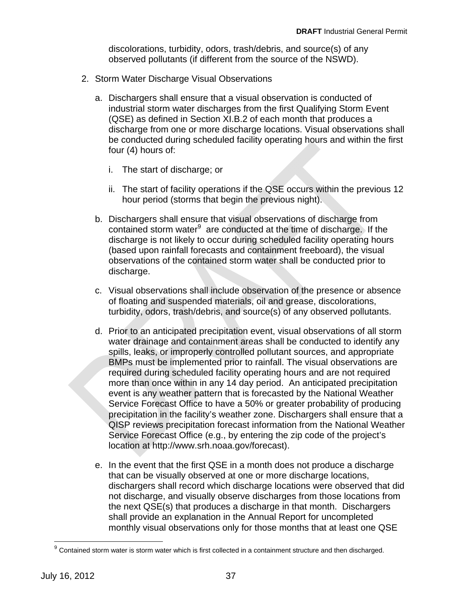discolorations, turbidity, odors, trash/debris, and source(s) of any observed pollutants (if different from the source of the NSWD).

- 2. Storm Water Discharge Visual Observations
	- a. Dischargers shall ensure that a visual observation is conducted of industrial storm water discharges from the first Qualifying Storm Event (QSE) as defined in Section XI.B.2 of each month that produces a discharge from one or more discharge locations. Visual observations shall be conducted during scheduled facility operating hours and within the first four (4) hours of:
		- i. The start of discharge; or
		- ii. The start of facility operations if the QSE occurs within the previous 12 hour period (storms that begin the previous night).
	- contained storm water $9$  are conducted at the time of discharge. If the b. Dischargers shall ensure that visual observations of discharge from discharge is not likely to occur during scheduled facility operating hours (based upon rainfall forecasts and containment freeboard), the visual observations of the contained storm water shall be conducted prior to discharge.
	- c. Visual observations shall include observation of the presence or absence of floating and suspended materials, oil and grease, discolorations, turbidity, odors, trash/debris, and source(s) of any observed pollutants.
	- d. Prior to an anticipated precipitation event, visual observations of all storm water drainage and containment areas shall be conducted to identify any spills, leaks, or improperly controlled pollutant sources, and appropriate BMPs must be implemented prior to rainfall. The visual observations are required during scheduled facility operating hours and are not required more than once within in any 14 day period. An anticipated precipitation event is any weather pattern that is forecasted by the National Weather Service Forecast Office to have a 50% or greater probability of producing precipitation in the facility's weather zone. Dischargers shall ensure that a QISP reviews precipitation forecast information from the National Weather Service Forecast Office (e.g., by entering the zip code of the project's location at http://www.srh.noaa.gov/forecast).
	- e. In the event that the first QSE in a month does not produce a discharge that can be visually observed at one or more discharge locations, dischargers shall record which discharge locations were observed that did not discharge, and visually observe discharges from those locations from the next QSE(s) that produces a discharge in that month. Dischargers shall provide an explanation in the Annual Report for uncompleted monthly visual observations only for those months that at least one QSE

 $\overline{a}$ 

 $9$  Contained storm water is storm water which is first collected in a containment structure and then discharged.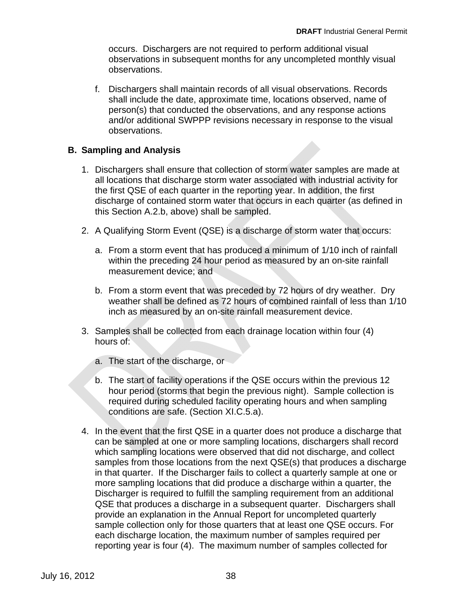occurs. Dischargers are not required to perform additional visual observations in subsequent months for any uncompleted monthly visual observations.

f. Dischargers shall maintain records of all visual observations. Records shall include the date, approximate time, locations observed, name of person(s) that conducted the observations, and any response actions and/or additional SWPPP revisions necessary in response to the visual observations.

## **B. Sampling and Analysis**

- 1. Dischargers shall ensure that collection of storm water samples are made at all locations that discharge storm water associated with industrial activity for the first QSE of each quarter in the reporting year. In addition, the first discharge of contained storm water that occurs in each quarter (as defined in this Section A.2.b, above) shall be sampled.
- 2. A Qualifying Storm Event (QSE) is a discharge of storm water that occurs:
	- within the preceding 24 hour period as measured by an on-site rainfall measurement device; and a. From a storm event that has produced a minimum of 1/10 inch of rainfall
	- b. From a storm event that was preceded by 72 hours of dry weather. Dry weather shall be defined as 72 hours of combined rainfall of less than 1/10 inch as measured by an on-site rainfall measurement device.
- 3. Samples shall be collected from each drainage location within four (4) hours of:
	- a. The start of the discharge, or
	- conditions are safe. (Section XI.C.5.a). b. The start of facility operations if the QSE occurs within the previous 12 hour period (storms that begin the previous night). Sample collection is required during scheduled facility operating hours and when sampling
- 4. In the event that the first QSE in a quarter does not produce a discharge that can be sampled at one or more sampling locations, dischargers shall record which sampling locations were observed that did not discharge, and collect samples from those locations from the next QSE(s) that produces a discharge in that quarter. If the Discharger fails to collect a quarterly sample at one or more sampling locations that did produce a discharge within a quarter, the Discharger is required to fulfill the sampling requirement from an additional QSE that produces a discharge in a subsequent quarter. Dischargers shall provide an explanation in the Annual Report for uncompleted quarterly sample collection only for those quarters that at least one QSE occurs. For each discharge location, the maximum number of samples required per reporting year is four (4). The maximum number of samples collected for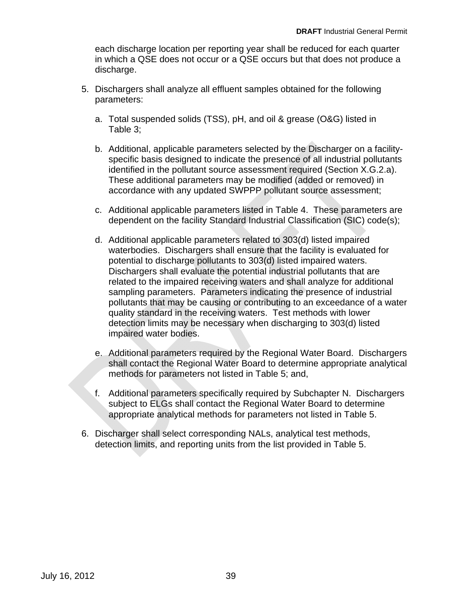each discharge location per reporting year shall be reduced for each quarter in which a QSE does not occur or a QSE occurs but that does not produce a discharge.

- 5. Dischargers shall analyze all effluent samples obtained for the following parameters:
	- a. Total suspended solids (TSS), pH, and oil & grease (O&G) listed in Table 3;
	- b. Additional, applicable parameters selected by the Discharger on a facilityspecific basis designed to indicate the presence of all industrial pollutants identified in the pollutant source assessment required (Section X.G.2.a). These additional parameters may be modified (added or removed) in accordance with any updated SWPPP pollutant source assessment;
	- c. Additional applicable parameters listed in Table 4. These parameters are dependent on the facility Standard Industrial Classification (SIC) code(s);
	- d. Additional applicable parameters related to 303(d) listed impaired related to the impaired receiving waters and shall analyze for additional sampling parameters. Parameters indicating the presence of industrial pollutants that may be causing or contributing to an exceedance of a water quality standard in the receiving waters. Test methods with lower detection limits may be necessary when discharging to 303(d) listed impaired water bodies. waterbodies. Dischargers shall ensure that the facility is evaluated for potential to discharge pollutants to 303(d) listed impaired waters. Dischargers shall evaluate the potential industrial pollutants that are
	- e. Additional parameters required by the Regional Water Board. Dischargers shall contact the Regional Water Board to determine appropriate analytical methods for parameters not listed in Table 5; and,
	- f. Additional parameters specifically required by Subchapter N. Dischargers subject to ELGs shall contact the Regional Water Board to determine appropriate analytical methods for parameters not listed in Table 5.
- 6. Discharger shall select corresponding NALs, analytical test methods, detection limits, and reporting units from the list provided in Table 5.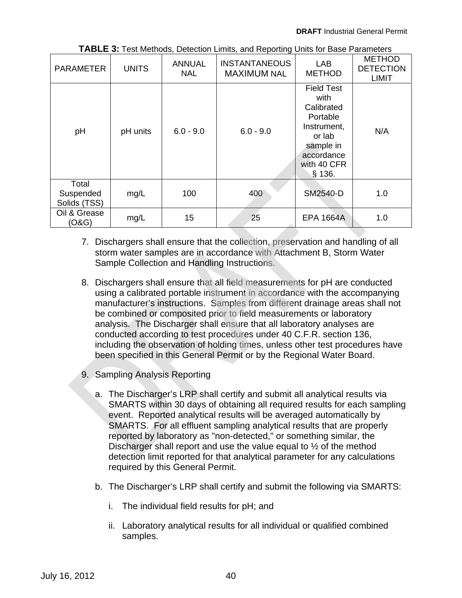| <b>PARAMETER</b>                   | <b>UNITS</b> | <b>ANNUAL</b><br><b>NAL</b> | <b>INSTANTANEOUS</b><br>LAB<br><b>MAXIMUM NAL</b><br><b>METHOD</b> |                                                                                                                                  | <b>METHOD</b><br><b>DETECTION</b><br><b>LIMIT</b> |
|------------------------------------|--------------|-----------------------------|--------------------------------------------------------------------|----------------------------------------------------------------------------------------------------------------------------------|---------------------------------------------------|
| pH                                 | pH units     | $6.0 - 9.0$                 | $6.0 - 9.0$                                                        | <b>Field Test</b><br>with<br>Calibrated<br>Portable<br>Instrument,<br>or lab<br>sample in<br>accordance<br>with 40 CFR<br>\$136. | N/A                                               |
| Total<br>Suspended<br>Solids (TSS) | mg/L         | 100                         | 400                                                                | SM2540-D                                                                                                                         | 1.0                                               |
| Oil & Grease<br>(O&G)              | mg/L         | 15                          | 25                                                                 | <b>EPA 1664A</b>                                                                                                                 | 1.0                                               |

**TABLE 3:** Test Methods, Detection Limits, and Reporting Units for Base Parameters

- 7. Dischargers shall ensure that the collection, preservation and handling of all storm water samples are in accordance with Attachment B, Storm Water Sample Collection and Handling Instructions.
- 8. Dischargers shall ensure that all field measurements for pH are conducted using a calibrated portable instrument in accordance with the accompanying manufacturer's instructions. Samples from different drainage areas shall not be combined or composited prior to field measurements or laboratory analysis. The Discharger shall ensure that all laboratory analyses are conducted according to test procedures under 40 C.F.R. section 136, including the observation of holding times, unless other test procedures have been specified in this General Permit or by the Regional Water Board.
- 9. Sampling Analysis Reporting
	- required by this General Permit. a. The Discharger's LRP shall certify and submit all analytical results via SMARTS within 30 days of obtaining all required results for each sampling event. Reported analytical results will be averaged automatically by SMARTS. For all effluent sampling analytical results that are properly reported by laboratory as "non-detected," or something similar, the Discharger shall report and use the value equal to ½ of the method detection limit reported for that analytical parameter for any calculations
	- b. The Discharger's LRP shall certify and submit the following via SMARTS:
		- i. The individual field results for pH; and
		- ii. Laboratory analytical results for all individual or qualified combined samples.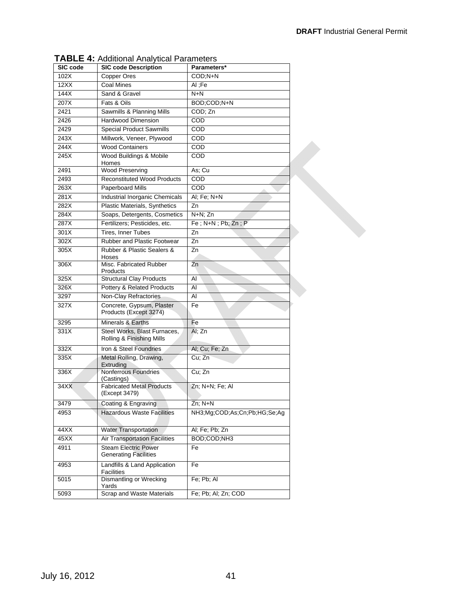| SIC code | raditional marytical raditionol<br><b>SIC code Description</b> | Parameters*                  |
|----------|----------------------------------------------------------------|------------------------------|
| 102X     | Copper Ores                                                    | COD;N+N                      |
| 12XX     | Coal Mines                                                     | Al :Fe                       |
| 144X     | Sand & Gravel                                                  | $N+N$                        |
|          |                                                                | BOD;COD;N+N                  |
| 207X     | Fats & Oils                                                    |                              |
| 2421     | Sawmills & Planning Mills                                      | COD; Zn                      |
| 2426     | <b>Hardwood Dimension</b>                                      | COD                          |
| 2429     | <b>Special Product Sawmills</b>                                | COD                          |
| 243X     | Millwork, Veneer, Plywood                                      | COD                          |
| 244X     | <b>Wood Containers</b>                                         | COD                          |
| 245X     | Wood Buildings & Mobile<br>Homes                               | COD                          |
| 2491     | <b>Wood Preserving</b>                                         | As; Cu                       |
| 2493     | <b>Reconstituted Wood Products</b>                             | COD                          |
| 263X     | Paperboard Mills                                               | COD                          |
| 281X     | Industrial Inorganic Chemicals                                 | Al; Fe; N+N                  |
| 282X     | Plastic Materials, Synthetics                                  | Zn                           |
| 284X     | Soaps, Detergents, Cosmetics                                   | N+N; Zn                      |
| 287X     | Fertilizers; Pesticides, etc.                                  | Fe; N+N; Pb; Zn; P           |
| 301X     | <b>Tires, Inner Tubes</b>                                      | Zn                           |
| 302X     | Rubber and Plastic Footwear                                    | Zn                           |
| 305X     | Rubber & Plastic Sealers &                                     | Zn                           |
| 306X     | Hoses<br>Misc. Fabricated Rubber                               | Zn                           |
| 325X     | Products<br><b>Structural Clay Products</b>                    | AI                           |
| 326X     | Pottery & Related Products                                     | AI                           |
| 3297     | Non-Clay Refractories                                          | AI                           |
| 327X     | Concrete, Gypsum, Plaster<br>Products (Except 3274)            | Fe                           |
| 3295     | Minerals & Earths                                              | Fe                           |
| 331X     | Steel Works, Blast Furnaces,<br>Rolling & Finishing Mills      | Al: Zn                       |
| 332X     | Iron & Steel Foundries                                         | Al; Cu; Fe; Zn               |
| 335X     | Metal Rolling, Drawing,                                        | Cu; Zn                       |
|          | Extruding                                                      |                              |
| 336X     | Nonferrous Foundries<br>(Castings)                             | Cu; Zn                       |
| 34XX     | <b>Fabricated Metal Products</b><br>(Except 3479)              | Zn; N+N; Fe; Al              |
| 3479     | Coating & Engraving                                            | $Zn$ ; $N+N$                 |
| 4953     | <b>Hazardous Waste Facilities</b>                              | NH3;Mg;COD;As;Cn;Pb;HG;Se;Ag |
| 44XX     | <b>Water Transportation</b>                                    | Al; Fe; Pb; Zn               |
| 45XX     | <b>Air Transportation Facilities</b>                           | BOD;COD;NH3                  |
| 4911     | <b>Steam Electric Power</b><br><b>Generating Facilities</b>    | Fe                           |
| 4953     | Landfills & Land Application<br><b>Facilities</b>              | Fe                           |
| 5015     | <b>Dismantling or Wrecking</b><br>Yards                        | Fe; Pb; Al                   |
| 5093     | Scrap and Waste Materials                                      | Fe; Pb; Al; Zn; COD          |
|          |                                                                |                              |

**TABLE 4:** Additional Analytical Parameters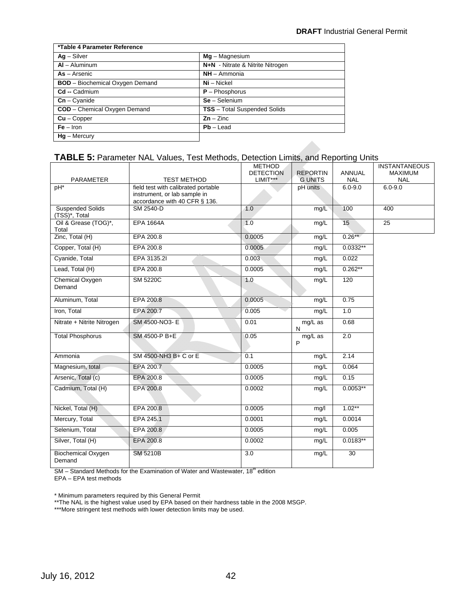| *Table 4 Parameter Reference           |                                     |
|----------------------------------------|-------------------------------------|
| $Ag - Silver$                          | $Mg - Magnesium$                    |
| $AI - Aluminum$                        | N+N - Nitrate & Nitrite Nitrogen    |
| $As - Arsenic$                         | $NH - Ammonia$                      |
| <b>BOD</b> - Biochemical Oxygen Demand | $Ni - Nickel$                       |
| Cd -- Cadmium                          | $P - Phosphorus$                    |
| $Cn - C$ vanide                        | $Se - Selenium$                     |
| <b>COD</b> - Chemical Oxygen Demand    | <b>TSS</b> - Total Suspended Solids |
| $Cu - Copper$                          | $Zn - Zinc$                         |
| $Fe - Iron$                            | $Pb -$ Lead                         |
| $Hq -$ Mercury                         |                                     |

#### **TABLE 5:** Parameter NAL Values, Test Methods, Detection Limits, and Reporting Units

|                                     |                                            | <b>METHOD</b>                  |                                   |                             | <b>INSTANTANEOUS</b>         |
|-------------------------------------|--------------------------------------------|--------------------------------|-----------------------------------|-----------------------------|------------------------------|
| PARAMETER                           | <b>TEST METHOD</b>                         | <b>DETECTION</b><br>$LIMIT***$ | <b>REPORTIN</b><br><b>G UNITS</b> | <b>ANNUAL</b><br><b>NAL</b> | <b>MAXIMUM</b><br><b>NAL</b> |
| pH*                                 | field test with calibrated portable        |                                | pH units                          | $6.0 - 9.0$                 | $6.0 - 9.0$                  |
|                                     | instrument, or lab sample in               |                                |                                   |                             |                              |
| <b>Suspended Solids</b>             | accordance with 40 CFR § 136.<br>SM 2540-D | 1.0                            | mg/L                              | 100                         | 400                          |
| (TSS)*, Total                       |                                            |                                |                                   |                             |                              |
| Oil & Grease (TOG)*,                | <b>EPA 1664A</b>                           | 1.0                            | mq/L                              | 15                          | $\overline{25}$              |
| Total                               |                                            |                                |                                   | $0.26**$                    |                              |
| Zinc, Total (H)                     | EPA 200.8                                  | 0.0005                         | mg/L                              |                             |                              |
| Copper, Total (H)                   | EPA 200.8                                  | 0.0005                         | mg/L                              | $0.0332**$                  |                              |
| Cyanide, Total                      | EPA 3135.2I                                | 0.003                          | mg/L                              | 0.022                       |                              |
| Lead, Total (H)                     | EPA 200.8                                  | 0.0005                         | mq/L                              | $0.262**$                   |                              |
| Chemical Oxygen                     | <b>SM 5220C</b>                            | 1.0                            | mg/L                              | 120                         |                              |
| Demand                              |                                            |                                |                                   |                             |                              |
| Aluminum, Total                     | EPA 200.8                                  | 0.0005                         | mq/L                              | 0.75                        |                              |
| Iron, Total                         | EPA 200.7                                  | 0.005                          | mg/L                              | 1.0                         |                              |
| Nitrate + Nitrite Nitrogen          | SM 4500-NO3- E                             | 0.01                           | mg/L as<br>N                      | 0.68                        |                              |
| <b>Total Phosphorus</b>             | SM 4500-P B+E                              | 0.05                           | mg/L as                           | 2.0                         |                              |
|                                     |                                            |                                | P                                 |                             |                              |
| Ammonia                             | SM 4500-NH3 B+ C or E                      | 0.1                            | mg/L                              | 2.14                        |                              |
| Magnesium, total                    | EPA 200.7                                  | 0.0005                         | mq/L                              | 0.064                       |                              |
| Arsenic, Total (c)                  | EPA 200.8                                  | 0.0005                         | mg/L                              | 0.15                        |                              |
| Cadmium, Total (H)                  | EPA 200.8                                  | 0.0002                         | mg/L                              | $0.0053**$                  |                              |
|                                     |                                            |                                |                                   |                             |                              |
| Nickel, Total (H)                   | EPA 200.8                                  | 0.0005                         | mg/l                              | $1.02**$                    |                              |
| Mercury, Total                      | EPA 245.1                                  | 0.0001                         | mg/L                              | 0.0014                      |                              |
| Selenium, Total                     | EPA 200.8                                  | 0.0005                         | mq/L                              | 0.005                       |                              |
| Silver, Total (H)                   | EPA 200.8                                  | 0.0002                         | mg/L                              | $0.0183**$                  |                              |
| <b>Biochemical Oxygen</b><br>Demand | <b>SM 5210B</b>                            | 3.0                            | mg/L                              | 30                          |                              |

SM – Standard Methods for the Examination of Water and Wastewater, 18<sup>th</sup> edition

EPA – EPA test methods

\* Minimum parameters required by this General Permit

\*\*The NAL is the highest value used by EPA based on their hardness table in the 2008 MSGP.

\*\*\*More stringent test methods with lower detection limits may be used.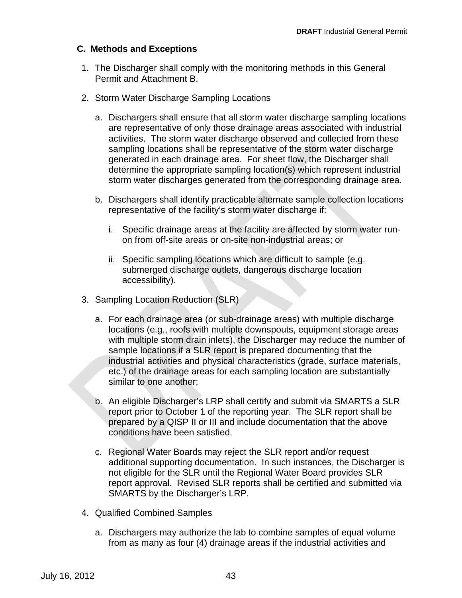#### **C. Methods and Exceptions**

- 1. The Discharger shall comply with the monitoring methods in this General Permit and Attachment B.
- 2. Storm Water Discharge Sampling Locations
	- a. Dischargers shall ensure that all storm water discharge sampling locations are representative of only those drainage areas associated with industrial activities. The storm water discharge observed and collected from these sampling locations shall be representative of the storm water discharge generated in each drainage area. For sheet flow, the Discharger shall determine the appropriate sampling location(s) which represent industrial storm water discharges generated from the corresponding drainage area.
	- b. Dischargers shall identify practicable alternate sample collection locations representative of the facility's storm water discharge if:
		- i. Specific drainage areas at the facility are affected by storm water runon from off-site areas or on-site non-industrial areas; or
		- ii. Specific sampling locations which are difficult to sample (e.g. submerged discharge outlets, dangerous discharge location accessibility).
- 3. Sampling Location Reduction (SLR)
	- a. For each drainage area (or sub-drainage areas) with multiple discharge locations (e.g., roofs with multiple downspouts, equipment storage areas with multiple storm drain inlets), the Discharger may reduce the number of sample locations if a SLR report is prepared documenting that the industrial activities and physical characteristics (grade, surface materials, etc.) of the drainage areas for each sampling location are substantially similar to one another;
	- b. An eligible Discharger's LRP shall certify and submit via SMARTS a SLR report prior to October 1 of the reporting year. The SLR report shall be prepared by a QISP II or III and include documentation that the above conditions have been satisfied.
	- c. Regional Water Boards may reject the SLR report and/or request additional supporting documentation. In such instances, the Discharger is not eligible for the SLR until the Regional Water Board provides SLR report approval. Revised SLR reports shall be certified and submitted via SMARTS by the Discharger's LRP.
- 4. Qualified Combined Samples
	- a. Dischargers may authorize the lab to combine samples of equal volume from as many as four (4) drainage areas if the industrial activities and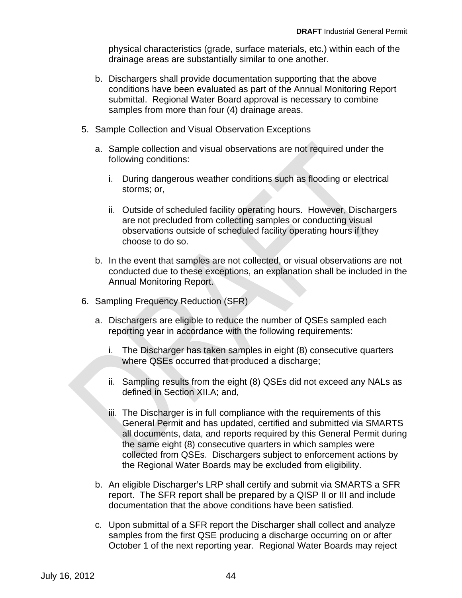physical characteristics (grade, surface materials, etc.) within each of the drainage areas are substantially similar to one another.

- b. Dischargers shall provide documentation supporting that the above conditions have been evaluated as part of the Annual Monitoring Report submittal. Regional Water Board approval is necessary to combine samples from more than four (4) drainage areas.
- 5. Sample Collection and Visual Observation Exceptions
	- a. Sample collection and visual observations are not required under the following conditions:
		- i. During dangerous weather conditions such as flooding or electrical storms; or,
		- observations outside of scheduled facility operating hours if they ii. Outside of scheduled facility operating hours. However, Dischargers are not precluded from collecting samples or conducting visual choose to do so.
	- b. In the event that samples are not collected, or visual observations are not conducted due to these exceptions, an explanation shall be included in the Annual Monitoring Report.
- 6. Sampling Frequency Reduction (SFR)
	- a. Dischargers are eligible to reduce the number of QSEs sampled each reporting year in accordance with the following requirements:
		- i. The Discharger has taken samples in eight (8) consecutive quarters where QSEs occurred that produced a discharge;
		- ii. Sampling results from the eight (8) QSEs did not exceed any NALs as defined in Section XII.A; and,
		- iii. The Discharger is in full compliance with the requirements of this General Permit and has updated, certified and submitted via SMARTS all documents, data, and reports required by this General Permit during the same eight (8) consecutive quarters in which samples were collected from QSEs. Dischargers subject to enforcement actions by the Regional Water Boards may be excluded from eligibility.
	- b. An eligible Discharger's LRP shall certify and submit via SMARTS a SFR report. The SFR report shall be prepared by a QISP II or III and include documentation that the above conditions have been satisfied.
	- c. Upon submittal of a SFR report the Discharger shall collect and analyze samples from the first QSE producing a discharge occurring on or after October 1 of the next reporting year. Regional Water Boards may reject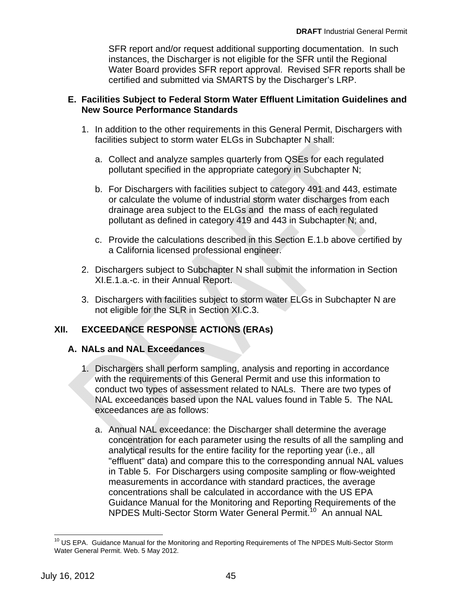SFR report and/or request additional supporting documentation. In such instances, the Discharger is not eligible for the SFR until the Regional Water Board provides SFR report approval. Revised SFR reports shall be certified and submitted via SMARTS by the Discharger's LRP.

#### **E. Facilities Subject to Federal Storm Water Effluent Limitation Guidelines and New Source Performance Standards**

- 1. In addition to the other requirements in this General Permit, Dischargers with facilities subject to storm water ELGs in Subchapter N shall:
	- a. Collect and analyze samples quarterly from QSEs for each regulated pollutant specified in the appropriate category in Subchapter N;
	- b. For Dischargers with facilities subject to category 491 and 443, estimate or calculate the volume of industrial storm water discharges from each drainage area subject to the ELGs and the mass of each regulated pollutant as defined in category 419 and 443 in Subchapter N; and,
	- c. Provide the calculations described in this Section E.1.b above certified by a California licensed professional engineer.
- 2. Dischargers subject to Subchapter N shall submit the information in Section XI.E.1.a.-c. in their Annual Report.
- 3. Dischargers with facilities subject to storm water ELGs in Subchapter N are not eligible for the SLR in Section XI.C.3.

#### **EXCEEDANCE RESPONSE ACTIONS (ERAs) XII.**

## **A. NALs and NAL Exceedances**

- 1. Dischargers shall perform sampling, analysis and reporting in accordance with the requirements of this General Permit and use this information to conduct two types of assessment related to NALs. There are two types of NAL exceedances based upon the NAL values found in Table 5. The NAL exceedances are as follows:
	- NPDES Multi-Sector Storm Water General Permit.10 An annual NAL a. Annual NAL exceedance: the Discharger shall determine the average concentration for each parameter using the results of all the sampling and analytical results for the entire facility for the reporting year (i.e., all "effluent" data) and compare this to the corresponding annual NAL values in Table 5. For Dischargers using composite sampling or flow-weighted measurements in accordance with standard practices, the average concentrations shall be calculated in accordance with the US EPA Guidance Manual for the Monitoring and Reporting Requirements of the

 $\overline{1}$ <sup>10</sup> US EPA. Guidance Manual for the Monitoring and Reporting Requirements of The NPDES Multi-Sector Storm Water General Permit. Web. 5 May 2012.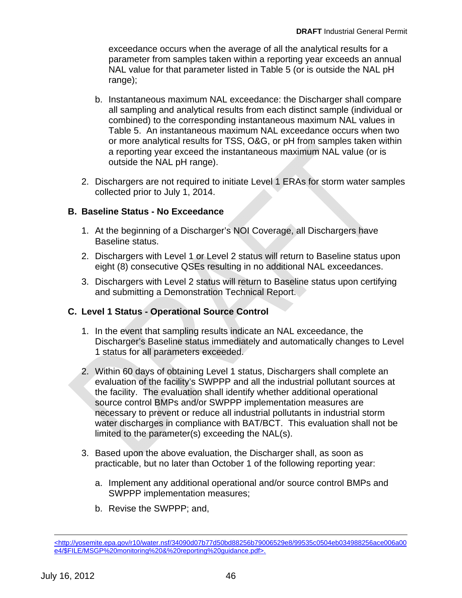exceedance occurs when the average of all the analytical results for a parameter from samples taken within a reporting year exceeds an annual NAL value for that parameter listed in Table 5 (or is outside the NAL pH range);

- b. Instantaneous maximum NAL exceedance: the Discharger shall compare all sampling and analytical results from each distinct sample (individual or combined) to the corresponding instantaneous maximum NAL values in Table 5. An instantaneous maximum NAL exceedance occurs when two or more analytical results for TSS, O&G, or pH from samples taken within a reporting year exceed the instantaneous maximum NAL value (or is outside the NAL pH range).
- 2. Dischargers are not required to initiate Level 1 ERAs for storm water samples collected prior to July 1, 2014.

## **B. Baseline Status - No Exceedance**

- 1. At the beginning of a Discharger's NOI Coverage, all Dischargers have Baseline status.
- 2. Dischargers with Level 1 or Level 2 status will return to Baseline status upon eight (8) consecutive QSEs resulting in no additional NAL exceedances.
- and submitting a Demonstration Technical Report. 3. Dischargers with Level 2 status will return to Baseline status upon certifying

## **C. Level 1 Status - Operational Source Control**

- 1. In the event that sampling results indicate an NAL exceedance, the Discharger's Baseline status immediately and automatically changes to Level 1 status for all parameters exceeded.
- 2. Within 60 days of obtaining Level 1 status, Dischargers shall complete an evaluation of the facility's SWPPP and all the industrial pollutant sources at the facility. The evaluation shall identify whether additional operational source control BMPs and/or SWPPP implementation measures are necessary to prevent or reduce all industrial pollutants in industrial storm water discharges in compliance with BAT/BCT. This evaluation shall not be limited to the parameter(s) exceeding the NAL(s).
- 3. Based upon the above evaluation, the Discharger shall, as soon as practicable, but no later than October 1 of the following reporting year:
	- a. Implement any additional operational and/or source control BMPs and SWPPP implementation measures;
	- b. Revise the SWPPP; and,

 $\overline{a}$ 

 e4/\$FILE/MSGP%20monitoring%20&%20reporting%20guidance.pdf>. July 16, 2012 46 <http://yosemite.epa.gov/r10/water.nsf/34090d07b77d50bd88256b79006529e8/99535c0504eb034988256ace006a00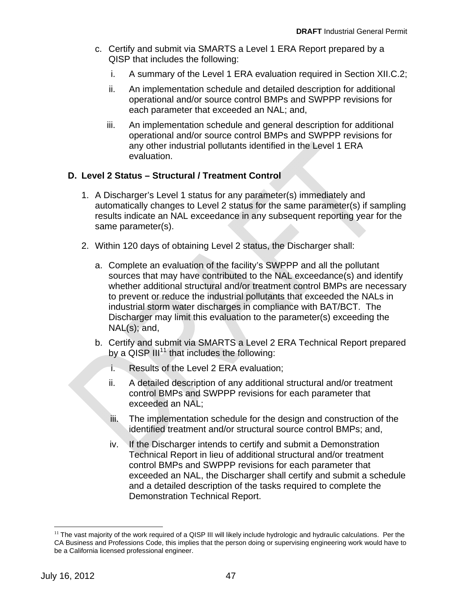- c. Certify and submit via SMARTS a Level 1 ERA Report prepared by a QISP that includes the following:
	- i. A summary of the Level 1 ERA evaluation required in Section XII.C.2;
	- ii. An implementation schedule and detailed description for additional operational and/or source control BMPs and SWPPP revisions for each parameter that exceeded an NAL; and,
	- iii. An implementation schedule and general description for additional operational and/or source control BMPs and SWPPP revisions for any other industrial pollutants identified in the Level 1 ERA evaluation.

## **D. Level 2 Status – Structural / Treatment Control**

- 1. A Discharger's Level 1 status for any parameter(s) immediately and automatically changes to Level 2 status for the same parameter(s) if sampling results indicate an NAL exceedance in any subsequent reporting year for the same parameter(s).
- 2. Within 120 days of obtaining Level 2 status, the Discharger shall:
	- a. Complete an evaluation of the facility's SWPPP and all the pollutant sources that may have contributed to the NAL exceedance(s) and identify whether additional structural and/or treatment control BMPs are necessary to prevent or reduce the industrial pollutants that exceeded the NALs in industrial storm water discharges in compliance with BAT/BCT. The Discharger may limit this evaluation to the parameter(s) exceeding the NAL(s); and,
	- b. Certify and submit via SMARTS a Level 2 ERA Technical Report prepared by a  $QISP III^{11}$  that includes the following:
		- i. Results of the Level 2 ERA evaluation;
		- ii. A detailed description of any additional structural and/or treatment control BMPs and SWPPP revisions for each parameter that exceeded an NAL;
		- iii. The implementation schedule for the design and construction of the identified treatment and/or structural source control BMPs; and,
		- iv. If the Discharger intends to certify and submit a Demonstration Technical Report in lieu of additional structural and/or treatment control BMPs and SWPPP revisions for each parameter that exceeded an NAL, the Discharger shall certify and submit a schedule and a detailed description of the tasks required to complete the Demonstration Technical Report.

 $\overline{a}$ 

 $11$  The vast majority of the work required of a QISP III will likely include hydrologic and hydraulic calculations. Per the CA Business and Professions Code, this implies that the person doing or supervising engineering work would have to be a California licensed professional engineer.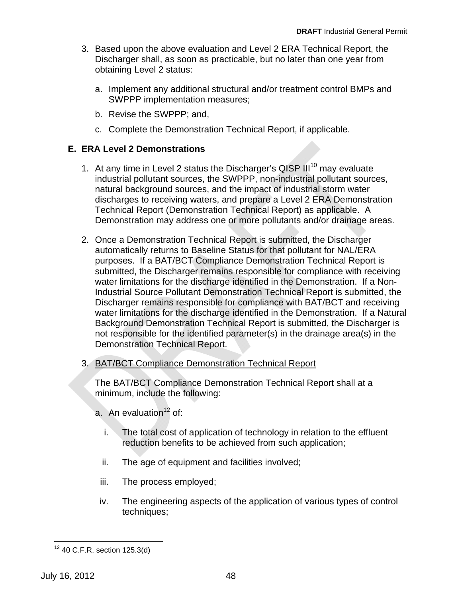- 3. Based upon the above evaluation and Level 2 ERA Technical Report, the Discharger shall, as soon as practicable, but no later than one year from obtaining Level 2 status:
	- a. Implement any additional structural and/or treatment control BMPs and SWPPP implementation measures;
	- b. Revise the SWPPP; and,
	- c. Complete the Demonstration Technical Report, if applicable.

#### **E. ERA Level 2 Demonstrations**

- 1. At any time in Level 2 status the Discharger's QISP  $III^{10}$  may evaluate industrial pollutant sources, the SWPPP, non-industrial pollutant sources, natural background sources, and the impact of industrial storm water discharges to receiving waters, and prepare a Level 2 ERA Demonstration Technical Report (Demonstration Technical Report) as applicable. A Demonstration may address one or more pollutants and/or drainage areas.
- 2. Once a Demonstration Technical Report is submitted, the Discharger automatically returns to Baseline Status for that pollutant for NAL/ERA water limitations for the discharge identified in the Demonstration. If a Non-Industrial Source Pollutant Demonstration Technical Report is submitted, the Discharger remains responsible for compliance with BAT/BCT and receiving water limitations for the discharge identified in the Demonstration. If a Natural Background Demonstration Technical Report is submitted, the Discharger is not responsible for the identified parameter(s) in the drainage area(s) in the Demonstration Technical Report. purposes. If a BAT/BCT Compliance Demonstration Technical Report is submitted, the Discharger remains responsible for compliance with receiving
- 3. BAT/BCT Compliance Demonstration Technical Report

The BAT/BCT Compliance Demonstration Technical Report shall at a minimum, include the following:

- a. An evaluation $12$  of:
	- i. The total cost of application of technology in relation to the effluent reduction benefits to be achieved from such application;
	- ii. The age of equipment and facilities involved;
	- iii. The process employed;
- iv. The engineering aspects of the application of various types of control techniques;

 $\overline{a}$  $12$  40 C.F.R. section 125.3(d)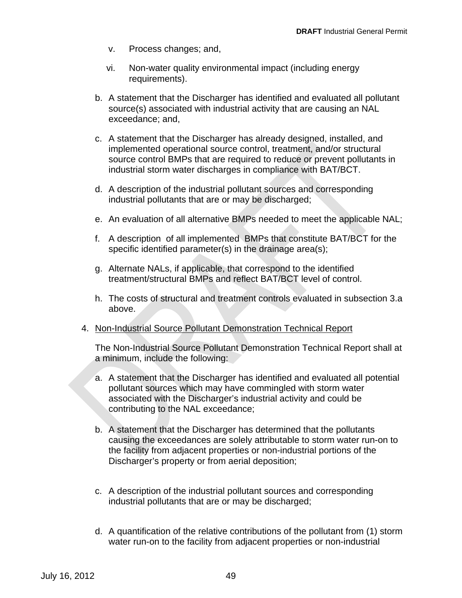- v. Process changes; and,
- vi. Non-water quality environmental impact (including energy requirements).
- b. A statement that the Discharger has identified and evaluated all pollutant source(s) associated with industrial activity that are causing an NAL exceedance; and,
- c. A statement that the Discharger has already designed, installed, and implemented operational source control, treatment, and/or structural source control BMPs that are required to reduce or prevent pollutants in industrial storm water discharges in compliance with BAT/BCT.
- d. A description of the industrial pollutant sources and corresponding industrial pollutants that are or may be discharged;
- e. An evaluation of all alternative BMPs needed to meet the applicable NAL;
- f. A description of all implemented BMPs that constitute BAT/BCT for the specific identified parameter(s) in the drainage area(s);
- g. Alternate NALs, if applicable, that correspond to the identified treatment/structural BMPs and reflect BAT/BCT level of control.
- h. The costs of structural and treatment controls evaluated in subsection 3.a above.
- 4. Non-Industrial Source Pollutant Demonstration Technical Report

The Non-Industrial Source Pollutant Demonstration Technical Report shall at a minimum, include the following:

- contributing to the NAL exceedance; a. A statement that the Discharger has identified and evaluated all potential pollutant sources which may have commingled with storm water associated with the Discharger's industrial activity and could be
- b. A statement that the Discharger has determined that the pollutants causing the exceedances are solely attributable to storm water run-on to the facility from adjacent properties or non-industrial portions of the Discharger's property or from aerial deposition;
- c. A description of the industrial pollutant sources and corresponding industrial pollutants that are or may be discharged;
- d. A quantification of the relative contributions of the pollutant from (1) storm water run-on to the facility from adjacent properties or non-industrial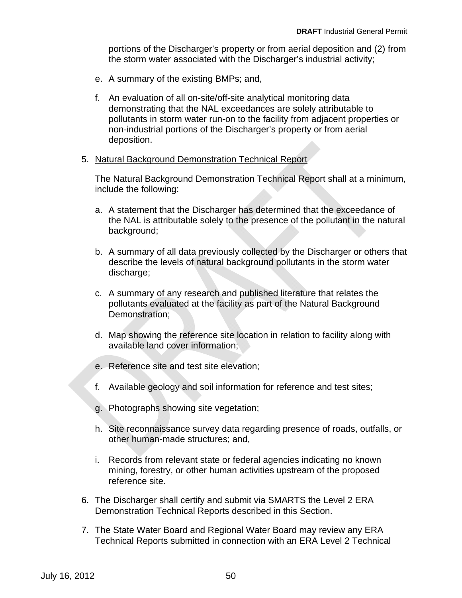portions of the Discharger's property or from aerial deposition and (2) from the storm water associated with the Discharger's industrial activity;

- e. A summary of the existing BMPs; and,
- f. An evaluation of all on-site/off-site analytical monitoring data demonstrating that the NAL exceedances are solely attributable to pollutants in storm water run-on to the facility from adjacent properties or non-industrial portions of the Discharger's property or from aerial deposition.

#### 5. Natural Background Demonstration Technical Report

The Natural Background Demonstration Technical Report shall at a minimum, include the following:

- a. A statement that the Discharger has determined that the exceedance of the NAL is attributable solely to the presence of the pollutant in the natural background;
- b. A summary of all data previously collected by the Discharger or others that describe the levels of natural background pollutants in the storm water discharge;
- c. A summary of any research and published literature that relates the pollutants evaluated at the facility as part of the Natural Background Demonstration;
- d. Map showing the reference site location in relation to facility along with available land cover information;
- e. Reference site and test site elevation;
- f. Available geology and soil information for reference and test sites;
- g. Photographs showing site vegetation;
- h. Site reconnaissance survey data regarding presence of roads, outfalls, or other human-made structures; and,
- i. Records from relevant state or federal agencies indicating no known mining, forestry, or other human activities upstream of the proposed reference site.
- 6. The Discharger shall certify and submit via SMARTS the Level 2 ERA Demonstration Technical Reports described in this Section.
- 7. The State Water Board and Regional Water Board may review any ERA Technical Reports submitted in connection with an ERA Level 2 Technical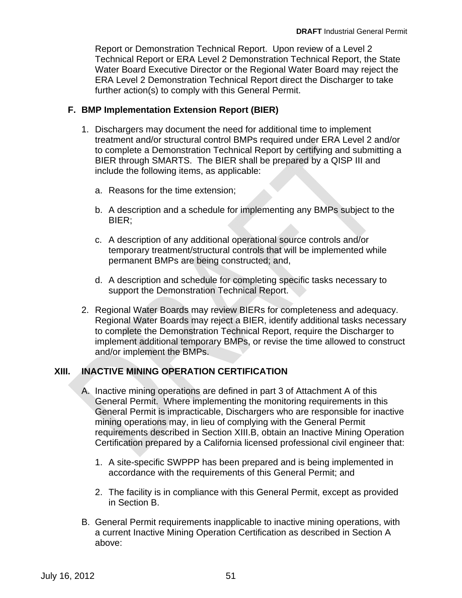Report or Demonstration Technical Report. Upon review of a Level 2 Technical Report or ERA Level 2 Demonstration Technical Report, the State Water Board Executive Director or the Regional Water Board may reject the ERA Level 2 Demonstration Technical Report direct the Discharger to take further action(s) to comply with this General Permit.

#### **F. BMP Implementation Extension Report (BIER)**

- 1. Dischargers may document the need for additional time to implement treatment and/or structural control BMPs required under ERA Level 2 and/or to complete a Demonstration Technical Report by certifying and submitting a BIER through SMARTS. The BIER shall be prepared by a QISP III and include the following items, as applicable:
	- a. Reasons for the time extension;
	- b. A description and a schedule for implementing any BMPs subject to the BIER;
	- c. A description of any additional operational source controls and/or permanent BMPs are being constructed; and, temporary treatment/structural controls that will be implemented while
	- d. A description and schedule for completing specific tasks necessary to support the Demonstration Technical Report.
- 2. Regional Water Boards may review BIERs for completeness and adequacy. Regional Water Boards may reject a BIER, identify additional tasks necessary to complete the Demonstration Technical Report, require the Discharger to implement additional temporary BMPs, or revise the time allowed to construct and/or implement the BMPs.

#### **INACTIVE MINING OPERATION CERTIFICATION XIII.**

- mining operations may, in lieu of complying with the General Permit A. Inactive mining operations are defined in part 3 of Attachment A of this General Permit. Where implementing the monitoring requirements in this General Permit is impracticable, Dischargers who are responsible for inactive requirements described in Section XIII.B, obtain an Inactive Mining Operation Certification prepared by a California licensed professional civil engineer that:
	- 1. A site-specific SWPPP has been prepared and is being implemented in accordance with the requirements of this General Permit; and
	- 2. The facility is in compliance with this General Permit, except as provided in Section B.
- B. General Permit requirements inapplicable to inactive mining operations, with a current Inactive Mining Operation Certification as described in Section A above: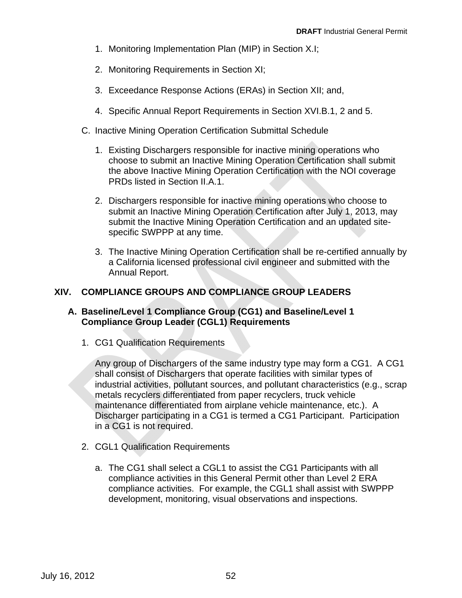- 1. Monitoring Implementation Plan (MIP) in Section X.I;
- 2. Monitoring Requirements in Section XI;
- 3. Exceedance Response Actions (ERAs) in Section XII; and,
- 4. Specific Annual Report Requirements in Section XVI.B.1, 2 and 5.
- C. Inactive Mining Operation Certification Submittal Schedule
	- 1. Existing Dischargers responsible for inactive mining operations who choose to submit an Inactive Mining Operation Certification shall submit the above Inactive Mining Operation Certification with the NOI coverage PRDs listed in Section II.A.1.
	- 2. Dischargers responsible for inactive mining operations who choose to submit an Inactive Mining Operation Certification after July 1, 2013, may submit the Inactive Mining Operation Certification and an updated sitespecific SWPPP at any time.
	- 3. The Inactive Mining Operation Certification shall be re-certified annually by a California licensed professional civil engineer and submitted with the Annual Report.

## **COMPLIANCE GROUPS AND COMPLIANCE GROUP LEADERS XIV.**

#### **A. Baseline/Level 1 Compliance Group (CG1) and Baseline/Level 1 Compliance Group Leader (CGL1) Requirements**

1. CG1 Qualification Requirements

metals recyclers differentiated from paper recyclers, truck vehicle maintenance differentiated from airplane vehicle maintenance, etc.). A in a CG1 is not required. Any group of Dischargers of the same industry type may form a CG1. A CG1 shall consist of Dischargers that operate facilities with similar types of industrial activities, pollutant sources, and pollutant characteristics (e.g., scrap Discharger participating in a CG1 is termed a CG1 Participant. Participation

- 2. CGL1 Qualification Requirements
	- a. The CG1 shall select a CGL1 to assist the CG1 Participants with all compliance activities in this General Permit other than Level 2 ERA compliance activities. For example, the CGL1 shall assist with SWPPP development, monitoring, visual observations and inspections.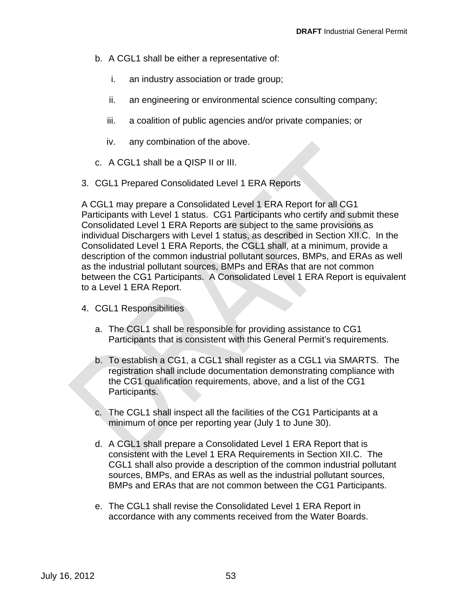- b. A CGL1 shall be either a representative of:
	- i. an industry association or trade group;
	- ii. an engineering or environmental science consulting company;
	- iii. a coalition of public agencies and/or private companies; or
	- iv. any combination of the above.
- c. A CGL1 shall be a QISP II or III.
- 3. CGL1 Prepared Consolidated Level 1 ERA Reports

A CGL1 may prepare a Consolidated Level 1 ERA Report for all CG1 Participants with Level 1 status. CG1 Participants who certify and submit these Consolidated Level 1 ERA Reports are subject to the same provisions as individual Dischargers with Level 1 status, as described in Section XII.C. In the Consolidated Level 1 ERA Reports, the CGL1 shall, at a minimum, provide a description of the common industrial pollutant sources, BMPs, and ERAs as well as the industrial pollutant sources, BMPs and ERAs that are not common between the CG1 Participants. A Consolidated Level 1 ERA Report is equivalent to a Level 1 ERA Report.

- 4. CGL1 Responsibilities
	- a. The CGL1 shall be responsible for providing assistance to CG1 Participants that is consistent with this General Permit's requirements.
	- b. To establish a CG1, a CGL1 shall register as a CGL1 via SMARTS. The registration shall include documentation demonstrating compliance with the CG1 qualification requirements, above, and a list of the CG1 Participants.
	- c. The CGL1 shall inspect all the facilities of the CG1 Participants at a minimum of once per reporting year (July 1 to June 30).
	- d. A CGL1 shall prepare a Consolidated Level 1 ERA Report that is consistent with the Level 1 ERA Requirements in Section XII.C. The CGL1 shall also provide a description of the common industrial pollutant sources, BMPs, and ERAs as well as the industrial pollutant sources, BMPs and ERAs that are not common between the CG1 Participants.
	- e. The CGL1 shall revise the Consolidated Level 1 ERA Report in accordance with any comments received from the Water Boards.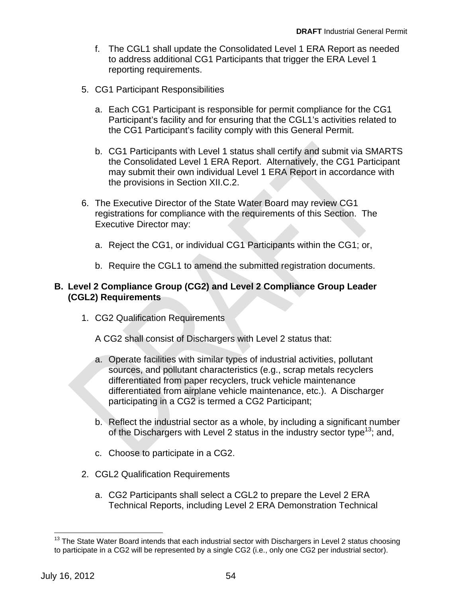- f. The CGL1 shall update the Consolidated Level 1 ERA Report as needed to address additional CG1 Participants that trigger the ERA Level 1 reporting requirements.
- 5. CG1 Participant Responsibilities
	- a. Each CG1 Participant is responsible for permit compliance for the CG1 Participant's facility and for ensuring that the CGL1's activities related to the CG1 Participant's facility comply with this General Permit.
	- b. CG1 Participants with Level 1 status shall certify and submit via SMARTS the Consolidated Level 1 ERA Report. Alternatively, the CG1 Participant may submit their own individual Level 1 ERA Report in accordance with the provisions in Section XII.C.2.
- 6. The Executive Director of the State Water Board may review CG1 registrations for compliance with the requirements of this Section. The Executive Director may:
	- a. Reject the CG1, or individual CG1 Participants within the CG1; or,
	- b. Require the CGL1 to amend the submitted registration documents.

#### **B. Level 2 Compliance Group (CG2) and Level 2 Compliance Group Leader (CGL2) Requirements**

1. CG2 Qualification Requirements

A CG2 shall consist of Dischargers with Level 2 status that:

- a. Operate facilities with similar types of industrial activities, pollutant sources, and pollutant characteristics (e.g., scrap metals recyclers differentiated from paper recyclers, truck vehicle maintenance differentiated from airplane vehicle maintenance, etc.). A Discharger participating in a CG2 is termed a CG2 Participant;
- b. Reflect the industrial sector as a whole, by including a significant number of the Dischargers with Level 2 status in the industry sector type<sup>13</sup>; and,
- c. Choose to participate in a CG2.
- 2. CGL2 Qualification Requirements
	- a. CG2 Participants shall select a CGL2 to prepare the Level 2 ERA Technical Reports, including Level 2 ERA Demonstration Technical

 $\overline{a}$ 

 $13$  The State Water Board intends that each industrial sector with Dischargers in Level 2 status choosing to participate in a CG2 will be represented by a single CG2 (i.e., only one CG2 per industrial sector).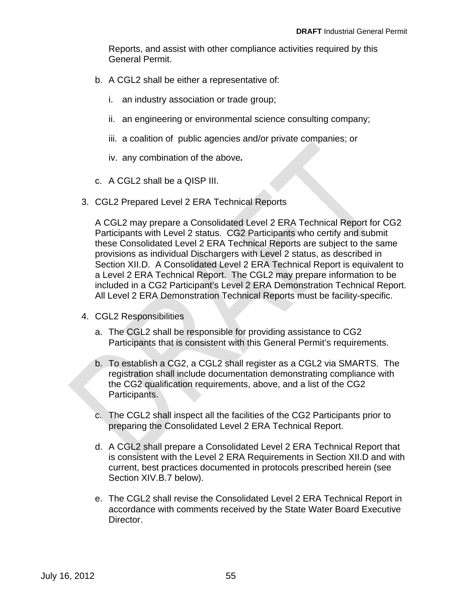Reports, and assist with other compliance activities required by this General Permit.

- b. A CGL2 shall be either a representative of:
	- i. an industry association or trade group;
	- ii. an engineering or environmental science consulting company;
	- iii. a coalition of public agencies and/or private companies; or
	- iv. any combination of the above*.*
- c. A CGL2 shall be a QISP III.
- 3. CGL2 Prepared Level 2 ERA Technical Reports

A CGL2 may prepare a Consolidated Level 2 ERA Technical Report for CG2 Participants with Level 2 status. CG2 Participants who certify and submit these Consolidated Level 2 ERA Technical Reports are subject to the same included in a CG2 Participant's Level 2 ERA Demonstration Technical Report. All Level 2 ERA Demonstration Technical Reports must be facility-specific. provisions as individual Dischargers with Level 2 status, as described in Section XII.D. A Consolidated Level 2 ERA Technical Report is equivalent to a Level 2 ERA Technical Report. The CGL2 may prepare information to be

- 4. CGL2 Responsibilities
	- a. The CGL2 shall be responsible for providing assistance to CG2 Participants that is consistent with this General Permit's requirements.
	- b. To establish a CG2, a CGL2 shall register as a CGL2 via SMARTS. The registration shall include documentation demonstrating compliance with the CG2 qualification requirements, above, and a list of the CG2 Participants.
	- c. The CGL2 shall inspect all the facilities of the CG2 Participants prior to preparing the Consolidated Level 2 ERA Technical Report.
	- d. A CGL2 shall prepare a Consolidated Level 2 ERA Technical Report that is consistent with the Level 2 ERA Requirements in Section XII.D and with current, best practices documented in protocols prescribed herein (see Section XIV.B.7 below).
	- e. The CGL2 shall revise the Consolidated Level 2 ERA Technical Report in accordance with comments received by the State Water Board Executive Director.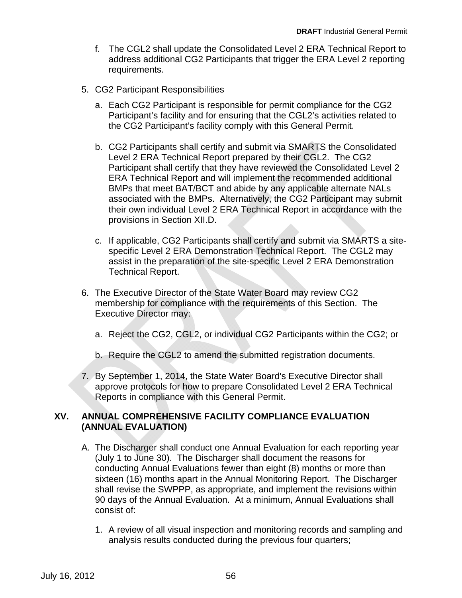- f. The CGL2 shall update the Consolidated Level 2 ERA Technical Report to address additional CG2 Participants that trigger the ERA Level 2 reporting requirements.
- 5. CG2 Participant Responsibilities
	- a. Each CG2 Participant is responsible for permit compliance for the CG2 Participant's facility and for ensuring that the CGL2's activities related to the CG2 Participant's facility comply with this General Permit.
	- b. CG2 Participants shall certify and submit via SMARTS the Consolidated Level 2 ERA Technical Report prepared by their CGL2. The CG2 Participant shall certify that they have reviewed the Consolidated Level 2 ERA Technical Report and will implement the recommended additional BMPs that meet BAT/BCT and abide by any applicable alternate NALs associated with the BMPs. Alternatively, the CG2 Participant may submit their own individual Level 2 ERA Technical Report in accordance with the provisions in Section XII.D.
	- c. If applicable, CG2 Participants shall certify and submit via SMARTS a siteassist in the preparation of the site-specific Level 2 ERA Demonstration Technical Report. specific Level 2 ERA Demonstration Technical Report. The CGL2 may
- 6. The Executive Director of the State Water Board may review CG2 membership for compliance with the requirements of this Section. The Executive Director may:
	- a. Reject the CG2, CGL2, or individual CG2 Participants within the CG2; or
	- b. Require the CGL2 to amend the submitted registration documents.
- 7. By September 1, 2014, the State Water Board's Executive Director shall approve protocols for how to prepare Consolidated Level 2 ERA Technical Reports in compliance with this General Permit.

#### **ANNUAL COMPREHENSIVE FACILITY COMPLIANCE EVALUATION (ANNUAL EVALUATION) XV.**

- A. The Discharger shall conduct one Annual Evaluation for each reporting year (July 1 to June 30). The Discharger shall document the reasons for conducting Annual Evaluations fewer than eight (8) months or more than sixteen (16) months apart in the Annual Monitoring Report. The Discharger shall revise the SWPPP, as appropriate, and implement the revisions within 90 days of the Annual Evaluation. At a minimum, Annual Evaluations shall consist of:
	- 1. A review of all visual inspection and monitoring records and sampling and analysis results conducted during the previous four quarters;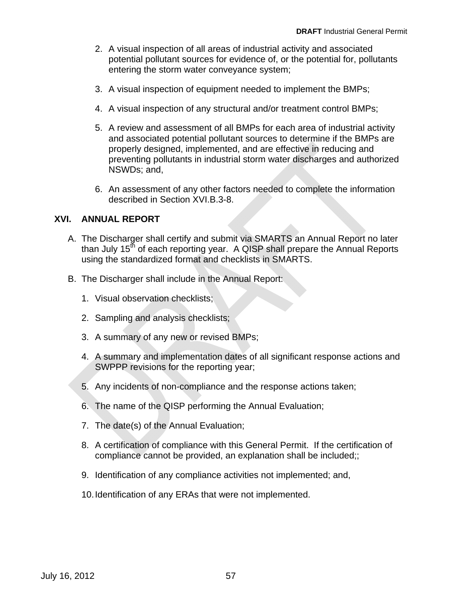- 2. A visual inspection of all areas of industrial activity and associated potential pollutant sources for evidence of, or the potential for, pollutants entering the storm water conveyance system;
- 3. A visual inspection of equipment needed to implement the BMPs;
- 4. A visual inspection of any structural and/or treatment control BMPs;
- 5. A review and assessment of all BMPs for each area of industrial activity and associated potential pollutant sources to determine if the BMPs are properly designed, implemented, and are effective in reducing and preventing pollutants in industrial storm water discharges and authorized NSWDs; and,
- 6. An assessment of any other factors needed to complete the information described in Section XVI.B.3-8.

#### **XVI. ANNUAL REPORT**

- A. The Discharger shall certify and submit via SMARTS an Annual Report no later using the standardized format and checklists in SMARTS. than July  $15<sup>th</sup>$  of each reporting year. A QISP shall prepare the Annual Reports
- B. The Discharger shall include in the Annual Report:
	- 1. Visual observation checklists;
	- 2. Sampling and analysis checklists;
	- 3. A summary of any new or revised BMPs;
	- 4. A summary and implementation dates of all significant response actions and SWPPP revisions for the reporting year;
	- 5. Any incidents of non-compliance and the response actions taken;
	- 6. The name of the QISP performing the Annual Evaluation;
	- 7. The date(s) of the Annual Evaluation;
	- 8. A certification of compliance with this General Permit. If the certification of compliance cannot be provided, an explanation shall be included;;
	- 9. Identification of any compliance activities not implemented; and,
	- 10.Identification of any ERAs that were not implemented.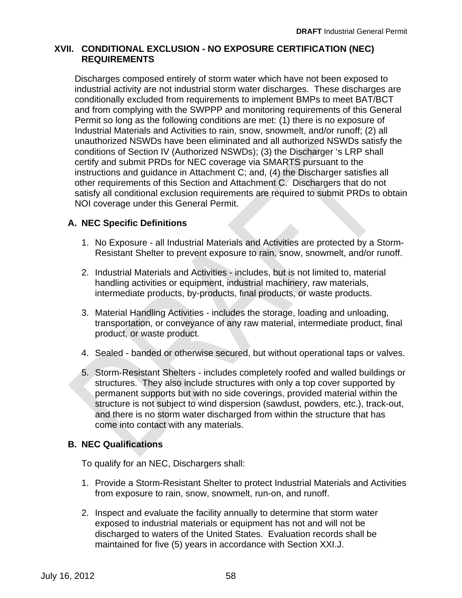#### **XVII. CONDITIONAL EXCLUSION - NO EXPOSURE CERTIFICATION (NEC) REQUIREMENTS**

Discharges composed entirely of storm water which have not been exposed to industrial activity are not industrial storm water discharges. These discharges are conditionally excluded from requirements to implement BMPs to meet BAT/BCT and from complying with the SWPPP and monitoring requirements of this General Permit so long as the following conditions are met: (1) there is no exposure of Industrial Materials and Activities to rain, snow, snowmelt, and/or runoff; (2) all unauthorized NSWDs have been eliminated and all authorized NSWDs satisfy the conditions of Section IV (Authorized NSWDs); (3) the Discharger 's LRP shall certify and submit PRDs for NEC coverage via SMARTS pursuant to the instructions and guidance in Attachment C; and, (4) the Discharger satisfies all other requirements of this Section and Attachment C. Dischargers that do not satisfy all conditional exclusion requirements are required to submit PRDs to obtain NOI coverage under this General Permit.

## **A. NEC Specific Definitions**

- 1. No Exposure all Industrial Materials and Activities are protected by a Storm-Resistant Shelter to prevent exposure to rain, snow, snowmelt, and/or runoff.
- handling activities or equipment, industrial machinery, raw materials, intermediate products, by-products, final products, or waste products. 2. Industrial Materials and Activities - includes, but is not limited to, material
- 3. Material Handling Activities includes the storage, loading and unloading, transportation, or conveyance of any raw material, intermediate product, final product, or waste product.
- 4. Sealed banded or otherwise secured, but without operational taps or valves.
- 5. Storm-Resistant Shelters includes completely roofed and walled buildings or structures. They also include structures with only a top cover supported by permanent supports but with no side coverings, provided material within the structure is not subject to wind dispersion (sawdust, powders, etc.), track-out, and there is no storm water discharged from within the structure that has come into contact with any materials.

## **B. NEC Qualifications**

To qualify for an NEC, Dischargers shall:

- 1. Provide a Storm-Resistant Shelter to protect Industrial Materials and Activities from exposure to rain, snow, snowmelt, run-on, and runoff.
- 2. Inspect and evaluate the facility annually to determine that storm water exposed to industrial materials or equipment has not and will not be discharged to waters of the United States. Evaluation records shall be maintained for five (5) years in accordance with Section XXI.J.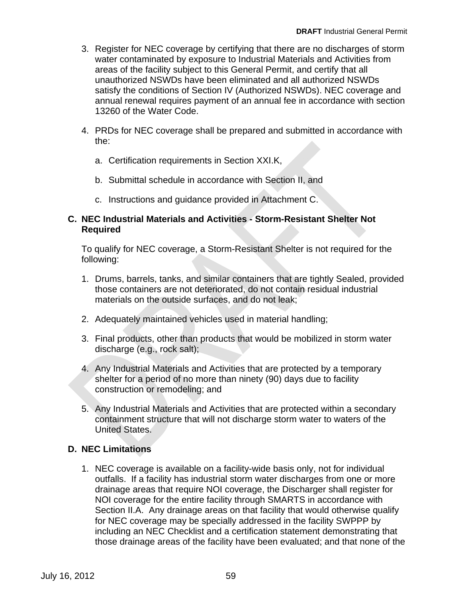- 3. Register for NEC coverage by certifying that there are no discharges of storm water contaminated by exposure to Industrial Materials and Activities from areas of the facility subject to this General Permit, and certify that all unauthorized NSWDs have been eliminated and all authorized NSWDs satisfy the conditions of Section IV (Authorized NSWDs). NEC coverage and annual renewal requires payment of an annual fee in accordance with section 13260 of the Water Code.
- 4. PRDs for NEC coverage shall be prepared and submitted in accordance with the:
	- a. Certification requirements in Section XXI.K,
	- b. Submittal schedule in accordance with Section II, and
	- c. Instructions and guidance provided in Attachment C.

#### **C. NEC Industrial Materials and Activities - Storm-Resistant Shelter Not Required**

To qualify for NEC coverage, a Storm-Resistant Shelter is not required for the following:

- 1. Drums, barrels, tanks, and similar containers that are tightly Sealed, provided those containers are not deteriorated, do not contain residual industrial materials on the outside surfaces, and do not leak;
- 2. Adequately maintained vehicles used in material handling;
- 3. Final products, other than products that would be mobilized in storm water discharge (e.g., rock salt);
- 4. Any Industrial Materials and Activities that are protected by a temporary shelter for a period of no more than ninety (90) days due to facility construction or remodeling; and
- 5. Any Industrial Materials and Activities that are protected within a secondary containment structure that will not discharge storm water to waters of the United States.

## **D. NEC Limitations**

1. NEC coverage is available on a facility-wide basis only, not for individual outfalls. If a facility has industrial storm water discharges from one or more drainage areas that require NOI coverage, the Discharger shall register for NOI coverage for the entire facility through SMARTS in accordance with Section II.A. Any drainage areas on that facility that would otherwise qualify for NEC coverage may be specially addressed in the facility SWPPP by including an NEC Checklist and a certification statement demonstrating that those drainage areas of the facility have been evaluated; and that none of the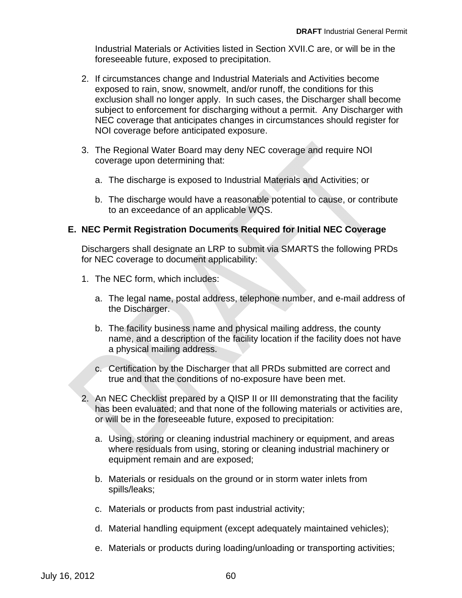Industrial Materials or Activities listed in Section XVII.C are, or will be in the foreseeable future, exposed to precipitation.

- 2. If circumstances change and Industrial Materials and Activities become exposed to rain, snow, snowmelt, and/or runoff, the conditions for this exclusion shall no longer apply. In such cases, the Discharger shall become subject to enforcement for discharging without a permit. Any Discharger with NEC coverage that anticipates changes in circumstances should register for NOI coverage before anticipated exposure.
- 3. The Regional Water Board may deny NEC coverage and require NOI coverage upon determining that:
	- a. The discharge is exposed to Industrial Materials and Activities; or
	- b. The discharge would have a reasonable potential to cause, or contribute to an exceedance of an applicable WQS.

## **E. NEC Permit Registration Documents Required for Initial NEC Coverage**

Dischargers shall designate an LRP to submit via SMARTS the following PRDs for NEC coverage to document applicability:

- 1. The NEC form, which includes:
	- a. The legal name, postal address, telephone number, and e-mail address of the Discharger.
	- b. The facility business name and physical mailing address, the county name, and a description of the facility location if the facility does not have a physical mailing address.
	- c. Certification by the Discharger that all PRDs submitted are correct and true and that the conditions of no-exposure have been met.
- or will be in the foreseeable future, exposed to precipitation: 2. An NEC Checklist prepared by a QISP II or III demonstrating that the facility has been evaluated; and that none of the following materials or activities are,
	- a. Using, storing or cleaning industrial machinery or equipment, and areas where residuals from using, storing or cleaning industrial machinery or equipment remain and are exposed;
	- b. Materials or residuals on the ground or in storm water inlets from spills/leaks;
	- c. Materials or products from past industrial activity;
	- d. Material handling equipment (except adequately maintained vehicles);
	- e. Materials or products during loading/unloading or transporting activities;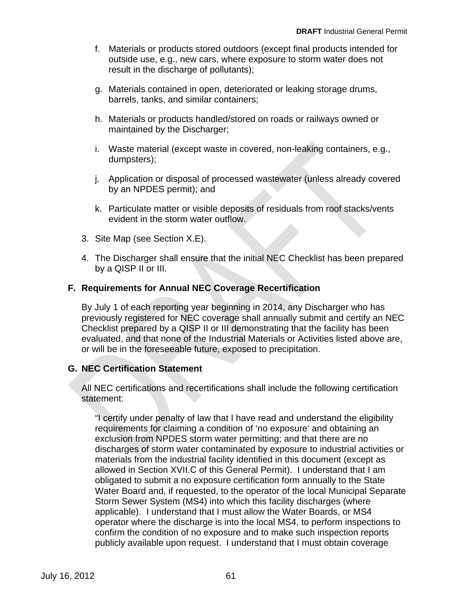- f. Materials or products stored outdoors (except final products intended for outside use, e.g., new cars, where exposure to storm water does not result in the discharge of pollutants);
- g. Materials contained in open, deteriorated or leaking storage drums, barrels, tanks, and similar containers;
- h. Materials or products handled/stored on roads or railways owned or maintained by the Discharger;
- i. Waste material (except waste in covered, non-leaking containers, e.g., dumpsters);
- j. Application or disposal of processed wastewater (unless already covered by an NPDES permit); and
- k. Particulate matter or visible deposits of residuals from roof stacks/vents evident in the storm water outflow.
- 3. Site Map (see Section X.E).
- 4. The Discharger shall ensure that the initial NEC Checklist has been prepared by a QISP II or III.

## **F. Requirements for Annual NEC Coverage Recertification**

By July 1 of each reporting year beginning in 2014, any Discharger who has previously registered for NEC coverage shall annually submit and certify an NEC Checklist prepared by a QISP II or III demonstrating that the facility has been evaluated, and that none of the Industrial Materials or Activities listed above are, or will be in the foreseeable future, exposed to precipitation.

## **G. NEC Certification Statement**

All NEC certifications and recertifications shall include the following certification statement:

"I certify under penalty of law that I have read and understand the eligibility requirements for claiming a condition of 'no exposure' and obtaining an exclusion from NPDES storm water permitting; and that there are no discharges of storm water contaminated by exposure to industrial activities or materials from the industrial facility identified in this document (except as allowed in Section XVII.C of this General Permit). I understand that I am obligated to submit a no exposure certification form annually to the State Water Board and, if requested, to the operator of the local Municipal Separate Storm Sewer System (MS4) into which this facility discharges (where applicable). I understand that I must allow the Water Boards, or MS4 operator where the discharge is into the local MS4, to perform inspections to confirm the condition of no exposure and to make such inspection reports publicly available upon request. I understand that I must obtain coverage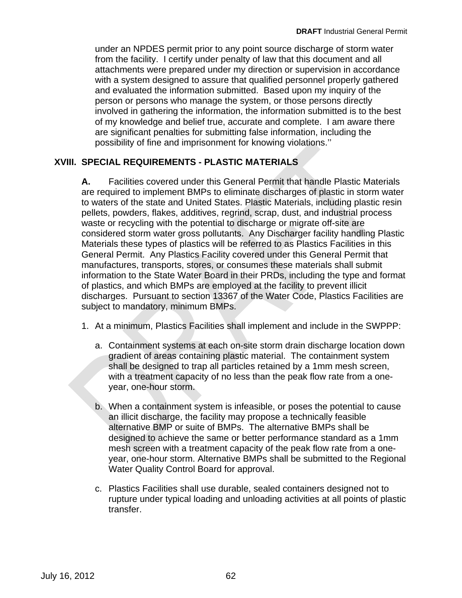under an NPDES permit prior to any point source discharge of storm water from the facility. I certify under penalty of law that this document and all attachments were prepared under my direction or supervision in accordance with a system designed to assure that qualified personnel properly gathered and evaluated the information submitted. Based upon my inquiry of the person or persons who manage the system, or those persons directly involved in gathering the information, the information submitted is to the best of my knowledge and belief true, accurate and complete. I am aware there are significant penalties for submitting false information, including the possibility of fine and imprisonment for knowing violations.''

## **XVIII. SPECIAL REQUIREMENTS - PLASTIC MATERIALS**

subject to mandatory, minimum BMPs. **A.** Facilities covered under this General Permit that handle Plastic Materials are required to implement BMPs to eliminate discharges of plastic in storm water to waters of the state and United States. Plastic Materials, including plastic resin pellets, powders, flakes, additives, regrind, scrap, dust, and industrial process waste or recycling with the potential to discharge or migrate off-site are considered storm water gross pollutants. Any Discharger facility handling Plastic Materials these types of plastics will be referred to as Plastics Facilities in this General Permit. Any Plastics Facility covered under this General Permit that manufactures, transports, stores, or consumes these materials shall submit information to the State Water Board in their PRDs, including the type and format of plastics, and which BMPs are employed at the facility to prevent illicit discharges. Pursuant to section 13367 of the Water Code, Plastics Facilities are

- 1. At a minimum, Plastics Facilities shall implement and include in the SWPPP:
	- a. Containment systems at each on-site storm drain discharge location down gradient of areas containing plastic material. The containment system shall be designed to trap all particles retained by a 1mm mesh screen, with a treatment capacity of no less than the peak flow rate from a oneyear, one-hour storm.
	- b. When a containment system is infeasible, or poses the potential to cause an illicit discharge, the facility may propose a technically feasible alternative BMP or suite of BMPs. The alternative BMPs shall be designed to achieve the same or better performance standard as a 1mm mesh screen with a treatment capacity of the peak flow rate from a oneyear, one-hour storm. Alternative BMPs shall be submitted to the Regional Water Quality Control Board for approval.
	- c. Plastics Facilities shall use durable, sealed containers designed not to rupture under typical loading and unloading activities at all points of plastic transfer.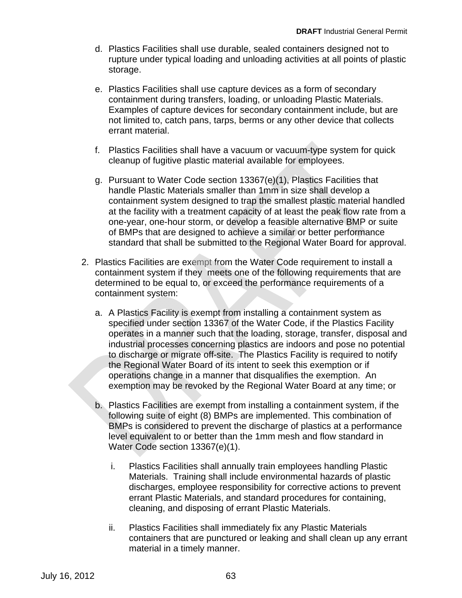- d. Plastics Facilities shall use durable, sealed containers designed not to rupture under typical loading and unloading activities at all points of plastic storage.
- e. Plastics Facilities shall use capture devices as a form of secondary containment during transfers, loading, or unloading Plastic Materials. Examples of capture devices for secondary containment include, but are not limited to, catch pans, tarps, berms or any other device that collects errant material.
- f. Plastics Facilities shall have a vacuum or vacuum-type system for quick cleanup of fugitive plastic material available for employees.
- g. Pursuant to Water Code section 13367(e)(1), Plastics Facilities that handle Plastic Materials smaller than 1mm in size shall develop a containment system designed to trap the smallest plastic material handled at the facility with a treatment capacity of at least the peak flow rate from a one-year, one-hour storm, or develop a feasible alternative BMP or suite of BMPs that are designed to achieve a similar or better performance standard that shall be submitted to the Regional Water Board for approval.
- 2. Plastics Facilities are exempt from the Water Code requirement to install a determined to be equal to, or exceed the performance requirements of a containment system: containment system if they meets one of the following requirements that are
	- a. A Plastics Facility is exempt from installing a containment system as specified under section 13367 of the Water Code, if the Plastics Facility operates in a manner such that the loading, storage, transfer, disposal and industrial processes concerning plastics are indoors and pose no potential to discharge or migrate off-site. The Plastics Facility is required to notify the Regional Water Board of its intent to seek this exemption or if operations change in a manner that disqualifies the exemption. An exemption may be revoked by the Regional Water Board at any time; or
	- b. Plastics Facilities are exempt from installing a containment system, if the following suite of eight (8) BMPs are implemented. This combination of BMPs is considered to prevent the discharge of plastics at a performance level equivalent to or better than the 1mm mesh and flow standard in Water Code section 13367(e)(1).
		- i. Plastics Facilities shall annually train employees handling Plastic Materials. Training shall include environmental hazards of plastic discharges, employee responsibility for corrective actions to prevent errant Plastic Materials, and standard procedures for containing, cleaning, and disposing of errant Plastic Materials.
		- ii. Plastics Facilities shall immediately fix any Plastic Materials containers that are punctured or leaking and shall clean up any errant material in a timely manner.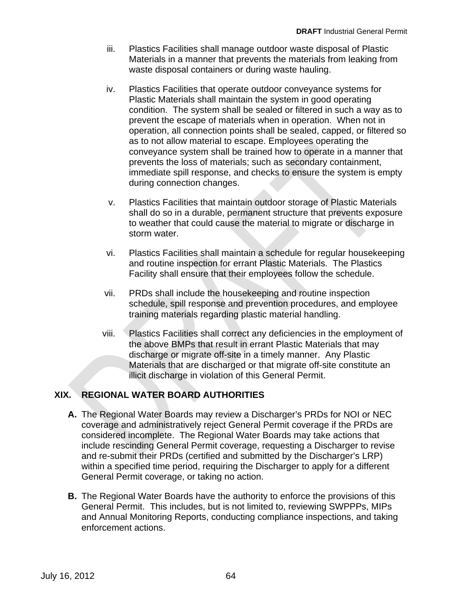- iii. Plastics Facilities shall manage outdoor waste disposal of Plastic Materials in a manner that prevents the materials from leaking from waste disposal containers or during waste hauling.
- iv. Plastics Facilities that operate outdoor conveyance systems for Plastic Materials shall maintain the system in good operating condition. The system shall be sealed or filtered in such a way as to prevent the escape of materials when in operation. When not in operation, all connection points shall be sealed, capped, or filtered so as to not allow material to escape. Employees operating the conveyance system shall be trained how to operate in a manner that prevents the loss of materials; such as secondary containment, immediate spill response, and checks to ensure the system is empty during connection changes.
- v. Plastics Facilities that maintain outdoor storage of Plastic Materials shall do so in a durable, permanent structure that prevents exposure to weather that could cause the material to migrate or discharge in storm water.
- vi. Plastics Facilities shall maintain a schedule for regular housekeeping and routine inspection for errant Plastic Materials. The Plastics Facility shall ensure that their employees follow the schedule.
- vii. PRDs shall include the housekeeping and routine inspection schedule, spill response and prevention procedures, and employee training materials regarding plastic material handling.
- viii. Plastics Facilities shall correct any deficiencies in the employment of the above BMPs that result in errant Plastic Materials that may discharge or migrate off-site in a timely manner. Any Plastic Materials that are discharged or that migrate off-site constitute an illicit discharge in violation of this General Permit.

# **XIX. REGIONAL WATER BOARD AUTHORITIES**

- **A.** The Regional Water Boards may review a Discharger's PRDs for NOI or NEC coverage and administratively reject General Permit coverage if the PRDs are considered incomplete. The Regional Water Boards may take actions that include rescinding General Permit coverage, requesting a Discharger to revise and re-submit their PRDs (certified and submitted by the Discharger's LRP) within a specified time period, requiring the Discharger to apply for a different General Permit coverage, or taking no action.
- **B.** The Regional Water Boards have the authority to enforce the provisions of this General Permit. This includes, but is not limited to, reviewing SWPPPs, MIPs and Annual Monitoring Reports, conducting compliance inspections, and taking enforcement actions.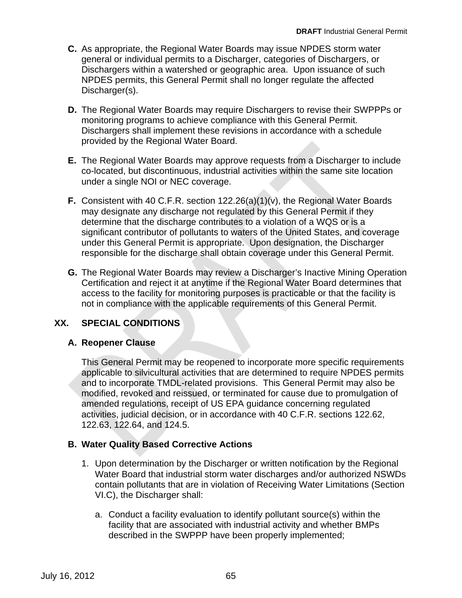- **C.** As appropriate, the Regional Water Boards may issue NPDES storm water general or individual permits to a Discharger, categories of Dischargers, or Dischargers within a watershed or geographic area. Upon issuance of such NPDES permits, this General Permit shall no longer regulate the affected Discharger(s).
- **D.** The Regional Water Boards may require Dischargers to revise their SWPPPs or monitoring programs to achieve compliance with this General Permit. Dischargers shall implement these revisions in accordance with a schedule provided by the Regional Water Board.
- **E.** The Regional Water Boards may approve requests from a Discharger to include co-located, but discontinuous, industrial activities within the same site location under a single NOI or NEC coverage.
- **F.** Consistent with 40 C.F.R. section 122.26(a)(1)(v), the Regional Water Boards may designate any discharge not regulated by this General Permit if they determine that the discharge contributes to a violation of a WQS or is a significant contributor of pollutants to waters of the United States, and coverage under this General Permit is appropriate. Upon designation, the Discharger responsible for the discharge shall obtain coverage under this General Permit.
- access to the facility for monitoring purposes is practicable or that the facility is not in compliance with the applicable requirements of this General Permit. **G.** The Regional Water Boards may review a Discharger's Inactive Mining Operation Certification and reject it at anytime if the Regional Water Board determines that

#### **SPECIAL CONDITIONS XX.**

## **A. Reopener Clause**

applicable to silvicultural activities that are determined to require NPDES permits and to incorporate TMDL-related provisions. This General Permit may also be modified, revoked and reissued, or terminated for cause due to promulgation of amended regulations, receipt of US EPA guidance concerning regulated activities, judicial decision, or in accordance with 40 C.F.R. sections 122.62, 122.63, 122.64, and 124.5. This General Permit may be reopened to incorporate more specific requirements

# **B. Water Quality Based Corrective Actions**

- 1. Upon determination by the Discharger or written notification by the Regional Water Board that industrial storm water discharges and/or authorized NSWDs contain pollutants that are in violation of Receiving Water Limitations (Section VI.C), the Discharger shall:
	- a. Conduct a facility evaluation to identify pollutant source(s) within the facility that are associated with industrial activity and whether BMPs described in the SWPPP have been properly implemented;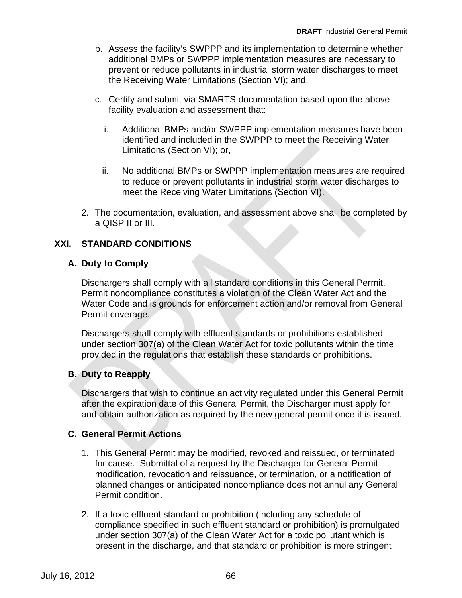- b. Assess the facility's SWPPP and its implementation to determine whether additional BMPs or SWPPP implementation measures are necessary to prevent or reduce pollutants in industrial storm water discharges to meet the Receiving Water Limitations (Section VI); and,
- c. Certify and submit via SMARTS documentation based upon the above facility evaluation and assessment that:
	- i. Additional BMPs and/or SWPPP implementation measures have been identified and included in the SWPPP to meet the Receiving Water Limitations (Section VI); or,
	- ii. No additional BMPs or SWPPP implementation measures are required to reduce or prevent pollutants in industrial storm water discharges to meet the Receiving Water Limitations (Section VI).
- 2. The documentation, evaluation, and assessment above shall be completed by a QISP II or III.

# **XXI. STANDARD CONDITIONS**

## **A. Duty to Comply**

Dischargers shall comply with all standard conditions in this General Permit. Permit noncompliance constitutes a violation of the Clean Water Act and the Water Code and is grounds for enforcement action and/or removal from General Permit coverage.

Dischargers shall comply with effluent standards or prohibitions established under section 307(a) of the Clean Water Act for toxic pollutants within the time provided in the regulations that establish these standards or prohibitions.

## **B. Duty to Reapply**

Dischargers that wish to continue an activity regulated under this General Permit after the expiration date of this General Permit, the Discharger must apply for and obtain authorization as required by the new general permit once it is issued.

#### **C. General Permit Actions**

- 1. This General Permit may be modified, revoked and reissued, or terminated for cause. Submittal of a request by the Discharger for General Permit modification, revocation and reissuance, or termination, or a notification of planned changes or anticipated noncompliance does not annul any General Permit condition.
- 2. If a toxic effluent standard or prohibition (including any schedule of compliance specified in such effluent standard or prohibition) is promulgated under section 307(a) of the Clean Water Act for a toxic pollutant which is present in the discharge, and that standard or prohibition is more stringent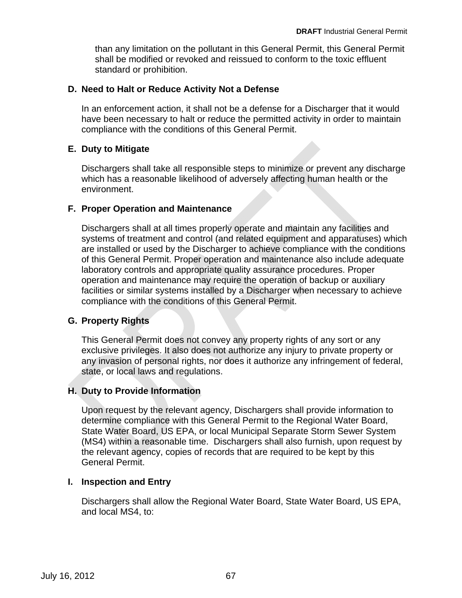than any limitation on the pollutant in this General Permit, this General Permit shall be modified or revoked and reissued to conform to the toxic effluent standard or prohibition.

#### **D. Need to Halt or Reduce Activity Not a Defense**

In an enforcement action, it shall not be a defense for a Discharger that it would have been necessary to halt or reduce the permitted activity in order to maintain compliance with the conditions of this General Permit.

#### **E. Duty to Mitigate**

Dischargers shall take all responsible steps to minimize or prevent any discharge which has a reasonable likelihood of adversely affecting human health or the environment.

#### **F. Proper Operation and Maintenance**

Dischargers shall at all times properly operate and maintain any facilities and systems of treatment and control (and related equipment and apparatuses) which facilities or similar systems installed by a Discharger when necessary to achieve compliance with the conditions of this General Permit. are installed or used by the Discharger to achieve compliance with the conditions of this General Permit. Proper operation and maintenance also include adequate laboratory controls and appropriate quality assurance procedures. Proper operation and maintenance may require the operation of backup or auxiliary

## **G. Property Rights**

state, or local laws and regulations. This General Permit does not convey any property rights of any sort or any exclusive privileges. It also does not authorize any injury to private property or any invasion of personal rights, nor does it authorize any infringement of federal,

#### **H. Duty to Provide Information**

Upon request by the relevant agency, Dischargers shall provide information to determine compliance with this General Permit to the Regional Water Board, State Water Board, US EPA, or local Municipal Separate Storm Sewer System (MS4) within a reasonable time. Dischargers shall also furnish, upon request by the relevant agency, copies of records that are required to be kept by this General Permit.

#### **I. Inspection and Entry**

Dischargers shall allow the Regional Water Board, State Water Board, US EPA, and local MS4, to: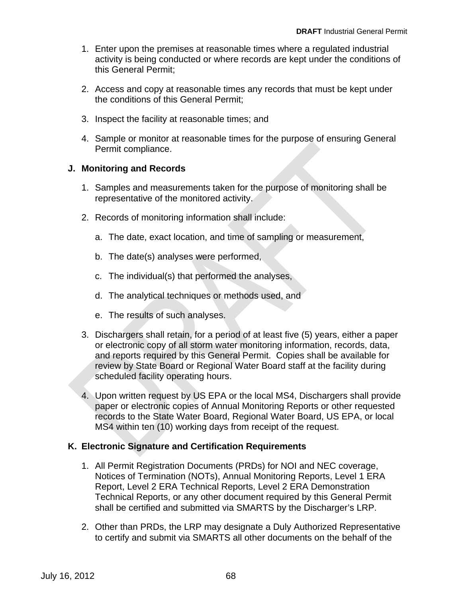- 1. Enter upon the premises at reasonable times where a regulated industrial activity is being conducted or where records are kept under the conditions of this General Permit;
- 2. Access and copy at reasonable times any records that must be kept under the conditions of this General Permit;
- 3. Inspect the facility at reasonable times; and
- 4. Sample or monitor at reasonable times for the purpose of ensuring General Permit compliance.

## **J. Monitoring and Records**

- 1. Samples and measurements taken for the purpose of monitoring shall be representative of the monitored activity.
- 2. Records of monitoring information shall include:
	- a. The date, exact location, and time of sampling or measurement,
	- b. The date(s) analyses were performed,
	- c. The individual(s) that performed the analyses,
	- d. The analytical techniques or methods used, and
	- e. The results of such analyses.
- scheduled facility operating hours. 3. Dischargers shall retain, for a period of at least five (5) years, either a paper or electronic copy of all storm water monitoring information, records, data, and reports required by this General Permit. Copies shall be available for review by State Board or Regional Water Board staff at the facility during
- records to the State Water Board, Regional Water Board, US EPA, or local MS4 within ten (10) working days from receipt of the request. paper or electronic copies of Annual Monitoring Reports or other requested 4. Upon written request by US EPA or the local MS4, Dischargers shall provide

# **K. Electronic Signature and Certification Requirements**

- 1. All Permit Registration Documents (PRDs) for NOI and NEC coverage, Notices of Termination (NOTs), Annual Monitoring Reports, Level 1 ERA Report, Level 2 ERA Technical Reports, Level 2 ERA Demonstration Technical Reports, or any other document required by this General Permit shall be certified and submitted via SMARTS by the Discharger's LRP.
- 2. Other than PRDs, the LRP may designate a Duly Authorized Representative to certify and submit via SMARTS all other documents on the behalf of the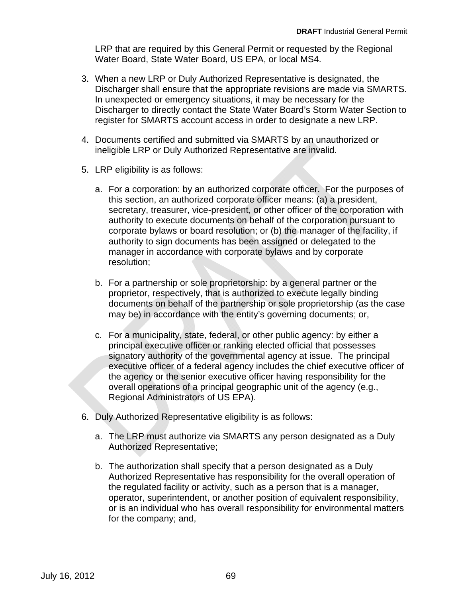LRP that are required by this General Permit or requested by the Regional Water Board, State Water Board, US EPA, or local MS4.

- 3. When a new LRP or Duly Authorized Representative is designated, the Discharger shall ensure that the appropriate revisions are made via SMARTS. In unexpected or emergency situations, it may be necessary for the Discharger to directly contact the State Water Board's Storm Water Section to register for SMARTS account access in order to designate a new LRP.
- 4. Documents certified and submitted via SMARTS by an unauthorized or ineligible LRP or Duly Authorized Representative are invalid.
- 5. LRP eligibility is as follows:
	- a. For a corporation: by an authorized corporate officer. For the purposes of this section, an authorized corporate officer means: (a) a president, secretary, treasurer, vice-president, or other officer of the corporation with authority to execute documents on behalf of the corporation pursuant to corporate bylaws or board resolution; or (b) the manager of the facility, if authority to sign documents has been assigned or delegated to the manager in accordance with corporate bylaws and by corporate resolution;
	- b. For a partnership or sole proprietorship: by a general partner or the proprietor, respectively, that is authorized to execute legally binding documents on behalf of the partnership or sole proprietorship (as the case may be) in accordance with the entity's governing documents; or,
	- c. For a municipality, state, federal, or other public agency: by either a principal executive officer or ranking elected official that possesses signatory authority of the governmental agency at issue. The principal executive officer of a federal agency includes the chief executive officer of the agency or the senior executive officer having responsibility for the overall operations of a principal geographic unit of the agency (e.g., Regional Administrators of US EPA).
- 6. Duly Authorized Representative eligibility is as follows:
	- a. The LRP must authorize via SMARTS any person designated as a Duly Authorized Representative;
	- b. The authorization shall specify that a person designated as a Duly Authorized Representative has responsibility for the overall operation of the regulated facility or activity, such as a person that is a manager, operator, superintendent, or another position of equivalent responsibility, or is an individual who has overall responsibility for environmental matters for the company; and,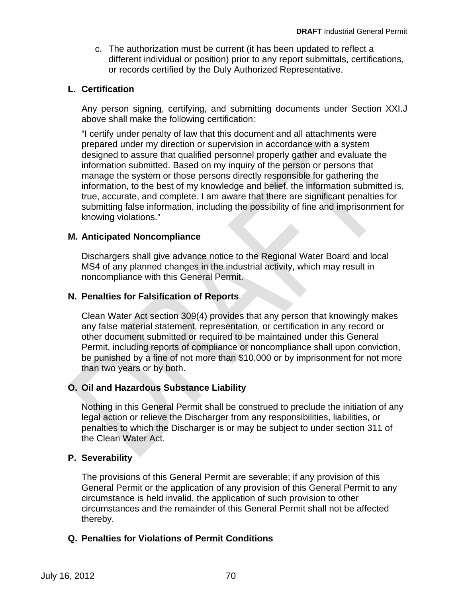c. The authorization must be current (it has been updated to reflect a different individual or position) prior to any report submittals, certifications, or records certified by the Duly Authorized Representative.

#### **L. Certification**

Any person signing, certifying, and submitting documents under Section XXI.J above shall make the following certification:

"I certify under penalty of law that this document and all attachments were prepared under my direction or supervision in accordance with a system designed to assure that qualified personnel properly gather and evaluate the information submitted. Based on my inquiry of the person or persons that manage the system or those persons directly responsible for gathering the information, to the best of my knowledge and belief, the information submitted is, true, accurate, and complete. I am aware that there are significant penalties for submitting false information, including the possibility of fine and imprisonment for knowing violations."

#### **M. Anticipated Noncompliance**

noncompliance with this General Permit. Dischargers shall give advance notice to the Regional Water Board and local MS4 of any planned changes in the industrial activity, which may result in

#### **N. Penalties for Falsification of Reports**

Clean Water Act section 309(4) provides that any person that knowingly makes any false material statement, representation, or certification in any record or other document submitted or required to be maintained under this General Permit, including reports of compliance or noncompliance shall upon conviction, be punished by a fine of not more than \$10,000 or by imprisonment for not more than two years or by both.

## **O. Oil and Hazardous Substance Liability**

Nothing in this General Permit shall be construed to preclude the initiation of any legal action or relieve the Discharger from any responsibilities, liabilities, or penalties to which the Discharger is or may be subject to under section 311 of the Clean Water Act.

## **P. Severability**

The provisions of this General Permit are severable; if any provision of this General Permit or the application of any provision of this General Permit to any circumstance is held invalid, the application of such provision to other circumstances and the remainder of this General Permit shall not be affected thereby.

## **Q. Penalties for Violations of Permit Conditions**